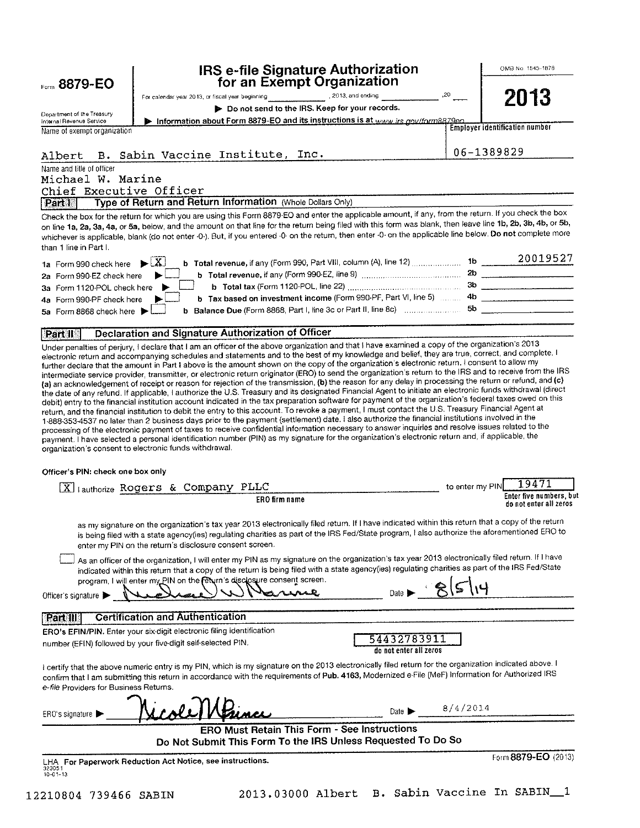|                                                        | IRS e-file Signature Authorization                                                                                                                                                                                                                                                                                                                                                                                                                                                                                                                                                                                                                                                                                                                                                                                                    |                 | OMB No. 1545-1878                                 |
|--------------------------------------------------------|---------------------------------------------------------------------------------------------------------------------------------------------------------------------------------------------------------------------------------------------------------------------------------------------------------------------------------------------------------------------------------------------------------------------------------------------------------------------------------------------------------------------------------------------------------------------------------------------------------------------------------------------------------------------------------------------------------------------------------------------------------------------------------------------------------------------------------------|-----------------|---------------------------------------------------|
| Form 8879-EO                                           | for an Exempt Organization<br>20, 2013, and ending 2013, or fiscal year beginning 2013, and ending                                                                                                                                                                                                                                                                                                                                                                                                                                                                                                                                                                                                                                                                                                                                    |                 | 2013                                              |
|                                                        | Do not send to the IRS. Keep for your records.                                                                                                                                                                                                                                                                                                                                                                                                                                                                                                                                                                                                                                                                                                                                                                                        |                 |                                                   |
| Department of the Treasury<br>Internal Revenue Service | Information about Form 8879-EO and its instructions is at www.irs.gov/form8879eo                                                                                                                                                                                                                                                                                                                                                                                                                                                                                                                                                                                                                                                                                                                                                      |                 |                                                   |
| Name of exempt organization                            |                                                                                                                                                                                                                                                                                                                                                                                                                                                                                                                                                                                                                                                                                                                                                                                                                                       |                 | <b>Employer identification number</b>             |
|                                                        |                                                                                                                                                                                                                                                                                                                                                                                                                                                                                                                                                                                                                                                                                                                                                                                                                                       |                 | 06-1389829                                        |
| Albert                                                 | B. Sabin Vaccine Institute, Inc.                                                                                                                                                                                                                                                                                                                                                                                                                                                                                                                                                                                                                                                                                                                                                                                                      |                 |                                                   |
| Name and title of officer                              |                                                                                                                                                                                                                                                                                                                                                                                                                                                                                                                                                                                                                                                                                                                                                                                                                                       |                 |                                                   |
| Michael W. Marine                                      |                                                                                                                                                                                                                                                                                                                                                                                                                                                                                                                                                                                                                                                                                                                                                                                                                                       |                 |                                                   |
| Chief Executive Officer<br>Part I                      | Type of Return and Return Information (Whole Dollars Only)                                                                                                                                                                                                                                                                                                                                                                                                                                                                                                                                                                                                                                                                                                                                                                            |                 |                                                   |
| than 1 line in Part I.                                 | Check the box for the return for which you are using this Form 8879-EO and enter the applicable amount, if any, from the return. If you check the box<br>on line 1a, 2a, 3a, 4a, or 5a, below, and the amount on that line for the return being filed with this form was blank, then leave line 1b, 2b, 3b, 4b, or 5b,<br>whichever is applicable, blank (do not enter -0-). But, if you entered -0- on the return, then enter -0- on the applicable line below. Do not complete more                                                                                                                                                                                                                                                                                                                                                 |                 |                                                   |
|                                                        | b Total revenue, if any (Form 990, Part VIII, column (A), line 12) 20019527<br>  X  <br>$\ddot{}$                                                                                                                                                                                                                                                                                                                                                                                                                                                                                                                                                                                                                                                                                                                                     |                 |                                                   |
| 1a Form 990 check here<br>2a Form 990-EZ check here    |                                                                                                                                                                                                                                                                                                                                                                                                                                                                                                                                                                                                                                                                                                                                                                                                                                       |                 |                                                   |
| 3a Form 1120-POL check here                            |                                                                                                                                                                                                                                                                                                                                                                                                                                                                                                                                                                                                                                                                                                                                                                                                                                       |                 |                                                   |
| 4a Form 990-PF check here                              | b Tax based on investment income (Form 990-PF, Part VI, line 5)  4b                                                                                                                                                                                                                                                                                                                                                                                                                                                                                                                                                                                                                                                                                                                                                                   |                 |                                                   |
| 5a Form 8868 check here $\blacktriangleright$          |                                                                                                                                                                                                                                                                                                                                                                                                                                                                                                                                                                                                                                                                                                                                                                                                                                       |                 |                                                   |
|                                                        |                                                                                                                                                                                                                                                                                                                                                                                                                                                                                                                                                                                                                                                                                                                                                                                                                                       |                 |                                                   |
| <b>Part II</b>                                         | Declaration and Signature Authorization of Officer<br>Under penalties of perjury, I declare that I am an officer of the above organization and that I have examined a copy of the organization's 2013                                                                                                                                                                                                                                                                                                                                                                                                                                                                                                                                                                                                                                 |                 |                                                   |
|                                                        | debit) entry to the financial institution account indicated in the tax preparation software for payment of the organization's federal taxes owed on this<br>return, and the financial institution to debit the entry to this account. To revoke a payment, I must contact the U.S. Treasury Financial Agent at<br>1-888-353-4537 no later than 2 business days prior to the payment (settlement) date. I also authorize the financial institutions involved in the<br>processing of the electronic payment of taxes to receive confidential information necessary to answer inquiries and resolve issues related to the<br>payment. I have selected a personal identification number (PIN) as my signature for the organization's electronic return and, if applicable, the<br>organization's consent to electronic funds withdrawal. |                 |                                                   |
| Officer's PIN: check one box only                      |                                                                                                                                                                                                                                                                                                                                                                                                                                                                                                                                                                                                                                                                                                                                                                                                                                       |                 |                                                   |
|                                                        | [X] authorize Rogers & Company PLLC                                                                                                                                                                                                                                                                                                                                                                                                                                                                                                                                                                                                                                                                                                                                                                                                   | to enter my PIN | 19471                                             |
|                                                        | ERO firm name                                                                                                                                                                                                                                                                                                                                                                                                                                                                                                                                                                                                                                                                                                                                                                                                                         |                 | Enter five numbers, but<br>do not enter all zeros |
|                                                        | as my signature on the organization's tax year 2013 electronically filed return. If I have indicated within this return that a copy of the return<br>is being filed with a state agency(ies) regulating charities as part of the IRS Fed/State program, I also authorize the aforementioned ERO to<br>enter my PIN on the return's disclosure consent screen.<br>As an officer of the organization, I will enter my PIN as my signature on the organization's tax year 2013 electronically filed return. If I have<br>indicated within this return that a copy of the return is being filed with a state agency(ies) regulating charities as part of the IRS Fed/State<br>program, I will enter my PIN on the feturn's disclosure consent screen.                                                                                     |                 |                                                   |
| Officer's signature                                    | Date D                                                                                                                                                                                                                                                                                                                                                                                                                                                                                                                                                                                                                                                                                                                                                                                                                                |                 |                                                   |
| <b>PartIII</b>                                         | <b>Certification and Authentication</b>                                                                                                                                                                                                                                                                                                                                                                                                                                                                                                                                                                                                                                                                                                                                                                                               |                 |                                                   |
|                                                        | ERO's EFIN/PIN. Enter your six-digit electronic filing identification                                                                                                                                                                                                                                                                                                                                                                                                                                                                                                                                                                                                                                                                                                                                                                 |                 |                                                   |
|                                                        | 54432783911<br>number (EFIN) followed by your five-digit self-selected PIN.<br>do not enter all zeros                                                                                                                                                                                                                                                                                                                                                                                                                                                                                                                                                                                                                                                                                                                                 |                 |                                                   |
| e-file Providers for Business Returns.                 | I certify that the above numeric entry is my PIN, which is my signature on the 2013 electronically filed return for the organization indicated above. I<br>confirm that I am submitting this return in accordance with the requirements of Pub. 4163, Modernized e-File (MeF) Information for Authorized IRS                                                                                                                                                                                                                                                                                                                                                                                                                                                                                                                          |                 |                                                   |
| ERO's signature ∥                                      | Date $\blacktriangleright$                                                                                                                                                                                                                                                                                                                                                                                                                                                                                                                                                                                                                                                                                                                                                                                                            | 8/4/2014        |                                                   |
|                                                        | <b>ERO Must Retain This Form - See Instructions</b><br>Do Not Submit This Form To the IRS Unless Requested To Do So                                                                                                                                                                                                                                                                                                                                                                                                                                                                                                                                                                                                                                                                                                                   |                 |                                                   |
|                                                        |                                                                                                                                                                                                                                                                                                                                                                                                                                                                                                                                                                                                                                                                                                                                                                                                                                       |                 | Form 8879-EO (2013)                               |
| 323051<br>$10 - 01 - 13$                               | LHA For Paperwork Reduction Act Notice, see instructions.                                                                                                                                                                                                                                                                                                                                                                                                                                                                                                                                                                                                                                                                                                                                                                             |                 |                                                   |

12210804 739466 SABIN 2013.03000 Albert B. Sabin Vaccine In SABIN\_1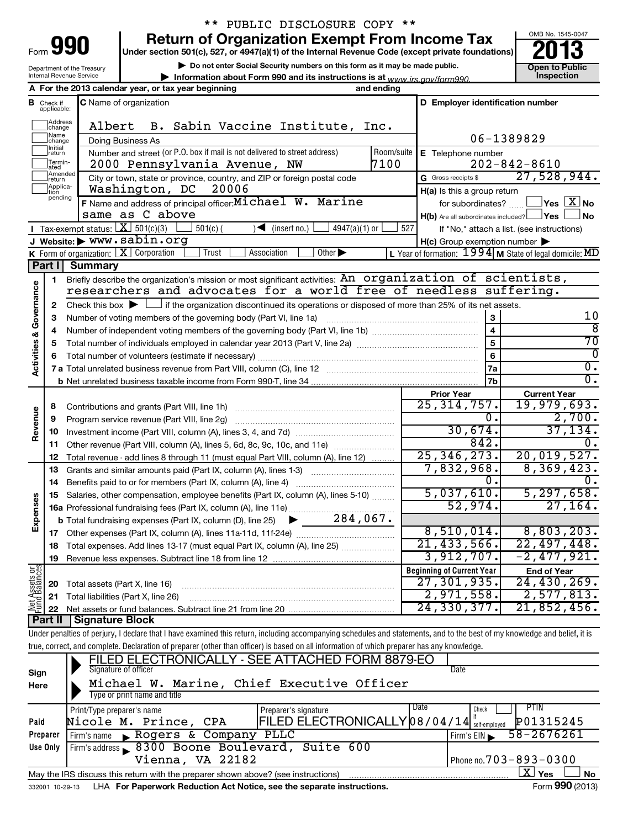| Form | 10<br>٠ |
|------|---------|
|      |         |

Department of the Treasury Internal Revenue Service

# \*\* PUBLIC DISCLOSURE COPY \*\*

**Return of Organization Exempt From Income Tax** 90013

**Under section 501(c), 527, or 4947(a)(1) of the Internal Revenue Code (except private foundations)**

**| Do not enter Social Security numbers on this form as it may be made public.**

**| Information about Form 990 and its instructions is at Inspection** *www.irs.gov/form990.*



|                         |                    | A For the 2013 calendar year, or tax year beginning                                                                                                                        | and ending                       |                                                     |                                                           |  |  |  |
|-------------------------|--------------------|----------------------------------------------------------------------------------------------------------------------------------------------------------------------------|----------------------------------|-----------------------------------------------------|-----------------------------------------------------------|--|--|--|
|                         | <b>B</b> Check if  | C Name of organization                                                                                                                                                     | D Employer identification number |                                                     |                                                           |  |  |  |
|                         | applicable:        |                                                                                                                                                                            |                                  |                                                     |                                                           |  |  |  |
|                         | Address<br>change  | Albert<br>B. Sabin Vaccine Institute, Inc.                                                                                                                                 |                                  |                                                     |                                                           |  |  |  |
|                         | Name<br>change     | Doing Business As                                                                                                                                                          |                                  |                                                     | 06-1389829                                                |  |  |  |
|                         | Initial<br>return  | Number and street (or P.O. box if mail is not delivered to street address)                                                                                                 | Room/suite                       | E Telephone number                                  |                                                           |  |  |  |
|                         | Termin-<br>ated    | 2000 Pennsylvania Avenue, NW                                                                                                                                               | 7100                             |                                                     | $202 - 842 - 8610$                                        |  |  |  |
|                         | Amended<br>Ireturn | City or town, state or province, country, and ZIP or foreign postal code                                                                                                   |                                  | G Gross receipts \$                                 | 27,528,944.                                               |  |  |  |
|                         | Applica-<br>tion   | Washington, DC<br>20006                                                                                                                                                    |                                  | H(a) Is this a group return                         |                                                           |  |  |  |
|                         | pending            | F Name and address of principal officer: Michael W. Marine                                                                                                                 |                                  | for subordinates? $\Box$ $\Box$ Yes $\Box X$ No     |                                                           |  |  |  |
|                         |                    | same as C above                                                                                                                                                            |                                  | $H(b)$ Are all subordinates included? $\Box$ Yes    | No.                                                       |  |  |  |
|                         |                    | <b>I</b> Tax-exempt status: $X \over 501(c)(3)$<br>$501(c)$ (<br>$\sqrt{\bullet}$ (insert no.)<br>$4947(a)(1)$ or                                                          | 527                              |                                                     | If "No," attach a list. (see instructions)                |  |  |  |
|                         |                    | J Website: > WWW.sabin.org                                                                                                                                                 |                                  | $H(c)$ Group exemption number $\blacktriangleright$ |                                                           |  |  |  |
|                         |                    | K Form of organization: $X$ Corporation<br>Trust<br>Association<br>Other $\blacktriangleright$                                                                             |                                  |                                                     | L Year of formation: $1994$ M State of legal domicile: MD |  |  |  |
|                         | Part I             | <b>Summary</b>                                                                                                                                                             |                                  |                                                     |                                                           |  |  |  |
|                         | 1.                 | Briefly describe the organization's mission or most significant activities: An organization of scientists,                                                                 |                                  |                                                     |                                                           |  |  |  |
| Activities & Governance |                    | researchers and advocates for a world free of needless suffering.                                                                                                          |                                  |                                                     |                                                           |  |  |  |
|                         | 2                  | Check this box $\blacktriangleright$ $\Box$ if the organization discontinued its operations or disposed of more than 25% of its net assets.                                |                                  |                                                     |                                                           |  |  |  |
|                         | З                  | Number of voting members of the governing body (Part VI, line 1a)                                                                                                          | 3                                | 10                                                  |                                                           |  |  |  |
|                         | 4                  |                                                                                                                                                                            |                                  | $\overline{4}$                                      | ह                                                         |  |  |  |
|                         | 5                  |                                                                                                                                                                            |                                  | $\overline{5}$                                      | $\overline{70}$                                           |  |  |  |
|                         | 6                  |                                                                                                                                                                            |                                  | 6                                                   | 0                                                         |  |  |  |
|                         |                    |                                                                                                                                                                            |                                  | 7a                                                  | $\overline{0}$ .                                          |  |  |  |
|                         |                    |                                                                                                                                                                            |                                  | 7b                                                  | $\overline{0}$ .                                          |  |  |  |
|                         |                    |                                                                                                                                                                            |                                  | <b>Prior Year</b>                                   | <b>Current Year</b>                                       |  |  |  |
|                         | 8                  | Contributions and grants (Part VIII, line 1h)                                                                                                                              |                                  | 25, 314, 757.                                       | 19,979,693.                                               |  |  |  |
| Revenue                 | 9                  | Program service revenue (Part VIII, line 2g)                                                                                                                               |                                  | $\overline{0}$ .                                    | 2,700.                                                    |  |  |  |
|                         | 10                 |                                                                                                                                                                            |                                  | 30,674.                                             | 37, 134.                                                  |  |  |  |
|                         |                    | 11 Other revenue (Part VIII, column (A), lines 5, 6d, 8c, 9c, 10c, and 11e)                                                                                                |                                  | 842.                                                | 0.                                                        |  |  |  |
|                         | 12                 | Total revenue - add lines 8 through 11 (must equal Part VIII, column (A), line 12)                                                                                         |                                  | 25, 346, 273.                                       | 20,019,527.                                               |  |  |  |
|                         | 13                 | Grants and similar amounts paid (Part IX, column (A), lines 1-3) <i>manoronononononon</i>                                                                                  |                                  | 7,832,968.                                          | 8,369,423.                                                |  |  |  |
|                         | 14                 | Benefits paid to or for members (Part IX, column (A), line 4)                                                                                                              |                                  | 0.                                                  | $\overline{0}$ .                                          |  |  |  |
|                         |                    | Salaries, other compensation, employee benefits (Part IX, column (A), lines 5-10)                                                                                          |                                  | 5,037,610.                                          | 5, 297, 658.                                              |  |  |  |
|                         |                    |                                                                                                                                                                            |                                  | 52,974.                                             | 27, 164.                                                  |  |  |  |
| Expenses                |                    |                                                                                                                                                                            |                                  |                                                     |                                                           |  |  |  |
|                         |                    |                                                                                                                                                                            |                                  | 8,510,014.                                          | 8,803,203.                                                |  |  |  |
|                         |                    | 18 Total expenses. Add lines 13-17 (must equal Part IX, column (A), line 25)                                                                                               |                                  | 21, 433, 566.                                       | 22,497,448.                                               |  |  |  |
|                         | 19                 |                                                                                                                                                                            |                                  | 3,912,707.                                          | $-2,477,921.$                                             |  |  |  |
| Net Assets or           |                    |                                                                                                                                                                            |                                  | <b>Beginning of Current Year</b>                    | <b>End of Year</b>                                        |  |  |  |
|                         | 20                 | Total assets (Part X, line 16)                                                                                                                                             |                                  | 27,301,935.                                         | 24,430,269.                                               |  |  |  |
|                         | 21                 | Total liabilities (Part X, line 26)                                                                                                                                        |                                  | 2,971,558.                                          | 2,577,813.                                                |  |  |  |
|                         | 22                 | Net assets or fund balances. Subtract line 21 from line 20                                                                                                                 |                                  | 24,330,377.                                         | 21,852,456.                                               |  |  |  |
|                         | Part II            | <b>Signature Block</b>                                                                                                                                                     |                                  |                                                     |                                                           |  |  |  |
|                         |                    | Under penalties of perjury, I declare that I have examined this return, including accompanying schedules and statements, and to the best of my knowledge and belief, it is |                                  |                                                     |                                                           |  |  |  |
|                         |                    | true, correct, and complete. Declaration of preparer (other than officer) is based on all information of which preparer has any knowledge.                                 |                                  |                                                     |                                                           |  |  |  |
|                         |                    | FILED ELECTRONICALLY - SEE ATTACHED FORM 8879-EO<br>Signature of officer                                                                                                   |                                  | Date                                                |                                                           |  |  |  |
| Sign                    |                    | Michael W. Marine, Chief Executive Officer                                                                                                                                 |                                  |                                                     |                                                           |  |  |  |
| Here                    |                    | Type or print name and title                                                                                                                                               |                                  |                                                     |                                                           |  |  |  |
|                         |                    | Print/Type preparer's name<br>Preparer's signature                                                                                                                         |                                  | Date<br>Check                                       | PTIN                                                      |  |  |  |
| Paid                    |                    | FILED ELECTRONICALLY 08/04/14 self-employed<br>Nicole M. Prince, CPA                                                                                                       |                                  |                                                     | P01315245                                                 |  |  |  |
|                         |                    |                                                                                                                                                                            |                                  |                                                     |                                                           |  |  |  |

|                                                                                   | $\blacksquare$                          |
|-----------------------------------------------------------------------------------|-----------------------------------------|
| <b>Preparer</b>   Firm's name<br>Rogers & Company PLLC                            | $I$ Firm's EIN $\frac{58 - 2676261}{1}$ |
| Use Only Firm's address 8300 Boone Boulevard, Suite 600                           |                                         |
| Vienna, VA 22182                                                                  | I Phone no. $703 - 893 - 0300$          |
| May the IRS discuss this return with the preparer shown above? (see instructions) | <b>No</b><br>Yes<br>ΔI                  |
|                                                                                   | $- - -$                                 |

332001 10-29-13 LHA For Paperwork Reduction Act Notice, see the separate instructions. Form 990 (2013)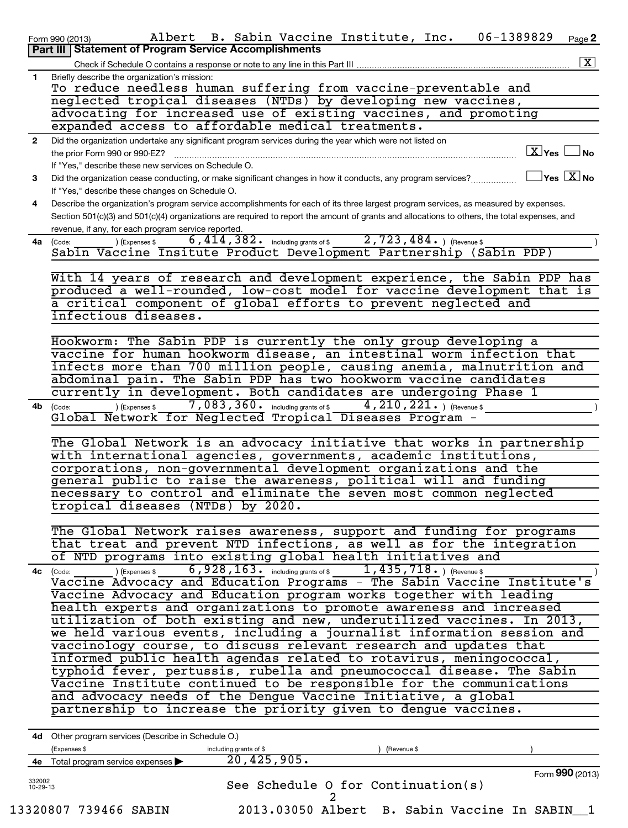|                | Albert B. Sabin Vaccine Institute, Inc.<br>06-1389829<br>Page 2<br>Form 990 (2013)                                                                                         |
|----------------|----------------------------------------------------------------------------------------------------------------------------------------------------------------------------|
|                | Part III   Statement of Program Service Accomplishments                                                                                                                    |
|                | $\boxed{\textbf{X}}$<br>Check if Schedule O contains a response or note to any line in this Part III                                                                       |
| $\mathbf{1}$   | Briefly describe the organization's mission:                                                                                                                               |
|                | To reduce needless human suffering from vaccine-preventable and                                                                                                            |
|                | neglected tropical diseases (NTDs) by developing new vaccines,                                                                                                             |
|                | advocating for increased use of existing vaccines, and promoting                                                                                                           |
|                | expanded access to affordable medical treatments.                                                                                                                          |
| $\overline{2}$ | Did the organization undertake any significant program services during the year which were not listed on                                                                   |
|                | $\boxed{\text{X}}$ Yes $\boxed{\ }$<br>⊿ No<br>the prior Form 990 or 990-EZ?                                                                                               |
|                | If "Yes," describe these new services on Schedule O.                                                                                                                       |
| 3              | $\exists$ Yes $\boxed{\text{X}}$ No<br>Did the organization cease conducting, or make significant changes in how it conducts, any program services?                        |
|                | If "Yes," describe these changes on Schedule O.                                                                                                                            |
| 4              | Describe the organization's program service accomplishments for each of its three largest program services, as measured by expenses.                                       |
|                | Section 501(c)(3) and 501(c)(4) organizations are required to report the amount of grants and allocations to others, the total expenses, and                               |
|                | revenue, if any, for each program service reported.<br>$\overline{2,723,484.}$ (Revenue \$<br>$\overline{6}$ , $\overline{414}$ , $\overline{382.}$ including grants of \$ |
|                | 4a (Code:<br>) (Expenses \$<br>Sabin Vaccine Insitute Product Development Partnership (Sabin PDP)                                                                          |
|                |                                                                                                                                                                            |
|                | With 14 years of research and development experience, the Sabin PDP has                                                                                                    |
|                | produced a well-rounded, low-cost model for vaccine development that is                                                                                                    |
|                | a critical component of global efforts to prevent neglected and                                                                                                            |
|                | infectious diseases.                                                                                                                                                       |
|                |                                                                                                                                                                            |
|                | Hookworm: The Sabin PDP is currently the only group developing a                                                                                                           |
|                | vaccine for human hookworm disease, an intestinal worm infection that                                                                                                      |
|                | infects more than 700 million people, causing anemia, malnutrition and                                                                                                     |
|                | abdominal pain. The Sabin PDP has two hookworm vaccine candidates                                                                                                          |
|                | currently in development. Both candidates are undergoing Phase 1                                                                                                           |
| 4b             | $7,083,360$ and including grants of \$<br>4, 210, 221. $ $ (Revenue \$<br>(Expenses \$<br>(Code:                                                                           |
|                | Global Network for Neglected Tropical Diseases Program -                                                                                                                   |
|                |                                                                                                                                                                            |
|                | The Global Network is an advocacy initiative that works in partnership                                                                                                     |
|                | with international agencies, governments, academic institutions,                                                                                                           |
|                | corporations, non-governmental development organizations and the                                                                                                           |
|                | general public to raise the awareness, political will and funding                                                                                                          |
|                | necessary to control and eliminate the seven most common neglected<br>tropical diseases (NTDs) by 2020.                                                                    |
|                |                                                                                                                                                                            |
|                | The Global Network raises awareness, support and funding for programs                                                                                                      |
|                | that treat and prevent NTD infections, as well as for the integration                                                                                                      |
|                | of NTD programs into existing global health initiatives and                                                                                                                |
|                | 4c (Code:                                                                                                                                                                  |
|                | (Code: ) (Expenses \$ 6,928,163. including grants of \$ 1,435,718. ) (Revenue \$ Vaccine Advocacy and Education Programs - The Sabin Vaccine Institute's                   |
|                | Vaccine Advocacy and Education program works together with leading                                                                                                         |
|                | health experts and organizations to promote awareness and increased                                                                                                        |
|                | utilization of both existing and new, underutilized vaccines. In 2013,                                                                                                     |
|                | we held various events, including a journalist information session and                                                                                                     |
|                | vaccinology course, to discuss relevant research and updates that                                                                                                          |
|                | informed public health agendas related to rotavirus, meningococcal,                                                                                                        |
|                | typhoid fever, pertussis, rubella and pneumococcal disease. The Sabin                                                                                                      |
|                | Vaccine Institute continued to be responsible for the communications                                                                                                       |
|                | and advocacy needs of the Dengue Vaccine Initiative, a global                                                                                                              |
|                | partnership to increase the priority given to dengue vaccines.                                                                                                             |
|                |                                                                                                                                                                            |
|                | 4d Other program services (Describe in Schedule O.)                                                                                                                        |
|                | (Expenses \$<br>including grants of \$<br>(Revenue \$<br>20, 425, 905.<br>4e Total program service expenses >                                                              |
|                | Form 990 (2013)                                                                                                                                                            |

See Schedule O for Continuation(s)

332002 10-29-13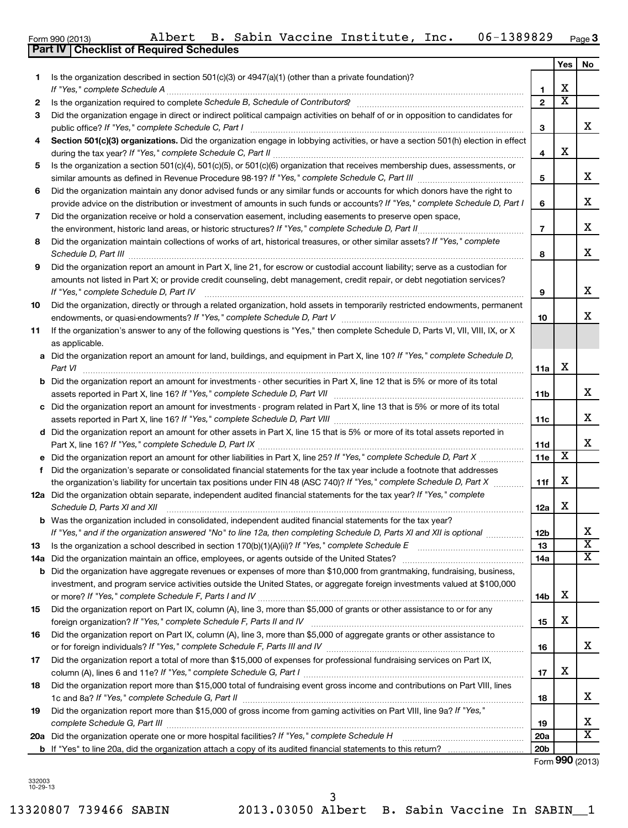| 11  | If the organization's answer to any of the following questions is "Yes," then complete Schedule D, Parts VI, VII, VIII, IX, or X<br>as applicable.                                                                                                                                                                                                         |                 |   |                         |
|-----|------------------------------------------------------------------------------------------------------------------------------------------------------------------------------------------------------------------------------------------------------------------------------------------------------------------------------------------------------------|-----------------|---|-------------------------|
|     | a Did the organization report an amount for land, buildings, and equipment in Part X, line 10? If "Yes," complete Schedule D,<br>Part VI                                                                                                                                                                                                                   | 11a             | X |                         |
|     | <b>b</b> Did the organization report an amount for investments - other securities in Part X, line 12 that is 5% or more of its total<br>assets reported in Part X, line 16? If "Yes," complete Schedule D, Part VII [[[[[[[[[[[[[[[[[[[[[[[[[[[[[[[[[                                                                                                      | 11 <sub>b</sub> |   | х                       |
|     | c Did the organization report an amount for investments - program related in Part X, line 13 that is 5% or more of its total                                                                                                                                                                                                                               | 11c             |   | х                       |
|     | d Did the organization report an amount for other assets in Part X, line 15 that is 5% or more of its total assets reported in                                                                                                                                                                                                                             | 11d             |   | х                       |
|     | e Did the organization report an amount for other liabilities in Part X, line 25? If "Yes," complete Schedule D, Part X                                                                                                                                                                                                                                    | 11e             | х |                         |
| f   | Did the organization's separate or consolidated financial statements for the tax year include a footnote that addresses<br>the organization's liability for uncertain tax positions under FIN 48 (ASC 740)? If "Yes," complete Schedule D, Part X                                                                                                          | 11f             | х |                         |
|     | 12a Did the organization obtain separate, independent audited financial statements for the tax year? If "Yes," complete<br>Schedule D, Parts XI and XII                                                                                                                                                                                                    | 12a             | х |                         |
|     | <b>b</b> Was the organization included in consolidated, independent audited financial statements for the tax year?<br>If "Yes," and if the organization answered "No" to line 12a, then completing Schedule D, Parts XI and XII is optional <i>maniman</i>                                                                                                 | 12b             |   | X                       |
| 13  | Is the organization a school described in section 170(b)(1)(A)(ii)? If "Yes," complete Schedule E [ [ [ [ [ [ [ [ ] ]]]                                                                                                                                                                                                                                    | 13              |   | $\overline{\textbf{x}}$ |
| 14a |                                                                                                                                                                                                                                                                                                                                                            | 14a             |   | $\overline{\textbf{x}}$ |
|     | <b>b</b> Did the organization have aggregate revenues or expenses of more than \$10,000 from grantmaking, fundraising, business,<br>investment, and program service activities outside the United States, or aggregate foreign investments valued at \$100,000                                                                                             | 14 <sub>b</sub> | х |                         |
| 15  | Did the organization report on Part IX, column (A), line 3, more than \$5,000 of grants or other assistance to or for any                                                                                                                                                                                                                                  | 15              | X |                         |
| 16  | Did the organization report on Part IX, column (A), line 3, more than \$5,000 of aggregate grants or other assistance to<br>or for foreign individuals? If "Yes," complete Schedule F, Parts III and IV [11] marries and intermal contains the subsequent of the Schedule F, Parts III and IV [11] matter for the subsequent of the subsequent of the subs | 16              |   | X                       |
| 17  | Did the organization report a total of more than \$15,000 of expenses for professional fundraising services on Part IX,                                                                                                                                                                                                                                    | 17              | х |                         |
| 18  | Did the organization report more than \$15,000 total of fundraising event gross income and contributions on Part VIII, lines                                                                                                                                                                                                                               | 18              |   | х                       |
| 19  | Did the organization report more than \$15,000 of gross income from gaming activities on Part VIII, line 9a? If "Yes,"                                                                                                                                                                                                                                     | 19              |   | х                       |
|     |                                                                                                                                                                                                                                                                                                                                                            | 20a             |   | X                       |
|     |                                                                                                                                                                                                                                                                                                                                                            | 20 <sub>b</sub> |   |                         |
|     |                                                                                                                                                                                                                                                                                                                                                            |                 |   | Form 990 (2013)         |

13320807 739466 SABIN 2013.03050 Albert B. Sabin Vaccine In SABIN\_\_1

3

Form 990 (2013) Albert B. Sabin Vaccine Institute, Inc. 06-1389829 <sub>Page</sub>

| 1.  | Is the organization described in section $501(c)(3)$ or $4947(a)(1)$ (other than a private foundation)?<br>If "Yes," complete Schedule A                                                                                                          |                          | Х                           |                         |
|-----|---------------------------------------------------------------------------------------------------------------------------------------------------------------------------------------------------------------------------------------------------|--------------------------|-----------------------------|-------------------------|
|     |                                                                                                                                                                                                                                                   | 1<br>$\overline{2}$      | $\overline{\textbf{x}}$     |                         |
| 2   | Is the organization required to complete Schedule B, Schedule of Contributors? [111] [12] the organization required to complete Schedule B, Schedule of Contributors? [11] [12] [12] the organization required to complete Sch                    |                          |                             |                         |
| 3   | Did the organization engage in direct or indirect political campaign activities on behalf of or in opposition to candidates for<br>public office? If "Yes," complete Schedule C, Part I                                                           | 3                        |                             | х                       |
| 4   | Section 501(c)(3) organizations. Did the organization engage in lobbying activities, or have a section 501(h) election in effect                                                                                                                  | 4                        | х                           |                         |
| 5   | Is the organization a section 501(c)(4), 501(c)(5), or 501(c)(6) organization that receives membership dues, assessments, or                                                                                                                      | 5                        |                             | х                       |
| 6   | Did the organization maintain any donor advised funds or any similar funds or accounts for which donors have the right to                                                                                                                         |                          |                             |                         |
|     | provide advice on the distribution or investment of amounts in such funds or accounts? If "Yes," complete Schedule D, Part I                                                                                                                      | 6                        |                             | х                       |
| 7   | Did the organization receive or hold a conservation easement, including easements to preserve open space,                                                                                                                                         |                          |                             |                         |
|     | the environment, historic land areas, or historic structures? If "Yes," complete Schedule D, Part II                                                                                                                                              | $\overline{\phantom{a}}$ |                             | X                       |
| 8   | Did the organization maintain collections of works of art, historical treasures, or other similar assets? If "Yes," complete<br>Schedule D, Part III                                                                                              | 8                        |                             | х                       |
| 9   | Did the organization report an amount in Part X, line 21, for escrow or custodial account liability; serve as a custodian for                                                                                                                     |                          |                             |                         |
|     | amounts not listed in Part X; or provide credit counseling, debt management, credit repair, or debt negotiation services?<br>If "Yes," complete Schedule D, Part IV                                                                               | 9                        |                             | х                       |
| 10  | Did the organization, directly or through a related organization, hold assets in temporarily restricted endowments, permanent                                                                                                                     |                          |                             |                         |
|     | endowments, or quasi-endowments? If "Yes," complete Schedule D, Part V                                                                                                                                                                            | 10                       |                             | х                       |
| 11  | If the organization's answer to any of the following questions is "Yes," then complete Schedule D, Parts VI, VII, VIII, IX, or X<br>as applicable.                                                                                                |                          |                             |                         |
| a   | Did the organization report an amount for land, buildings, and equipment in Part X, line 10? If "Yes," complete Schedule D,                                                                                                                       |                          |                             |                         |
|     | Part VI                                                                                                                                                                                                                                           | 11a                      | х                           |                         |
| b   | Did the organization report an amount for investments - other securities in Part X, line 12 that is 5% or more of its total                                                                                                                       | 11b                      |                             | х                       |
| c   | Did the organization report an amount for investments - program related in Part X, line 13 that is 5% or more of its total                                                                                                                        |                          |                             |                         |
|     |                                                                                                                                                                                                                                                   | 11c                      |                             | х                       |
|     | d Did the organization report an amount for other assets in Part X, line 15 that is 5% or more of its total assets reported in                                                                                                                    |                          |                             |                         |
|     |                                                                                                                                                                                                                                                   | 11d                      | $\overline{\textnormal{x}}$ | X                       |
|     | e Did the organization report an amount for other liabilities in Part X, line 25? If "Yes," complete Schedule D, Part X                                                                                                                           | 11e                      |                             |                         |
| f   | Did the organization's separate or consolidated financial statements for the tax year include a footnote that addresses<br>the organization's liability for uncertain tax positions under FIN 48 (ASC 740)? If "Yes," complete Schedule D, Part X | 11f                      | х                           |                         |
|     | 12a Did the organization obtain separate, independent audited financial statements for the tax year? If "Yes," complete                                                                                                                           |                          |                             |                         |
|     | Schedule D, Parts XI and XII                                                                                                                                                                                                                      | 12a                      | х                           |                         |
|     | <b>b</b> Was the organization included in consolidated, independent audited financial statements for the tax year?                                                                                                                                |                          |                             |                         |
|     | If "Yes," and if the organization answered "No" to line 12a, then completing Schedule D, Parts XI and XII is optional                                                                                                                             | 12b                      |                             | х                       |
|     |                                                                                                                                                                                                                                                   | 13                       |                             | $\overline{\texttt{x}}$ |
| 14a |                                                                                                                                                                                                                                                   | 14a                      |                             | $\overline{\textbf{x}}$ |
| b   | Did the organization have aggregate revenues or expenses of more than \$10,000 from grantmaking, fundraising, business,                                                                                                                           |                          |                             |                         |
|     | investment, and program service activities outside the United States, or aggregate foreign investments valued at \$100,000                                                                                                                        |                          |                             |                         |
|     |                                                                                                                                                                                                                                                   | 14b                      | х                           |                         |
| 15  | Did the organization report on Part IX, column (A), line 3, more than \$5,000 of grants or other assistance to or for any                                                                                                                         | 15                       | х                           |                         |
| 16  | Did the organization report on Part IX, column (A), line 3, more than \$5,000 of aggregate grants or other assistance to                                                                                                                          |                          |                             |                         |
|     |                                                                                                                                                                                                                                                   | 16                       |                             | x                       |
| 17  | Did the organization report a total of more than \$15,000 of expenses for professional fundraising services on Part IX,                                                                                                                           |                          |                             |                         |
|     |                                                                                                                                                                                                                                                   | 17                       | х                           |                         |
| 18  | Did the organization report more than \$15,000 total of fundraising event gross income and contributions on Part VIII, lines                                                                                                                      | 18                       |                             | x                       |
| 19  | Did the organization report more than \$15,000 of gross income from gaming activities on Part VIII, line 9a? If "Yes,"                                                                                                                            |                          |                             |                         |
|     |                                                                                                                                                                                                                                                   | 19                       |                             | x                       |
|     | 20a Did the organization operate one or more hospital facilities? If "Yes," complete Schedule H                                                                                                                                                   | 20a                      |                             | $\overline{\textbf{X}}$ |
|     |                                                                                                                                                                                                                                                   | 20 <sub>b</sub>          |                             |                         |
|     |                                                                                                                                                                                                                                                   |                          | Form 990 (2013              |                         |

**Part IV Checklist of Required Schedules**

**3**

 $\overline{\Gamma}$ 

**Yes No**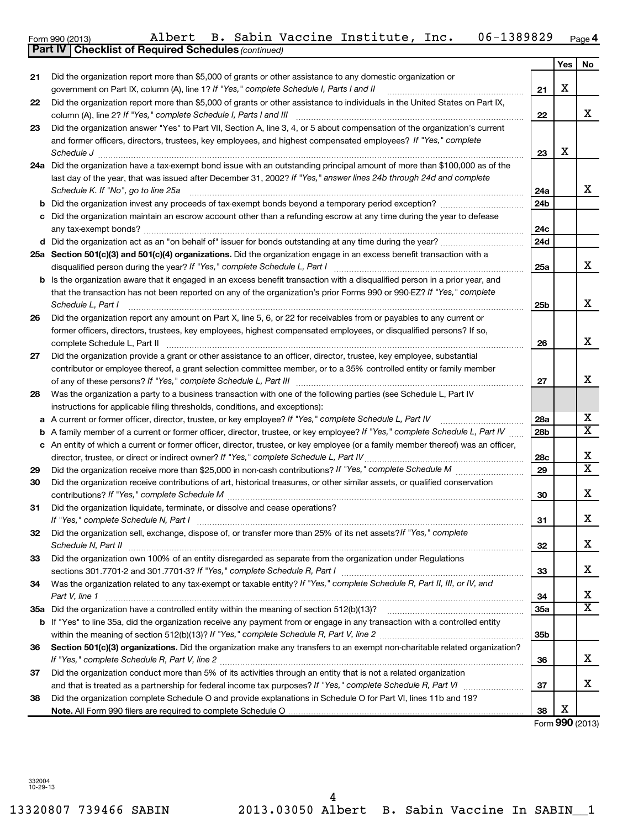|    | <b>Part IV   Checklist of Required Schedules (continued)</b>                                                                                                                            |                 |     |                         |
|----|-----------------------------------------------------------------------------------------------------------------------------------------------------------------------------------------|-----------------|-----|-------------------------|
|    |                                                                                                                                                                                         |                 | Yes | No                      |
| 21 | Did the organization report more than \$5,000 of grants or other assistance to any domestic organization or                                                                             |                 |     |                         |
|    | government on Part IX, column (A), line 1? If "Yes," complete Schedule I, Parts I and II                                                                                                | 21              | х   |                         |
| 22 | Did the organization report more than \$5,000 of grants or other assistance to individuals in the United States on Part IX,                                                             |                 |     |                         |
|    | column (A), line 2? If "Yes," complete Schedule I, Parts I and III                                                                                                                      | 22              |     | x                       |
| 23 | Did the organization answer "Yes" to Part VII, Section A, line 3, 4, or 5 about compensation of the organization's current                                                              |                 |     |                         |
|    | and former officers, directors, trustees, key employees, and highest compensated employees? If "Yes," complete                                                                          |                 |     |                         |
|    |                                                                                                                                                                                         |                 | х   |                         |
|    | Schedule J                                                                                                                                                                              | 23              |     |                         |
|    | 24a Did the organization have a tax-exempt bond issue with an outstanding principal amount of more than \$100,000 as of the                                                             |                 |     |                         |
|    | last day of the year, that was issued after December 31, 2002? If "Yes," answer lines 24b through 24d and complete                                                                      |                 |     |                         |
|    | Schedule K. If "No", go to line 25a                                                                                                                                                     | 24a             |     | x                       |
| b  |                                                                                                                                                                                         | 24 <sub>b</sub> |     |                         |
|    | Did the organization maintain an escrow account other than a refunding escrow at any time during the year to defease                                                                    |                 |     |                         |
|    |                                                                                                                                                                                         | 24c             |     |                         |
|    |                                                                                                                                                                                         | 24d             |     |                         |
|    | 25a Section 501(c)(3) and 501(c)(4) organizations. Did the organization engage in an excess benefit transaction with a                                                                  |                 |     |                         |
|    | disqualified person during the year? If "Yes," complete Schedule L, Part I                                                                                                              | 25a             |     | x                       |
|    | Is the organization aware that it engaged in an excess benefit transaction with a disqualified person in a prior year, and                                                              |                 |     |                         |
|    | that the transaction has not been reported on any of the organization's prior Forms 990 or 990-EZ? If "Yes," complete                                                                   |                 |     |                         |
|    | Schedule L, Part I                                                                                                                                                                      | 25b             |     | X                       |
| 26 | Did the organization report any amount on Part X, line 5, 6, or 22 for receivables from or payables to any current or                                                                   |                 |     |                         |
|    | former officers, directors, trustees, key employees, highest compensated employees, or disqualified persons? If so,                                                                     |                 |     |                         |
|    | complete Schedule L, Part II                                                                                                                                                            | 26              |     | x                       |
| 27 | Did the organization provide a grant or other assistance to an officer, director, trustee, key employee, substantial                                                                    |                 |     |                         |
|    |                                                                                                                                                                                         |                 |     |                         |
|    | contributor or employee thereof, a grant selection committee member, or to a 35% controlled entity or family member<br>of any of these persons? If "Yes," complete Schedule L, Part III |                 |     | x                       |
|    |                                                                                                                                                                                         | 27              |     |                         |
| 28 | Was the organization a party to a business transaction with one of the following parties (see Schedule L, Part IV                                                                       |                 |     |                         |
|    | instructions for applicable filing thresholds, conditions, and exceptions):                                                                                                             |                 |     |                         |
| а  | A current or former officer, director, trustee, or key employee? If "Yes," complete Schedule L, Part IV                                                                                 | 28a             |     | х                       |
| b  | A family member of a current or former officer, director, trustee, or key employee? If "Yes," complete Schedule L, Part IV                                                              | 28 <sub>b</sub> |     | $\overline{X}$          |
| с  | An entity of which a current or former officer, director, trustee, or key employee (or a family member thereof) was an officer,                                                         |                 |     |                         |
|    | director, trustee, or direct or indirect owner? If "Yes," complete Schedule L, Part IV                                                                                                  | 28c             |     | х                       |
| 29 |                                                                                                                                                                                         | 29              |     | $\overline{\mathbf{x}}$ |
| 30 | Did the organization receive contributions of art, historical treasures, or other similar assets, or qualified conservation                                                             |                 |     |                         |
|    | contributions? If "Yes," complete Schedule M                                                                                                                                            | 30              |     | x                       |
| 31 | Did the organization liquidate, terminate, or dissolve and cease operations?                                                                                                            |                 |     |                         |
|    | If "Yes," complete Schedule N, Part I                                                                                                                                                   | 31              |     | Х                       |
| 32 | Did the organization sell, exchange, dispose of, or transfer more than 25% of its net assets? If "Yes," complete                                                                        |                 |     |                         |
|    | Schedule N, Part II                                                                                                                                                                     | 32              |     | x                       |
| 33 | Did the organization own 100% of an entity disregarded as separate from the organization under Regulations                                                                              |                 |     |                         |
|    |                                                                                                                                                                                         | 33              |     | x                       |
| 34 | Was the organization related to any tax-exempt or taxable entity? If "Yes," complete Schedule R, Part II, III, or IV, and                                                               |                 |     |                         |
|    | Part V, line 1                                                                                                                                                                          | 34              |     | x                       |
|    |                                                                                                                                                                                         | 35a             |     | $\overline{\mathbf{x}}$ |
|    |                                                                                                                                                                                         |                 |     |                         |
|    | b If "Yes" to line 35a, did the organization receive any payment from or engage in any transaction with a controlled entity                                                             |                 |     |                         |
|    |                                                                                                                                                                                         | 35b             |     |                         |
| 36 | Section 501(c)(3) organizations. Did the organization make any transfers to an exempt non-charitable related organization?                                                              |                 |     |                         |
|    |                                                                                                                                                                                         | 36              |     | x                       |
| 37 | Did the organization conduct more than 5% of its activities through an entity that is not a related organization                                                                        |                 |     |                         |
|    |                                                                                                                                                                                         | 37              |     | x                       |
| 38 | Did the organization complete Schedule O and provide explanations in Schedule O for Part VI, lines 11b and 19?                                                                          |                 |     |                         |
|    |                                                                                                                                                                                         | 38              | х   |                         |
|    |                                                                                                                                                                                         |                 |     | Form 990 (2013)         |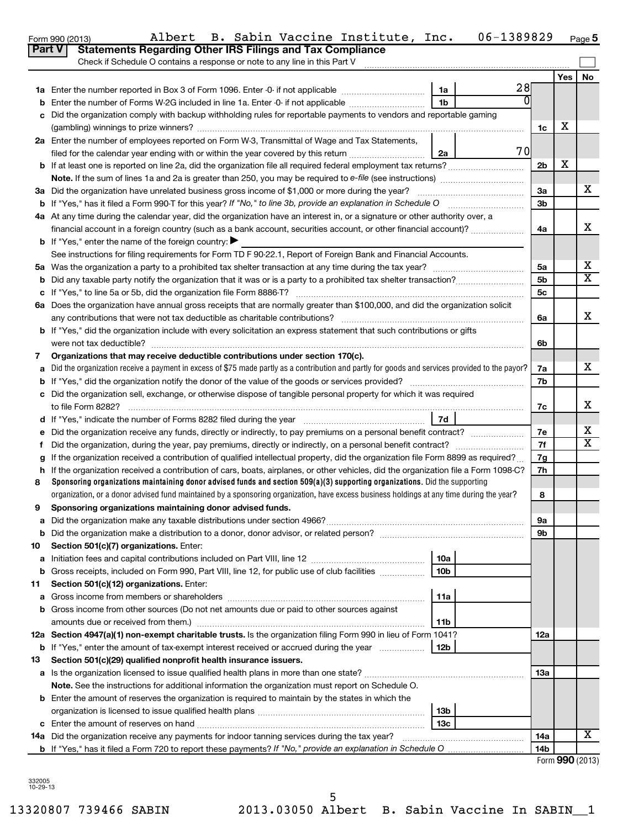|        | Check if Schedule O contains a response or note to any line in this Part V                                                                      |                 |           |                |       |    |
|--------|-------------------------------------------------------------------------------------------------------------------------------------------------|-----------------|-----------|----------------|-------|----|
|        |                                                                                                                                                 |                 |           |                | Yes l | No |
|        |                                                                                                                                                 | 1a              | 28        |                |       |    |
| b      | Enter the number of Forms W-2G included in line 1a. Enter -0- if not applicable                                                                 | 1 <sub>b</sub>  | 0         |                |       |    |
| C      | Did the organization comply with backup withholding rules for reportable payments to vendors and reportable gaming                              |                 |           |                |       |    |
|        |                                                                                                                                                 |                 |           | 1c             | х     |    |
|        | 2a Enter the number of employees reported on Form W-3, Transmittal of Wage and Tax Statements,                                                  |                 |           |                |       |    |
|        | filed for the calendar year ending with or within the year covered by this return                                                               | 2a              | <b>70</b> |                |       |    |
|        |                                                                                                                                                 |                 |           | 2 <sub>b</sub> | х     |    |
|        | Note. If the sum of lines 1a and 2a is greater than 250, you may be required to e-file (see instructions) <i>marrouum</i> manus                 |                 |           |                |       |    |
|        | 3a Did the organization have unrelated business gross income of \$1,000 or more during the year?                                                |                 |           | 3a             |       | x. |
|        | <b>b</b> If "Yes," has it filed a Form 990-T for this year? If "No," to line 3b, provide an explanation in Schedule O manumum                   |                 |           | 3 <sub>b</sub> |       |    |
|        | 4a At any time during the calendar year, did the organization have an interest in, or a signature or other authority over, a                    |                 |           |                |       |    |
|        | financial account in a foreign country (such as a bank account, securities account, or other financial account)?                                |                 |           | 4a             |       | x  |
|        | <b>b</b> If "Yes," enter the name of the foreign country:                                                                                       |                 |           |                |       |    |
|        | See instructions for filing requirements for Form TD F 90-22.1, Report of Foreign Bank and Financial Accounts.                                  |                 |           |                |       |    |
|        |                                                                                                                                                 |                 |           | 5a             |       | х  |
| b      |                                                                                                                                                 |                 |           | 5 <sub>b</sub> |       | x  |
|        |                                                                                                                                                 |                 |           | 5c             |       |    |
|        | 6a Does the organization have annual gross receipts that are normally greater than \$100,000, and did the organization solicit                  |                 |           |                |       | X. |
|        | b If "Yes," did the organization include with every solicitation an express statement that such contributions or gifts                          |                 |           | 6a             |       |    |
|        |                                                                                                                                                 |                 |           | 6b             |       |    |
| 7      | Organizations that may receive deductible contributions under section 170(c).                                                                   |                 |           |                |       |    |
| a      | Did the organization receive a payment in excess of \$75 made partly as a contribution and partly for goods and services provided to the payor? |                 |           | 7a             |       | x. |
| b      |                                                                                                                                                 |                 |           | 7b             |       |    |
| c      | Did the organization sell, exchange, or otherwise dispose of tangible personal property for which it was required                               |                 |           |                |       |    |
|        |                                                                                                                                                 |                 |           | 7c             |       | х  |
|        |                                                                                                                                                 |                 |           |                |       |    |
| е      |                                                                                                                                                 |                 |           | 7e             |       | х  |
| Ť.     |                                                                                                                                                 |                 |           | 7f             |       | х  |
| g      | If the organization received a contribution of qualified intellectual property, did the organization file Form 8899 as required?                |                 |           | 7g             |       |    |
| h.     | If the organization received a contribution of cars, boats, airplanes, or other vehicles, did the organization file a Form 1098-C?              |                 |           | 7h             |       |    |
| 8      | Sponsoring organizations maintaining donor advised funds and section $509(a)(3)$ supporting organizations. Did the supporting                   |                 |           |                |       |    |
|        | organization, or a donor advised fund maintained by a sponsoring organization, have excess business holdings at any time during the year?       |                 |           | 8              |       |    |
| 9      | Sponsoring organizations maintaining donor advised funds.                                                                                       |                 |           |                |       |    |
|        |                                                                                                                                                 |                 |           | 9а             |       |    |
| b      |                                                                                                                                                 |                 |           | 9b             |       |    |
| 10     | Section 501(c)(7) organizations. Enter:                                                                                                         |                 |           |                |       |    |
| а      | Initiation fees and capital contributions included on Part VIII, line 12 <i>macuromana communican</i> control                                   | 10a             |           |                |       |    |
| b      | Gross receipts, included on Form 990, Part VIII, line 12, for public use of club facilities                                                     | 10 <sub>b</sub> |           |                |       |    |
| 11     | Section 501(c)(12) organizations. Enter:                                                                                                        | 11a             |           |                |       |    |
| а<br>b | Gross income from other sources (Do not net amounts due or paid to other sources against                                                        |                 |           |                |       |    |
|        |                                                                                                                                                 | 11b             |           |                |       |    |
|        | 12a Section 4947(a)(1) non-exempt charitable trusts. Is the organization filing Form 990 in lieu of Form 1041?                                  |                 |           | 12a            |       |    |
|        | <b>b</b> If "Yes," enter the amount of tax-exempt interest received or accrued during the year                                                  | 12b             |           |                |       |    |
| 13     | Section 501(c)(29) qualified nonprofit health insurance issuers.                                                                                |                 |           |                |       |    |
|        |                                                                                                                                                 |                 |           | 13а            |       |    |
|        | Note. See the instructions for additional information the organization must report on Schedule O.                                               |                 |           |                |       |    |
|        | <b>b</b> Enter the amount of reserves the organization is required to maintain by the states in which the                                       |                 |           |                |       |    |
|        |                                                                                                                                                 | 13 <sub>b</sub> |           |                |       |    |
|        |                                                                                                                                                 | 13с             |           |                |       |    |
|        |                                                                                                                                                 |                 |           | 14a            |       | х  |
|        |                                                                                                                                                 |                 |           | 14b            |       |    |

Form 990 (2013) Albert B. Sabin Vaccine Institute, Inc. 06-1389829 <sub>Page</sub>

**Part V** Statements Regarding Other IRS Filings and Tax Compliance

**5**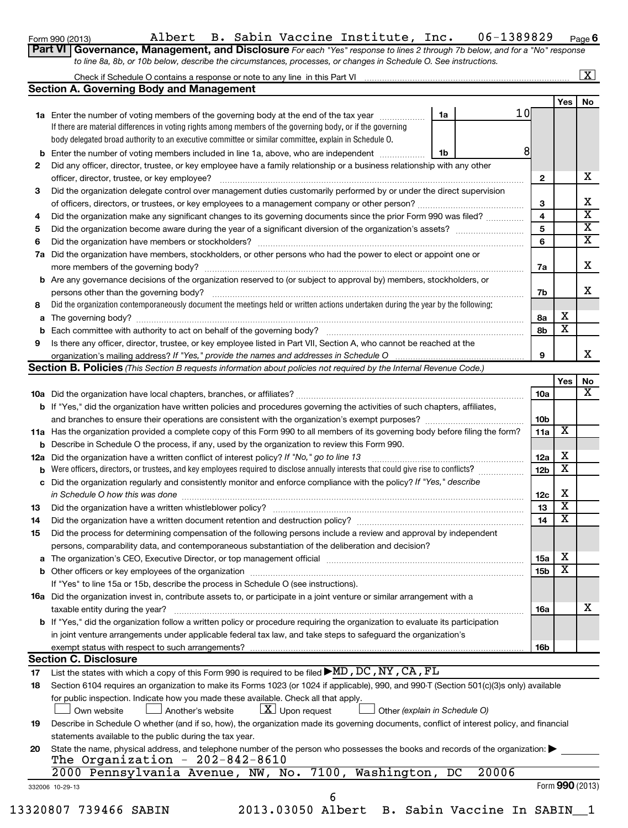Form 990 (2013) Albert B. Sabin Vaccine Institute, Inc. 06-1389829 <sub>Page</sub>

**6**

| Form 990 (2013) |  |  | Albert D. Babill vacclife liistrute, liit.                                                                       |                                                                                                                             | Pad |
|-----------------|--|--|------------------------------------------------------------------------------------------------------------------|-----------------------------------------------------------------------------------------------------------------------------|-----|
|                 |  |  |                                                                                                                  | Part VI Governance, Management, and Disclosure For each "Yes" response to lines 2 through 7b below, and for a "No" response |     |
|                 |  |  | to line 8a, 8b, or 10b below, describe the circumstances, processes, or changes in Schedule O. See instructions. |                                                                                                                             |     |

# Check if Schedule O contains a response or note to any line in this Part VI

|                                                                                                                                                  | <b>Section A. Governing Body and Management</b>                                                                                                                                           |    |             |                 |     |                 |
|--------------------------------------------------------------------------------------------------------------------------------------------------|-------------------------------------------------------------------------------------------------------------------------------------------------------------------------------------------|----|-------------|-----------------|-----|-----------------|
|                                                                                                                                                  |                                                                                                                                                                                           |    |             |                 | Yes | No              |
|                                                                                                                                                  | 1a Enter the number of voting members of the governing body at the end of the tax year                                                                                                    | 1a | 10          |                 |     |                 |
|                                                                                                                                                  | If there are material differences in voting rights among members of the governing body, or if the governing                                                                               |    |             |                 |     |                 |
|                                                                                                                                                  | body delegated broad authority to an executive committee or similar committee, explain in Schedule O.                                                                                     |    |             |                 |     |                 |
| b                                                                                                                                                | Enter the number of voting members included in line 1a, above, who are independent                                                                                                        | 1b | 8           |                 |     |                 |
| 2                                                                                                                                                | Did any officer, director, trustee, or key employee have a family relationship or a business relationship with any other                                                                  |    |             |                 |     |                 |
|                                                                                                                                                  | officer, director, trustee, or key employee?                                                                                                                                              |    |             | 2               |     | х               |
| 3                                                                                                                                                | Did the organization delegate control over management duties customarily performed by or under the direct supervision                                                                     |    |             |                 |     | х               |
|                                                                                                                                                  |                                                                                                                                                                                           |    |             | 3<br>4          |     | X               |
| 4                                                                                                                                                | Did the organization make any significant changes to its governing documents since the prior Form 990 was filed?                                                                          |    |             | 5               |     | X               |
| 5                                                                                                                                                | Did the organization have members or stockholders?                                                                                                                                        |    |             | 6               |     | X               |
| 6<br>7а                                                                                                                                          | Did the organization have members, stockholders, or other persons who had the power to elect or appoint one or                                                                            |    |             |                 |     |                 |
|                                                                                                                                                  |                                                                                                                                                                                           |    |             | 7a              |     | x               |
| b                                                                                                                                                | Are any governance decisions of the organization reserved to (or subject to approval by) members, stockholders, or                                                                        |    |             |                 |     |                 |
|                                                                                                                                                  | persons other than the governing body?                                                                                                                                                    |    |             | 7b              |     | х               |
| 8                                                                                                                                                | Did the organization contemporaneously document the meetings held or written actions undertaken during the year by the following:                                                         |    |             |                 |     |                 |
| а                                                                                                                                                |                                                                                                                                                                                           |    |             | 8a              | х   |                 |
| b                                                                                                                                                |                                                                                                                                                                                           |    |             | 8b              | X   |                 |
| 9                                                                                                                                                | Is there any officer, director, trustee, or key employee listed in Part VII, Section A, who cannot be reached at the                                                                      |    |             |                 |     |                 |
|                                                                                                                                                  |                                                                                                                                                                                           |    |             | 9               |     | x               |
|                                                                                                                                                  | <b>Section B. Policies</b> (This Section B requests information about policies not required by the Internal Revenue Code.)                                                                |    |             |                 |     |                 |
|                                                                                                                                                  |                                                                                                                                                                                           |    |             |                 | Yes | No              |
|                                                                                                                                                  |                                                                                                                                                                                           |    |             | 10a             |     | х               |
|                                                                                                                                                  | <b>b</b> If "Yes," did the organization have written policies and procedures governing the activities of such chapters, affiliates,                                                       |    |             |                 |     |                 |
|                                                                                                                                                  |                                                                                                                                                                                           |    |             | 10 <sub>b</sub> |     |                 |
|                                                                                                                                                  | 11a Has the organization provided a complete copy of this Form 990 to all members of its governing body before filing the form?                                                           |    |             | 11a             | х   |                 |
| b                                                                                                                                                | Describe in Schedule O the process, if any, used by the organization to review this Form 990.                                                                                             |    |             |                 |     |                 |
| 12a                                                                                                                                              | Did the organization have a written conflict of interest policy? If "No," go to line 13                                                                                                   |    |             | 12a             | х   |                 |
| b                                                                                                                                                | Were officers, directors, or trustees, and key employees required to disclose annually interests that could give rise to conflicts?                                                       |    |             | <b>12b</b>      | х   |                 |
| c                                                                                                                                                | Did the organization regularly and consistently monitor and enforce compliance with the policy? If "Yes," describe                                                                        |    |             |                 |     |                 |
|                                                                                                                                                  | in Schedule O how this was done                                                                                                                                                           |    |             | 12c             | х   |                 |
| 13                                                                                                                                               |                                                                                                                                                                                           |    |             | 13              | х   |                 |
| 14                                                                                                                                               |                                                                                                                                                                                           |    |             | 14              | х   |                 |
| 15                                                                                                                                               | Did the process for determining compensation of the following persons include a review and approval by independent                                                                        |    |             |                 |     |                 |
|                                                                                                                                                  | persons, comparability data, and contemporaneous substantiation of the deliberation and decision?                                                                                         |    |             |                 | Χ   |                 |
|                                                                                                                                                  | The organization's CEO, Executive Director, or top management official [111] [11] The organization's CEO, Executive Director, or top management official [11] [11] [11] The organization: |    |             | 15a             | X   |                 |
|                                                                                                                                                  | <b>b</b> Other officers or key employees of the organization                                                                                                                              |    |             | 15b             |     |                 |
|                                                                                                                                                  | If "Yes" to line 15a or 15b, describe the process in Schedule O (see instructions).                                                                                                       |    |             |                 |     |                 |
|                                                                                                                                                  | <b>16a</b> Did the organization invest in, contribute assets to, or participate in a joint venture or similar arrangement with a<br>taxable entity during the year?                       |    |             | 16a             |     | х               |
|                                                                                                                                                  | b If "Yes," did the organization follow a written policy or procedure requiring the organization to evaluate its participation                                                            |    |             |                 |     |                 |
|                                                                                                                                                  | in joint venture arrangements under applicable federal tax law, and take steps to safequard the organization's                                                                            |    |             |                 |     |                 |
|                                                                                                                                                  | exempt status with respect to such arrangements?                                                                                                                                          |    |             | 16b             |     |                 |
|                                                                                                                                                  | <b>Section C. Disclosure</b>                                                                                                                                                              |    |             |                 |     |                 |
| 17                                                                                                                                               | List the states with which a copy of this Form 990 is required to be filed $\blacktriangleright$ MD, DC, NY, CA, FL                                                                       |    |             |                 |     |                 |
| 18                                                                                                                                               | Section 6104 requires an organization to make its Forms 1023 (or 1024 if applicable), 990, and 990-T (Section 501(c)(3)s only) available                                                  |    |             |                 |     |                 |
|                                                                                                                                                  | for public inspection. Indicate how you made these available. Check all that apply.                                                                                                       |    |             |                 |     |                 |
|                                                                                                                                                  | $\lfloor \underline{X} \rfloor$ Upon request<br>Other (explain in Schedule O)<br>Own website<br>Another's website                                                                         |    |             |                 |     |                 |
| Describe in Schedule O whether (and if so, how), the organization made its governing documents, conflict of interest policy, and financial<br>19 |                                                                                                                                                                                           |    |             |                 |     |                 |
|                                                                                                                                                  | statements available to the public during the tax year.                                                                                                                                   |    |             |                 |     |                 |
| 20                                                                                                                                               | State the name, physical address, and telephone number of the person who possesses the books and records of the organization:                                                             |    |             |                 |     |                 |
|                                                                                                                                                  | The Organization - $202-842-8610$                                                                                                                                                         |    |             |                 |     |                 |
|                                                                                                                                                  | 2000 Pennsylvania Avenue, NW, No. 7100, Washington,                                                                                                                                       |    | 20006<br>DC |                 |     |                 |
|                                                                                                                                                  | 332006 10-29-13                                                                                                                                                                           |    |             |                 |     | Form 990 (2013) |
|                                                                                                                                                  | 6                                                                                                                                                                                         |    |             |                 |     |                 |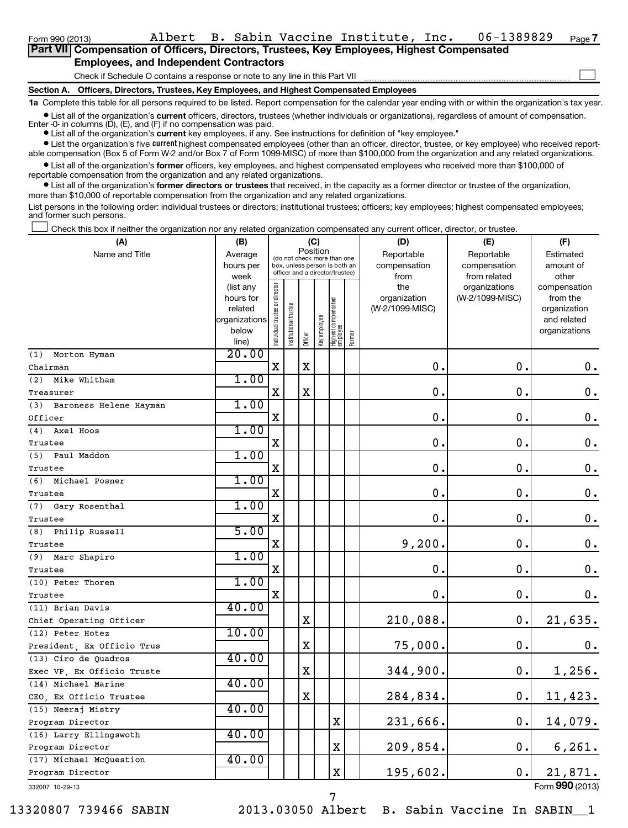| Part VII Compensation of Officers, Directors, Trustees, Key Employees, Highest Compensated |  |
|--------------------------------------------------------------------------------------------|--|
| <b>Employees, and Independent Contractors</b>                                              |  |
| Check if Schedule O contains a response or note to any line in this Part VII               |  |
| Section A. Officers, Directors, Trustees, Key Employees, and Highest Compensated Employees |  |

**1a**  Complete this table for all persons required to be listed. Report compensation for the calendar year ending with or within the organization's tax year.

**•** List all of the organization's current officers, directors, trustees (whether individuals or organizations), regardless of amount of compensation.

Enter -0- in columns  $(D)$ ,  $(E)$ , and  $(F)$  if no compensation was paid.

**•** List all of the organization's **current** key employees, if any. See instructions for definition of "key employee."

**•** List the organization's five *current* highest compensated employees (other than an officer, director, trustee, or key employee) who received reportable compensation (Box 5 of Form W-2 and/or Box 7 of Form 1099-MISC) of more than \$100,000 from the organization and any related organizations.

 $\bullet$  List all of the organization's former officers, key employees, and highest compensated employees who received more than \$100,000 of reportable compensation from the organization and any related organizations.

**•** List all of the organization's former directors or trustees that received, in the capacity as a former director or trustee of the organization, more than \$10,000 of reportable compensation from the organization and any related organizations.

List persons in the following order: individual trustees or directors; institutional trustees; officers; key employees; highest compensated employees; and former such persons.

Check this box if neither the organization nor any related organization compensated any current officer, director, or trustee.  $\left\vert \cdot\right\vert$ 

| (A)                        | (B)               |                                |                                                                  | (C)         |              |                                   |        | (D)             | (E)                           | (F)                   |
|----------------------------|-------------------|--------------------------------|------------------------------------------------------------------|-------------|--------------|-----------------------------------|--------|-----------------|-------------------------------|-----------------------|
| Name and Title             | Average           |                                | (do not check more than one                                      | Position    |              |                                   |        | Reportable      | Reportable                    | Estimated             |
|                            | hours per         |                                | box, unless person is both an<br>officer and a director/trustee) |             |              |                                   |        | compensation    | compensation                  | amount of             |
|                            | week<br>(list any |                                |                                                                  |             |              |                                   |        | from<br>the     | from related<br>organizations | other<br>compensation |
|                            | hours for         |                                |                                                                  |             |              |                                   |        | organization    | (W-2/1099-MISC)               | from the              |
|                            | related           |                                |                                                                  |             |              |                                   |        | (W-2/1099-MISC) |                               | organization          |
|                            | organizations     |                                |                                                                  |             |              |                                   |        |                 |                               | and related           |
|                            | below             | Individual trustee or director | Institutional trustee                                            | Officer     | Key employee | Highest compensated<br>  employee | Former |                 |                               | organizations         |
|                            | line)             |                                |                                                                  |             |              |                                   |        |                 |                               |                       |
| Morton Hyman<br>(1)        | 20.00             |                                |                                                                  |             |              |                                   |        |                 |                               |                       |
| Chairman                   |                   | $\mathbf X$                    |                                                                  | X           |              |                                   |        | $\mathbf 0$ .   | $\mathbf 0$ .                 | 0.                    |
| (2) Mike Whitham           | 1.00              |                                |                                                                  |             |              |                                   |        |                 |                               |                       |
| Treasurer                  |                   | X                              |                                                                  | $\mathbf X$ |              |                                   |        | $\mathbf 0$ .   | 0.                            | $\mathbf 0$ .         |
| (3) Baroness Helene Hayman | 1.00              |                                |                                                                  |             |              |                                   |        |                 |                               |                       |
| Officer                    |                   | X                              |                                                                  |             |              |                                   |        | $\mathbf 0$ .   | $\mathbf 0$ .                 | $\mathbf 0$ .         |
| (4) Axel Hoos              | 1.00              |                                |                                                                  |             |              |                                   |        |                 |                               |                       |
| Trustee                    |                   | $\mathbf X$                    |                                                                  |             |              |                                   |        | $\mathbf 0$ .   | $\mathbf 0$ .                 | $\mathbf 0$ .         |
| (5) Paul Maddon            | 1.00              |                                |                                                                  |             |              |                                   |        |                 |                               |                       |
| Trustee                    |                   | $\mathbf X$                    |                                                                  |             |              |                                   |        | $\mathbf 0$     | $\mathbf 0$                   | $\mathbf 0$ .         |
| (6) Michael Posner         | 1.00              |                                |                                                                  |             |              |                                   |        |                 |                               |                       |
| Trustee                    |                   | X                              |                                                                  |             |              |                                   |        | $\mathbf 0$     | $\mathbf 0$                   | $\mathbf 0$ .         |
| (7) Gary Rosenthal         | 1.00              |                                |                                                                  |             |              |                                   |        |                 |                               |                       |
| Trustee                    |                   | $\mathbf X$                    |                                                                  |             |              |                                   |        | $\mathbf 0$ .   | $\mathbf 0$                   | $\mathbf 0$ .         |
| (8) Philip Russell         | 5.00              |                                |                                                                  |             |              |                                   |        |                 |                               |                       |
| Trustee                    |                   | $\mathbf X$                    |                                                                  |             |              |                                   |        | 9,200.          | $\mathbf 0$ .                 | $\mathbf 0$ .         |
| (9)<br>Marc Shapiro        | 1.00              |                                |                                                                  |             |              |                                   |        |                 |                               |                       |
| Trustee                    |                   | $\mathbf X$                    |                                                                  |             |              |                                   |        | $\mathbf 0$     | $\mathbf 0$ .                 | $\mathbf 0$ .         |
| (10) Peter Thoren          | 1.00              |                                |                                                                  |             |              |                                   |        |                 |                               |                       |
| Trustee                    |                   | х                              |                                                                  |             |              |                                   |        | 0.              | $\mathbf 0$ .                 | 0.                    |
| (11) Brian Davis           | 40.00             |                                |                                                                  |             |              |                                   |        |                 |                               |                       |
| Chief Operating Officer    |                   |                                |                                                                  | X           |              |                                   |        | 210,088.        | $\mathbf 0$ .                 | 21,635.               |
| (12) Peter Hotez           | 10.00             |                                |                                                                  |             |              |                                   |        |                 |                               |                       |
| President, Ex Officio Trus |                   |                                |                                                                  | $\mathbf X$ |              |                                   |        | 75,000.         | $\mathbf 0$ .                 | 0.                    |
| (13) Ciro de Quadros       | 40.00             |                                |                                                                  |             |              |                                   |        |                 |                               |                       |
| Exec VP, Ex Officio Truste |                   |                                |                                                                  | $\mathbf X$ |              |                                   |        | 344,900.        | $\mathbf 0$ .                 | 1,256.                |
| (14) Michael Marine        | 40.00             |                                |                                                                  |             |              |                                   |        |                 |                               |                       |
| CEO, Ex Officio Trustee    |                   |                                |                                                                  | $\mathbf X$ |              |                                   |        | 284,834.        | $\mathbf 0$ .                 | 11,423.               |
| (15) Neeraj Mistry         | 40.00             |                                |                                                                  |             |              |                                   |        |                 |                               |                       |
| Program Director           |                   |                                |                                                                  |             |              | $\mathbf X$                       |        | 231,666.        | $\mathbf 0$ .                 | 14,079.               |
| (16) Larry Ellingswoth     | 40.00             |                                |                                                                  |             |              |                                   |        |                 |                               |                       |
| Program Director           |                   |                                |                                                                  |             |              | $\mathbf X$                       |        | 209,854.        | 0.                            | 6, 261.               |
| (17) Michael McOuestion    | 40.00             |                                |                                                                  |             |              |                                   |        |                 |                               |                       |
| Program Director           |                   |                                |                                                                  |             |              | $\mathbf X$                       |        | 195,602.        | 0.                            | 21,871.               |
| 332007 10-29-13            |                   |                                |                                                                  |             |              |                                   |        |                 |                               | Form 990 (2013)       |

13320807 739466 SABIN 2013.03050 Albert B. Sabin Vaccine In SABIN\_\_1

7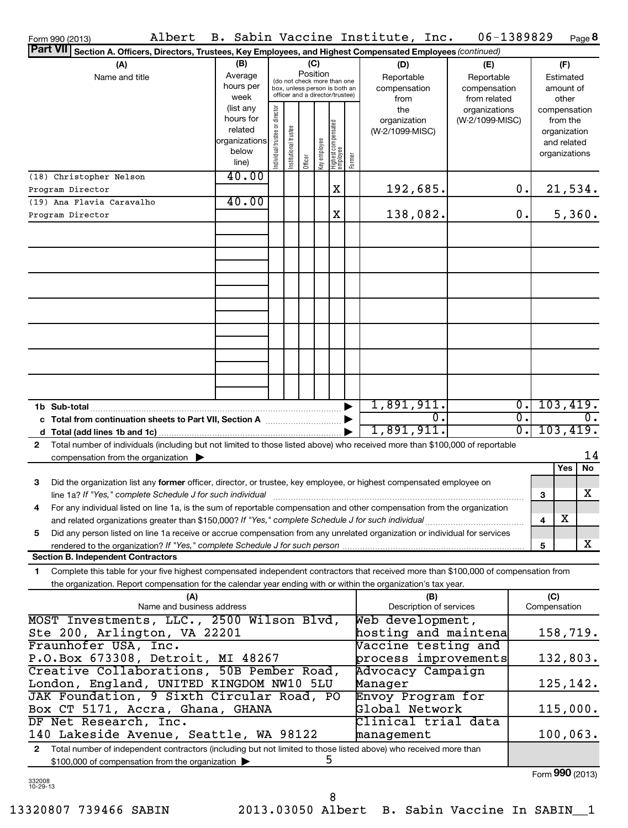| Albert<br>Form 990 (2013)                                                                                                                  |                      |                                                                                                 |                       |          |              |                                 |              | B. Sabin Vaccine Institute, Inc. | 06-1389829       |                             |              | Page 8           |
|--------------------------------------------------------------------------------------------------------------------------------------------|----------------------|-------------------------------------------------------------------------------------------------|-----------------------|----------|--------------|---------------------------------|--------------|----------------------------------|------------------|-----------------------------|--------------|------------------|
| Part VII Section A. Officers, Directors, Trustees, Key Employees, and Highest Compensated Employees (continued)                            |                      |                                                                                                 |                       |          |              |                                 |              |                                  |                  |                             |              |                  |
| (A)                                                                                                                                        | (B)                  |                                                                                                 |                       | (C)      |              |                                 |              | (D)                              | (E)              |                             |              | (F)              |
| Name and title                                                                                                                             | Average              |                                                                                                 |                       | Position |              |                                 |              | Reportable                       | Reportable       |                             |              | Estimated        |
|                                                                                                                                            | hours per            | (do not check more than one<br>box, unless person is both an<br>officer and a director/trustee) |                       |          |              |                                 | compensation | compensation                     |                  |                             | amount of    |                  |
|                                                                                                                                            | week                 |                                                                                                 |                       |          |              |                                 |              | from                             | from related     |                             |              | other            |
|                                                                                                                                            | (list any            |                                                                                                 |                       |          |              |                                 |              | the                              | organizations    |                             |              | compensation     |
|                                                                                                                                            | hours for<br>related |                                                                                                 |                       |          |              |                                 |              | organization                     | (W-2/1099-MISC)  |                             |              | from the         |
|                                                                                                                                            | organizations        |                                                                                                 |                       |          |              |                                 |              | (W-2/1099-MISC)                  |                  |                             |              | organization     |
|                                                                                                                                            | below                |                                                                                                 |                       |          |              |                                 |              |                                  |                  |                             |              | and related      |
|                                                                                                                                            | line)                | Individual trustee or director                                                                  | Institutional trustee | Officer  | Key employee | Highest compensated<br>employee | Former       |                                  |                  |                             |              | organizations    |
| (18) Christopher Nelson                                                                                                                    | 40.00                |                                                                                                 |                       |          |              |                                 |              |                                  |                  |                             |              |                  |
|                                                                                                                                            |                      |                                                                                                 |                       |          |              | X                               |              |                                  |                  | 0.                          |              |                  |
| Program Director                                                                                                                           | 40.00                |                                                                                                 |                       |          |              |                                 |              | 192,685.                         |                  |                             |              | 21,534.          |
| (19) Ana Flavia Caravalho                                                                                                                  |                      |                                                                                                 |                       |          |              |                                 |              |                                  |                  |                             |              |                  |
| Program Director                                                                                                                           |                      |                                                                                                 |                       |          |              | X                               |              | 138,082.                         |                  | 0.                          |              | 5,360.           |
|                                                                                                                                            |                      |                                                                                                 |                       |          |              |                                 |              |                                  |                  |                             |              |                  |
|                                                                                                                                            |                      |                                                                                                 |                       |          |              |                                 |              |                                  |                  |                             |              |                  |
|                                                                                                                                            |                      |                                                                                                 |                       |          |              |                                 |              |                                  |                  |                             |              |                  |
|                                                                                                                                            |                      |                                                                                                 |                       |          |              |                                 |              |                                  |                  |                             |              |                  |
|                                                                                                                                            |                      |                                                                                                 |                       |          |              |                                 |              |                                  |                  |                             |              |                  |
|                                                                                                                                            |                      |                                                                                                 |                       |          |              |                                 |              |                                  |                  |                             |              |                  |
|                                                                                                                                            |                      |                                                                                                 |                       |          |              |                                 |              |                                  |                  |                             |              |                  |
|                                                                                                                                            |                      |                                                                                                 |                       |          |              |                                 |              |                                  |                  |                             |              |                  |
|                                                                                                                                            |                      |                                                                                                 |                       |          |              |                                 |              |                                  |                  |                             |              |                  |
|                                                                                                                                            |                      |                                                                                                 |                       |          |              |                                 |              |                                  |                  |                             |              |                  |
|                                                                                                                                            |                      |                                                                                                 |                       |          |              |                                 |              |                                  |                  |                             |              |                  |
|                                                                                                                                            |                      |                                                                                                 |                       |          |              |                                 |              |                                  |                  |                             |              |                  |
|                                                                                                                                            |                      |                                                                                                 |                       |          |              |                                 |              |                                  |                  |                             |              |                  |
|                                                                                                                                            |                      |                                                                                                 |                       |          |              |                                 |              |                                  |                  |                             |              |                  |
|                                                                                                                                            |                      |                                                                                                 |                       |          |              |                                 |              | 1,891,911.                       |                  | $\overline{0}$ .            |              | 103,419.         |
|                                                                                                                                            |                      |                                                                                                 |                       |          |              |                                 |              |                                  | $\overline{0}$ . | σ.                          |              | $\overline{0}$ . |
|                                                                                                                                            |                      |                                                                                                 |                       |          |              |                                 |              |                                  |                  |                             |              |                  |
|                                                                                                                                            |                      |                                                                                                 |                       |          |              |                                 |              | 1,891,911.                       |                  | $\overline{\mathfrak{0}}$ . |              | 103,419.         |
| Total number of individuals (including but not limited to those listed above) who received more than \$100,000 of reportable<br>2          |                      |                                                                                                 |                       |          |              |                                 |              |                                  |                  |                             |              |                  |
| compensation from the organization $\blacktriangleright$                                                                                   |                      |                                                                                                 |                       |          |              |                                 |              |                                  |                  |                             |              | 14               |
|                                                                                                                                            |                      |                                                                                                 |                       |          |              |                                 |              |                                  |                  |                             |              | Yes<br>No        |
| 3<br>Did the organization list any former officer, director, or trustee, key employee, or highest compensated employee on                  |                      |                                                                                                 |                       |          |              |                                 |              |                                  |                  |                             |              |                  |
| line 1a? If "Yes," complete Schedule J for such individual communication contains and the set of the schedule                              |                      |                                                                                                 |                       |          |              |                                 |              |                                  |                  |                             | 3            | x                |
| For any individual listed on line 1a, is the sum of reportable compensation and other compensation from the organization                   |                      |                                                                                                 |                       |          |              |                                 |              |                                  |                  |                             |              |                  |
| and related organizations greater than \$150,000? If "Yes," complete Schedule J for such individual                                        |                      |                                                                                                 |                       |          |              |                                 |              |                                  |                  |                             | 4            | х                |
| Did any person listed on line 1a receive or accrue compensation from any unrelated organization or individual for services<br>5            |                      |                                                                                                 |                       |          |              |                                 |              |                                  |                  |                             |              |                  |
| rendered to the organization? If "Yes," complete Schedule J for such person                                                                |                      |                                                                                                 |                       |          |              |                                 |              |                                  |                  |                             | 5            | x                |
| <b>Section B. Independent Contractors</b>                                                                                                  |                      |                                                                                                 |                       |          |              |                                 |              |                                  |                  |                             |              |                  |
| Complete this table for your five highest compensated independent contractors that received more than \$100,000 of compensation from<br>1. |                      |                                                                                                 |                       |          |              |                                 |              |                                  |                  |                             |              |                  |
| the organization. Report compensation for the calendar year ending with or within the organization's tax year.                             |                      |                                                                                                 |                       |          |              |                                 |              |                                  |                  |                             |              |                  |
| (A)                                                                                                                                        |                      |                                                                                                 |                       |          |              |                                 |              |                                  |                  |                             | (C)          |                  |
| Name and business address                                                                                                                  |                      |                                                                                                 |                       |          |              |                                 |              | (B)<br>Description of services   |                  |                             | Compensation |                  |
| MOST Investments, LLC., 2500 Wilson Blvd,                                                                                                  |                      |                                                                                                 |                       |          |              |                                 |              | Web development,                 |                  |                             |              |                  |
|                                                                                                                                            |                      |                                                                                                 |                       |          |              |                                 |              | hosting and maintena             |                  |                             |              |                  |
| Ste 200, Arlington, VA 22201                                                                                                               |                      |                                                                                                 |                       |          |              |                                 |              |                                  |                  |                             |              | 158,719.         |
| Fraunhofer USA, Inc.                                                                                                                       |                      |                                                                                                 |                       |          |              |                                 |              | Vaccine testing and              |                  |                             |              |                  |
| P.O.Box 673308, Detroit, MI 48267                                                                                                          |                      |                                                                                                 |                       |          |              |                                 |              | process improvements             |                  |                             |              | 132,803.         |
| Creative Collaborations, 50B Pember Road,                                                                                                  |                      |                                                                                                 |                       |          |              |                                 |              | Advocacy Campaign                |                  |                             |              |                  |
| London, England, UNITED KINGDOM NW10 5LU                                                                                                   |                      |                                                                                                 |                       |          |              |                                 |              | Manager                          |                  |                             |              | 125,142.         |
| JAK Foundation, 9 Sixth Circular Road, PO                                                                                                  |                      |                                                                                                 |                       |          |              |                                 |              | Envoy Program for                |                  |                             |              |                  |
| Box CT 5171, Accra, Ghana, GHANA                                                                                                           |                      |                                                                                                 |                       |          |              |                                 |              | Global Network                   |                  |                             |              | 115,000.         |
| DF Net Research, Inc.                                                                                                                      |                      |                                                                                                 |                       |          |              |                                 |              | Clinical trial data              |                  |                             |              |                  |
| 140 Lakeside Avenue, Seattle, WA 98122                                                                                                     |                      |                                                                                                 |                       |          |              |                                 |              | management                       |                  |                             |              | 100,063.         |
| Total number of independent contractors (including but not limited to those listed above) who received more than<br>$\mathbf{2}$           |                      |                                                                                                 |                       |          |              |                                 |              |                                  |                  |                             |              |                  |
| \$100,000 of compensation from the organization                                                                                            |                      |                                                                                                 |                       |          |              | ל                               |              |                                  |                  |                             |              |                  |
|                                                                                                                                            |                      |                                                                                                 |                       |          |              |                                 |              |                                  |                  |                             |              | Form 990 (2013)  |
|                                                                                                                                            |                      |                                                                                                 |                       |          |              |                                 |              |                                  |                  |                             |              |                  |

332008 10-29-13

Form **990** (2013)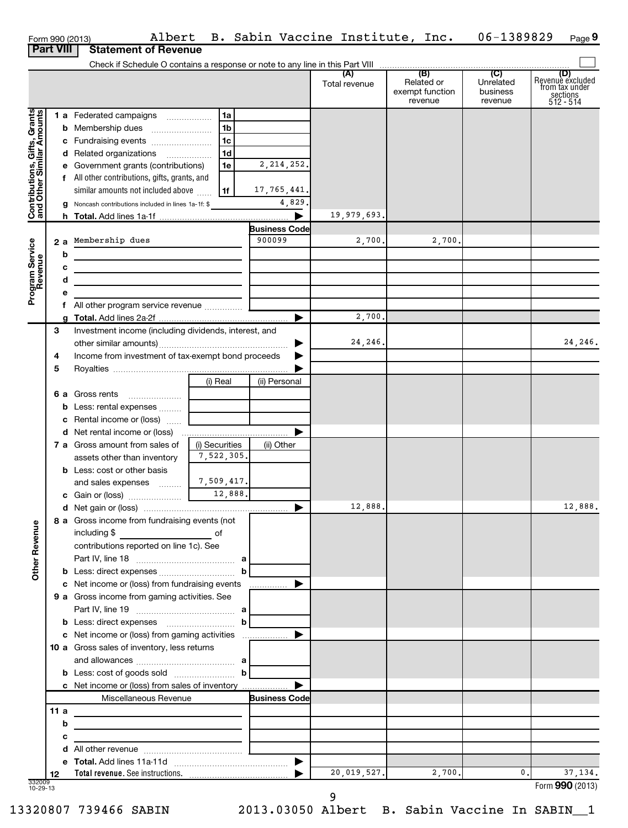|                                                           |                  | Albert<br>Form 990 (2013)                                                                                             |                             |                      | B. Sabin Vaccine Institute, Inc. |                                                 | 06-1389829                       | Page 9                                                             |
|-----------------------------------------------------------|------------------|-----------------------------------------------------------------------------------------------------------------------|-----------------------------|----------------------|----------------------------------|-------------------------------------------------|----------------------------------|--------------------------------------------------------------------|
|                                                           | <b>Part VIII</b> | <b>Statement of Revenue</b>                                                                                           |                             |                      |                                  |                                                 |                                  |                                                                    |
|                                                           |                  |                                                                                                                       |                             |                      |                                  |                                                 | $\overline{C}$                   |                                                                    |
|                                                           |                  |                                                                                                                       |                             |                      | (A)<br>Total revenue             | (B)<br>Related or<br>exempt function<br>revenue | Unrelated<br>business<br>revenue | (D)<br>Revenue excluded<br>from tax under<br>sections<br>512 - 514 |
|                                                           |                  | 1 a Federated campaigns                                                                                               | 1a                          |                      |                                  |                                                 |                                  |                                                                    |
| Contributions, Gifts, Grants<br>and Other Similar Amounts |                  |                                                                                                                       | 1 <sub>b</sub>              |                      |                                  |                                                 |                                  |                                                                    |
|                                                           |                  | c Fundraising events                                                                                                  | 1 <sub>c</sub>              |                      |                                  |                                                 |                                  |                                                                    |
|                                                           |                  | d Related organizations                                                                                               | 1d                          |                      |                                  |                                                 |                                  |                                                                    |
|                                                           | е                | Government grants (contributions)                                                                                     | 1e                          | 2, 214, 252.         |                                  |                                                 |                                  |                                                                    |
|                                                           |                  | f All other contributions, gifts, grants, and                                                                         |                             |                      |                                  |                                                 |                                  |                                                                    |
|                                                           |                  | similar amounts not included above                                                                                    | 1f                          | 17,765,441.          |                                  |                                                 |                                  |                                                                    |
|                                                           |                  | g Noncash contributions included in lines 1a-1f: \$                                                                   |                             | 4,829.               |                                  |                                                 |                                  |                                                                    |
|                                                           |                  |                                                                                                                       |                             |                      | 19,979,693.                      |                                                 |                                  |                                                                    |
|                                                           |                  |                                                                                                                       |                             | <b>Business Code</b> |                                  |                                                 |                                  |                                                                    |
|                                                           |                  | 2 a Membership dues                                                                                                   |                             | 900099               | 2,700.                           | 2,700.                                          |                                  |                                                                    |
|                                                           | b                |                                                                                                                       |                             |                      |                                  |                                                 |                                  |                                                                    |
|                                                           | с                | <u> 1989 - Johann John Stein, markin fan it ferstjer fan de ferstjer fan it ferstjer fan it ferstjer fan it fers</u>  |                             |                      |                                  |                                                 |                                  |                                                                    |
|                                                           | d                | <u> 1989 - Johann Harry Harry Harry Harry Harry Harry Harry Harry Harry Harry Harry Harry Harry Harry Harry Harry</u> |                             |                      |                                  |                                                 |                                  |                                                                    |
| Program Service<br>Revenue                                | е                |                                                                                                                       |                             |                      |                                  |                                                 |                                  |                                                                    |
|                                                           | f                | All other program service revenue <i>memining</i> [11222]                                                             |                             |                      | 2,700.                           |                                                 |                                  |                                                                    |
|                                                           | 3                | Investment income (including dividends, interest, and                                                                 |                             |                      |                                  |                                                 |                                  |                                                                    |
|                                                           |                  |                                                                                                                       |                             | ▶                    | 24,246.                          |                                                 |                                  | 24,246.                                                            |
|                                                           | 4                | Income from investment of tax-exempt bond proceeds                                                                    |                             |                      |                                  |                                                 |                                  |                                                                    |
|                                                           | 5                |                                                                                                                       |                             |                      |                                  |                                                 |                                  |                                                                    |
|                                                           |                  |                                                                                                                       | (i) Real                    | (ii) Personal        |                                  |                                                 |                                  |                                                                    |
|                                                           |                  | <b>6 a</b> Gross rents<br>$\ldots \ldots \ldots \ldots \ldots$                                                        |                             |                      |                                  |                                                 |                                  |                                                                    |
|                                                           | b                | Less: rental expenses                                                                                                 |                             |                      |                                  |                                                 |                                  |                                                                    |
|                                                           | с                | Rental income or (loss)                                                                                               |                             |                      |                                  |                                                 |                                  |                                                                    |
|                                                           |                  |                                                                                                                       |                             |                      |                                  |                                                 |                                  |                                                                    |
|                                                           |                  | 7 a Gross amount from sales of                                                                                        | (i) Securities              | (ii) Other           |                                  |                                                 |                                  |                                                                    |
|                                                           |                  | assets other than inventory                                                                                           | 7,522,305.                  |                      |                                  |                                                 |                                  |                                                                    |
|                                                           |                  | <b>b</b> Less: cost or other basis                                                                                    |                             |                      |                                  |                                                 |                                  |                                                                    |
|                                                           |                  | and sales expenses                                                                                                    | 7,509,417.                  |                      |                                  |                                                 |                                  |                                                                    |
|                                                           |                  |                                                                                                                       | $\frac{12,888.}{\sqrt{12}}$ |                      |                                  |                                                 |                                  |                                                                    |
|                                                           |                  | <b>d</b> Net gain or (loss) …………………………………………………… ▶                                                                    |                             |                      | 12,888.                          |                                                 |                                  | 12,888.                                                            |
|                                                           |                  | 8 a Gross income from fundraising events (not                                                                         |                             |                      |                                  |                                                 |                                  |                                                                    |
|                                                           |                  | including \$<br>$\overline{\text{C}}$ of                                                                              |                             |                      |                                  |                                                 |                                  |                                                                    |
| <b>Other Revenue</b>                                      |                  | contributions reported on line 1c). See                                                                               |                             |                      |                                  |                                                 |                                  |                                                                    |
|                                                           |                  |                                                                                                                       |                             |                      |                                  |                                                 |                                  |                                                                    |
|                                                           |                  | c Net income or (loss) from fundraising events                                                                        |                             |                      |                                  |                                                 |                                  |                                                                    |
|                                                           |                  | 9 a Gross income from gaming activities. See                                                                          |                             |                      |                                  |                                                 |                                  |                                                                    |
|                                                           |                  |                                                                                                                       |                             |                      |                                  |                                                 |                                  |                                                                    |
|                                                           |                  |                                                                                                                       |                             |                      |                                  |                                                 |                                  |                                                                    |
|                                                           |                  | c Net income or (loss) from gaming activities                                                                         |                             | ▶                    |                                  |                                                 |                                  |                                                                    |
|                                                           |                  | 10 a Gross sales of inventory, less returns                                                                           |                             |                      |                                  |                                                 |                                  |                                                                    |
|                                                           |                  |                                                                                                                       |                             |                      |                                  |                                                 |                                  |                                                                    |
|                                                           |                  | <b>b</b> Less: cost of goods sold $\begin{bmatrix} b \end{bmatrix}$                                                   |                             |                      |                                  |                                                 |                                  |                                                                    |
|                                                           |                  | c Net income or (loss) from sales of inventory                                                                        |                             |                      |                                  |                                                 |                                  |                                                                    |
|                                                           |                  | Miscellaneous Revenue                                                                                                 |                             | <b>Business Code</b> |                                  |                                                 |                                  |                                                                    |
|                                                           | 11 a             |                                                                                                                       |                             |                      |                                  |                                                 |                                  |                                                                    |
|                                                           | b                |                                                                                                                       |                             |                      |                                  |                                                 |                                  |                                                                    |
|                                                           | с                |                                                                                                                       |                             |                      |                                  |                                                 |                                  |                                                                    |
|                                                           | d                |                                                                                                                       |                             |                      |                                  |                                                 |                                  |                                                                    |
|                                                           | е                |                                                                                                                       |                             |                      |                                  |                                                 |                                  |                                                                    |
| 332009                                                    | 12               |                                                                                                                       |                             |                      | 20,019,527.                      | 2,700.                                          | 0.                               | 37, 134.                                                           |
| $10 - 29 - 13$                                            |                  |                                                                                                                       |                             |                      |                                  |                                                 |                                  | Form 990 (2013)                                                    |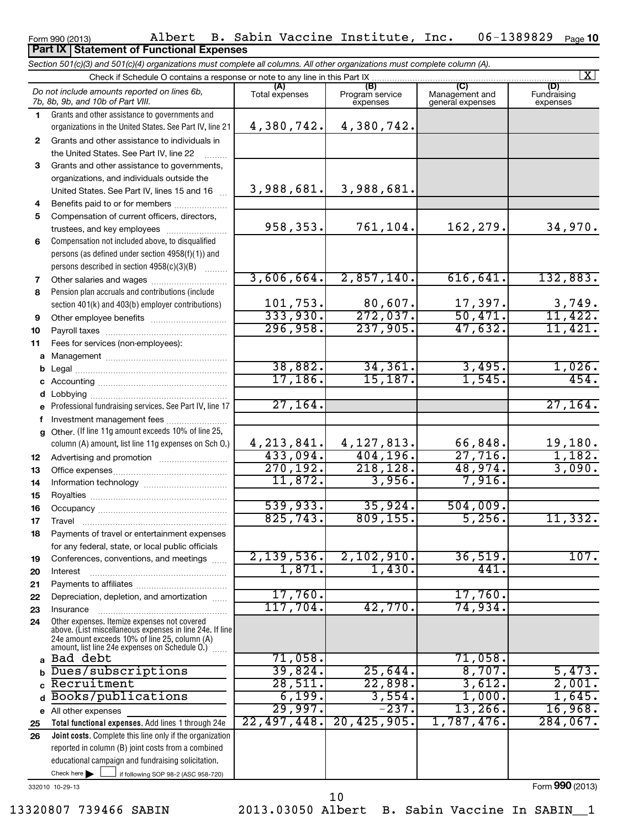Form 990 (2013) Albert B. Sabin Vaccine Institute, Inc. 06-1389829 Page 06-1389829 Page 10

# **Part IX Statement of Functional Expenses**

*Section 501(c)(3) and 501(c)(4) organizations must complete all columns. All other organizations must complete column (A).*

|              | $\lfloor x \rfloor$<br>Check if Schedule O contains a response or note to any line in this Part IX                                                          |                       |                                    |                                           |                                |  |  |  |  |  |  |  |
|--------------|-------------------------------------------------------------------------------------------------------------------------------------------------------------|-----------------------|------------------------------------|-------------------------------------------|--------------------------------|--|--|--|--|--|--|--|
|              | Do not include amounts reported on lines 6b,<br>7b, 8b, 9b, and 10b of Part VIII.                                                                           | (A)<br>Total expenses | (B)<br>Program service<br>expenses | (C)<br>Management and<br>general expenses | (D)<br>Fundraising<br>expenses |  |  |  |  |  |  |  |
| 1.           | Grants and other assistance to governments and                                                                                                              |                       |                                    |                                           |                                |  |  |  |  |  |  |  |
|              | organizations in the United States. See Part IV, line 21                                                                                                    | 4,380,742.            | 4,380,742.                         |                                           |                                |  |  |  |  |  |  |  |
| $\mathbf{2}$ | Grants and other assistance to individuals in                                                                                                               |                       |                                    |                                           |                                |  |  |  |  |  |  |  |
|              | the United States. See Part IV, line 22                                                                                                                     |                       |                                    |                                           |                                |  |  |  |  |  |  |  |
| 3            | Grants and other assistance to governments,                                                                                                                 |                       |                                    |                                           |                                |  |  |  |  |  |  |  |
|              | organizations, and individuals outside the                                                                                                                  |                       |                                    |                                           |                                |  |  |  |  |  |  |  |
|              | United States. See Part IV, lines 15 and 16                                                                                                                 | 3,988,681.            | 3,988,681.                         |                                           |                                |  |  |  |  |  |  |  |
| 4            | Benefits paid to or for members                                                                                                                             |                       |                                    |                                           |                                |  |  |  |  |  |  |  |
| 5            | Compensation of current officers, directors,                                                                                                                |                       |                                    |                                           |                                |  |  |  |  |  |  |  |
|              | trustees, and key employees                                                                                                                                 | 958,353.              | 761,104.                           | 162,279.                                  | 34,970.                        |  |  |  |  |  |  |  |
| 6            | Compensation not included above, to disqualified                                                                                                            |                       |                                    |                                           |                                |  |  |  |  |  |  |  |
|              | persons (as defined under section 4958(f)(1)) and                                                                                                           |                       |                                    |                                           |                                |  |  |  |  |  |  |  |
|              | persons described in section 4958(c)(3)(B)                                                                                                                  | 3,606,664.            | 2,857,140.                         | 616, 641.                                 | 132,883.                       |  |  |  |  |  |  |  |
| 7            | Other salaries and wages                                                                                                                                    |                       |                                    |                                           |                                |  |  |  |  |  |  |  |
| 8            | Pension plan accruals and contributions (include                                                                                                            | 101,753.              | 80,607.                            | 17,397.                                   | 3,749.                         |  |  |  |  |  |  |  |
|              | section 401(k) and 403(b) employer contributions)                                                                                                           | 333,930.              | 272,037.                           | 50,471.                                   | 11,422.                        |  |  |  |  |  |  |  |
| 9            |                                                                                                                                                             | 296,958.              | 237,905.                           | 47,632.                                   | 11,421.                        |  |  |  |  |  |  |  |
| 10           |                                                                                                                                                             |                       |                                    |                                           |                                |  |  |  |  |  |  |  |
| 11<br>a      | Fees for services (non-employees):                                                                                                                          |                       |                                    |                                           |                                |  |  |  |  |  |  |  |
| b            |                                                                                                                                                             | 38,882.               | 34, 361.                           | 3,495.                                    | 1,026.                         |  |  |  |  |  |  |  |
|              |                                                                                                                                                             | 17, 186.              | 15, 187.                           | 1,545.                                    | $\overline{454}$ .             |  |  |  |  |  |  |  |
| d            | Lobbying                                                                                                                                                    |                       |                                    |                                           |                                |  |  |  |  |  |  |  |
|              | Professional fundraising services. See Part IV, line 17                                                                                                     | 27, 164.              |                                    |                                           | 27, 164.                       |  |  |  |  |  |  |  |
| f            | Investment management fees                                                                                                                                  |                       |                                    |                                           |                                |  |  |  |  |  |  |  |
| a            | Other. (If line 11g amount exceeds 10% of line 25,                                                                                                          |                       |                                    |                                           |                                |  |  |  |  |  |  |  |
|              | column (A) amount, list line 11g expenses on Sch O.)                                                                                                        | 4, 213, 841.          | 4, 127, 813.                       | 66,848.                                   | 19,180.                        |  |  |  |  |  |  |  |
| 12           |                                                                                                                                                             | 433,094.              | 404, 196.                          | 27,716.                                   | 1,182.                         |  |  |  |  |  |  |  |
| 13           |                                                                                                                                                             | 270, 192.             | 218, 128.                          | 48,974.                                   | 3,090.                         |  |  |  |  |  |  |  |
| 14           |                                                                                                                                                             | 11,872.               | 3,956.                             | 7,916.                                    |                                |  |  |  |  |  |  |  |
| 15           |                                                                                                                                                             |                       |                                    |                                           |                                |  |  |  |  |  |  |  |
| 16           |                                                                                                                                                             | 539,933.              | 35,924.                            | 504,009.                                  |                                |  |  |  |  |  |  |  |
| 17           |                                                                                                                                                             | 825,743.              | 809, 155.                          | 5,256.                                    | 11,332.                        |  |  |  |  |  |  |  |
| 18           | Payments of travel or entertainment expenses                                                                                                                |                       |                                    |                                           |                                |  |  |  |  |  |  |  |
|              | for any federal, state, or local public officials                                                                                                           |                       |                                    |                                           |                                |  |  |  |  |  |  |  |
| 19           | Conferences, conventions, and meetings                                                                                                                      | 2,139,536.<br>1,871.  | 2,102,910.<br>1,430.               | 36,519.<br>441                            | 107.                           |  |  |  |  |  |  |  |
| 20           | Interest                                                                                                                                                    |                       |                                    |                                           |                                |  |  |  |  |  |  |  |
| 21           |                                                                                                                                                             | 17,760.               |                                    | 17,760.                                   |                                |  |  |  |  |  |  |  |
| 22<br>23     | Depreciation, depletion, and amortization<br>Insurance                                                                                                      | 117,704.              | 42,770.                            | 74,934.                                   |                                |  |  |  |  |  |  |  |
| 24           | Other expenses. Itemize expenses not covered                                                                                                                |                       |                                    |                                           |                                |  |  |  |  |  |  |  |
|              | above. (List miscellaneous expenses in line 24e. If line<br>24e amount exceeds 10% of line 25, column (A)<br>amount, list line 24e expenses on Schedule O.) |                       |                                    |                                           |                                |  |  |  |  |  |  |  |
| a            | Bad debt                                                                                                                                                    | 71,058.               |                                    | 71,058.                                   |                                |  |  |  |  |  |  |  |
| b            | Dues/subscriptions                                                                                                                                          | 39,824.               | 25,644.                            | 8,707.                                    | 5,473.                         |  |  |  |  |  |  |  |
| C            | Recruitment                                                                                                                                                 | $\overline{28,511}$ . | 22,898.                            | 3,612.                                    | 2,001.                         |  |  |  |  |  |  |  |
| d            | Books/publications                                                                                                                                          | 6,199.                | 3,554.                             | 1,000.                                    | 1,645.                         |  |  |  |  |  |  |  |
|              | e All other expenses                                                                                                                                        | 29,997.               | $-237.$                            | $13,266$ .                                | 16,968.                        |  |  |  |  |  |  |  |
| 25           | Total functional expenses. Add lines 1 through 24e                                                                                                          | 22,497,448.           | 20, 425, 905.                      | 1,787,476                                 | 284,067.                       |  |  |  |  |  |  |  |
| 26           | Joint costs. Complete this line only if the organization                                                                                                    |                       |                                    |                                           |                                |  |  |  |  |  |  |  |
|              | reported in column (B) joint costs from a combined                                                                                                          |                       |                                    |                                           |                                |  |  |  |  |  |  |  |
|              | educational campaign and fundraising solicitation.                                                                                                          |                       |                                    |                                           |                                |  |  |  |  |  |  |  |
|              | Check here<br>if following SOP 98-2 (ASC 958-720)                                                                                                           |                       |                                    |                                           | Form 990 (2013)                |  |  |  |  |  |  |  |
|              | 332010 10-29-13                                                                                                                                             |                       |                                    |                                           |                                |  |  |  |  |  |  |  |

13320807 739466 SABIN 2013.03050 Albert B. Sabin Vaccine In SABIN\_\_1

10

Form **990** (2013)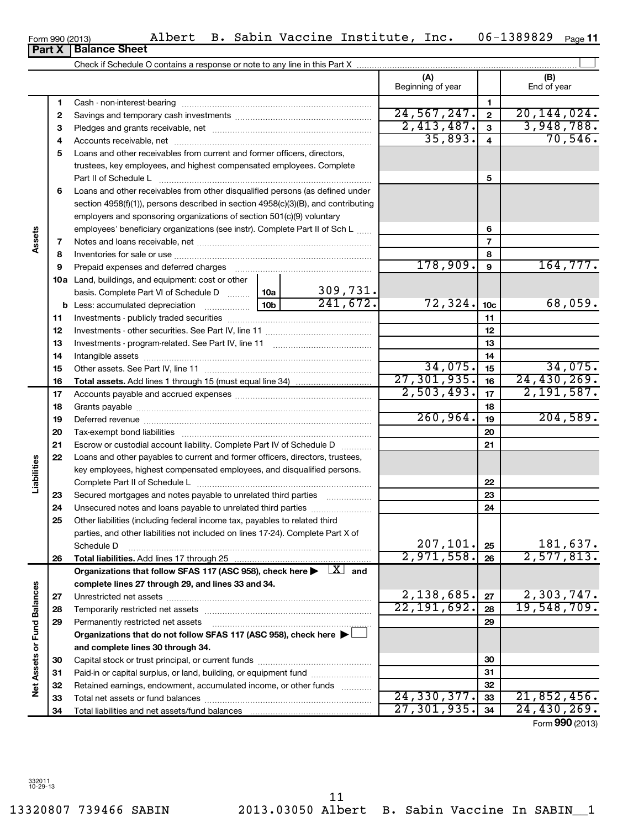Form 990 (2013) Albert B. Sabin Vaccine Institute, Inc. 06-1389829 <sub>Page</sub> 06-1389829 Page 11

|                             |          |                                                                                                                                                                                                                                |          |                            | (A)<br>Beginning of year |                 | (B)<br>End of year     |
|-----------------------------|----------|--------------------------------------------------------------------------------------------------------------------------------------------------------------------------------------------------------------------------------|----------|----------------------------|--------------------------|-----------------|------------------------|
|                             | 1        |                                                                                                                                                                                                                                |          |                            |                          | 1               |                        |
|                             | 2        |                                                                                                                                                                                                                                |          |                            | 24,567,247.              | $\mathbf 2$     | 20, 144, 024.          |
|                             | 3        |                                                                                                                                                                                                                                |          |                            | 2,413,487.               | $\mathbf{3}$    | 3,948,788.             |
|                             | 4        |                                                                                                                                                                                                                                |          |                            | 35,893.                  | 4               | 70, 546.               |
|                             | 5        | Loans and other receivables from current and former officers, directors,                                                                                                                                                       |          |                            |                          |                 |                        |
|                             |          | trustees, key employees, and highest compensated employees. Complete                                                                                                                                                           |          |                            |                          |                 |                        |
|                             |          | Part II of Schedule L                                                                                                                                                                                                          |          |                            |                          | 5               |                        |
|                             | 6        | Loans and other receivables from other disqualified persons (as defined under                                                                                                                                                  |          |                            |                          |                 |                        |
|                             |          | section 4958(f)(1)), persons described in section 4958(c)(3)(B), and contributing                                                                                                                                              |          |                            |                          |                 |                        |
|                             |          | employers and sponsoring organizations of section 501(c)(9) voluntary                                                                                                                                                          |          |                            |                          |                 |                        |
|                             |          | employees' beneficiary organizations (see instr). Complete Part II of Sch L                                                                                                                                                    |          |                            |                          | 6               |                        |
| Assets                      | 7        |                                                                                                                                                                                                                                |          |                            |                          | $\overline{7}$  |                        |
|                             | 8        |                                                                                                                                                                                                                                |          |                            |                          | 8               |                        |
|                             | 9        | Prepaid expenses and deferred charges [11] matter continuum matter and referred charges [11] matter continuum matter continuum matter and continuum matter continuum matter continuum matter continuum matter continuum matter |          |                            | 178,909.                 | 9               | 164, 777.              |
|                             |          | <b>10a</b> Land, buildings, and equipment: cost or other                                                                                                                                                                       |          |                            |                          |                 |                        |
|                             |          | basis. Complete Part VI of Schedule D  10a                                                                                                                                                                                     |          | $\frac{309,731}{241,672.}$ |                          |                 |                        |
|                             |          | $\frac{10b}{10b}$<br><b>b</b> Less: accumulated depreciation                                                                                                                                                                   |          |                            | 72,324.                  | 10 <sub>c</sub> | 68,059.                |
|                             | 11       |                                                                                                                                                                                                                                |          |                            |                          | 11              |                        |
|                             | 12       |                                                                                                                                                                                                                                |          |                            |                          | 12              |                        |
|                             | 13       |                                                                                                                                                                                                                                |          |                            |                          | 13              |                        |
|                             | 14       |                                                                                                                                                                                                                                |          |                            |                          | 14              |                        |
|                             | 15       |                                                                                                                                                                                                                                |          |                            | 34,075.                  | 15              | 34,075.                |
|                             | 16       |                                                                                                                                                                                                                                |          |                            | 27, 301, 935.            | 16              | 24,430,269.            |
|                             | 17       |                                                                                                                                                                                                                                |          |                            | 2,503,493.               | 17              | 2,191,587.             |
|                             | 18       |                                                                                                                                                                                                                                |          | 18                         |                          |                 |                        |
|                             | 19       |                                                                                                                                                                                                                                | 260,964. | 19                         | 204,589.                 |                 |                        |
|                             | 20       |                                                                                                                                                                                                                                |          |                            | 20                       |                 |                        |
|                             | 21       | Escrow or custodial account liability. Complete Part IV of Schedule D                                                                                                                                                          |          |                            |                          | 21              |                        |
|                             | 22       | Loans and other payables to current and former officers, directors, trustees,                                                                                                                                                  |          |                            |                          |                 |                        |
|                             |          | key employees, highest compensated employees, and disqualified persons.                                                                                                                                                        |          |                            |                          |                 |                        |
| Liabilities                 |          |                                                                                                                                                                                                                                |          |                            |                          | 22              |                        |
|                             | 23       | Secured mortgages and notes payable to unrelated third parties                                                                                                                                                                 |          |                            |                          | 23              |                        |
|                             | 24       | Unsecured notes and loans payable to unrelated third parties                                                                                                                                                                   |          |                            |                          | 24              |                        |
|                             | 25       | Other liabilities (including federal income tax, payables to related third                                                                                                                                                     |          |                            |                          |                 |                        |
|                             |          | parties, and other liabilities not included on lines 17-24). Complete Part X of                                                                                                                                                |          |                            |                          |                 |                        |
|                             |          | Schedule D                                                                                                                                                                                                                     |          |                            | 207, 101.<br>2,971,558.  | 25              | 181,637.<br>2,577,813. |
|                             | 26       | Total liabilities. Add lines 17 through 25                                                                                                                                                                                     |          |                            |                          | 26              |                        |
|                             |          | Organizations that follow SFAS 117 (ASC 958), check here $\blacktriangleright \begin{array}{c} \perp X \end{array}$ and                                                                                                        |          |                            |                          |                 |                        |
|                             |          | complete lines 27 through 29, and lines 33 and 34.                                                                                                                                                                             |          |                            | 2,138,685.               | 27              | 2,303,747.             |
|                             | 27       |                                                                                                                                                                                                                                |          |                            | $\overline{22,191,692.}$ | 28              | 19,548,709.            |
|                             | 28       |                                                                                                                                                                                                                                |          |                            |                          | 29              |                        |
|                             | 29       | Permanently restricted net assets<br>Organizations that do not follow SFAS 117 (ASC 958), check here $\blacktriangleright\!\!\!\perp$                                                                                          |          |                            |                          |                 |                        |
|                             |          |                                                                                                                                                                                                                                |          |                            |                          |                 |                        |
| Net Assets or Fund Balances |          | and complete lines 30 through 34.                                                                                                                                                                                              |          |                            |                          | 30              |                        |
|                             | 30<br>31 | Paid-in or capital surplus, or land, building, or equipment fund                                                                                                                                                               |          |                            |                          | 31              |                        |
|                             | 32       | Retained earnings, endowment, accumulated income, or other funds                                                                                                                                                               |          |                            |                          | 32              |                        |
|                             | 33       |                                                                                                                                                                                                                                |          |                            | 24, 330, 377.            | 33              | 21,852,456.            |
|                             | 34       | Total liabilities and net assets/fund balances                                                                                                                                                                                 |          |                            | 27, 301, 935.            | 34              | 24,430,269.            |
|                             |          |                                                                                                                                                                                                                                |          |                            |                          |                 | Form 990 (2013)        |

Check if Schedule O contains a response or note to any line in this Part X

 $\left| \begin{array}{c} \end{array} \right|$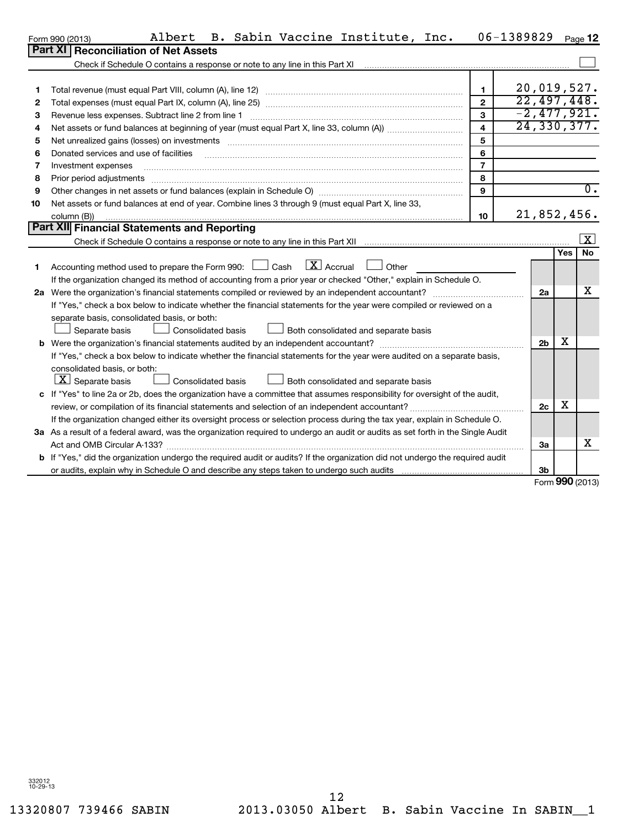$\overline{a}$ 

 $\overline{\phantom{0}}$ 

#### Form 990 (2013) Albert B. Sabin Vaccine Institute, Inc. 06-1389829 Page  $06 - 1389829$  Page 12

|    | <u>UHITUJU ILU IU</u>                                                                                                                                                                                                          |                         |                | ı auv      |                     |
|----|--------------------------------------------------------------------------------------------------------------------------------------------------------------------------------------------------------------------------------|-------------------------|----------------|------------|---------------------|
|    | Part XI   Reconciliation of Net Assets                                                                                                                                                                                         |                         |                |            |                     |
|    |                                                                                                                                                                                                                                |                         |                |            |                     |
|    |                                                                                                                                                                                                                                |                         |                |            |                     |
|    |                                                                                                                                                                                                                                | 1                       |                |            | 20,019,527.         |
| 2  |                                                                                                                                                                                                                                |                         |                |            | 22,497,448.         |
| 3  |                                                                                                                                                                                                                                | $\mathbf{3}$            |                |            | $-2,477,921.$       |
| 4  |                                                                                                                                                                                                                                | $\overline{\mathbf{4}}$ |                |            | 24,330,377.         |
| 5  | Net unrealized gains (losses) on investments [111] matter in the contract of the contract of the contract of the contract of the contract of the contract of the contract of the contract of the contract of the contract of t | 5                       |                |            |                     |
| 6  | Donated services and use of facilities                                                                                                                                                                                         | 6                       |                |            |                     |
| 7  | Investment expenses                                                                                                                                                                                                            | $\overline{7}$          |                |            |                     |
| 8  | Prior period adjustments www.communication.communication.communication.com/                                                                                                                                                    | 8                       |                |            |                     |
| 9  |                                                                                                                                                                                                                                |                         |                | 0.         |                     |
| 10 | Net assets or fund balances at end of year. Combine lines 3 through 9 (must equal Part X, line 33,                                                                                                                             |                         |                |            |                     |
|    | column (B))                                                                                                                                                                                                                    | 10                      |                |            | 21,852,456.         |
|    | <b>Part XII Financial Statements and Reporting</b>                                                                                                                                                                             |                         |                |            |                     |
|    |                                                                                                                                                                                                                                |                         |                |            | $\lfloor x \rfloor$ |
|    |                                                                                                                                                                                                                                |                         |                | <b>Yes</b> | <b>No</b>           |
| 1. | Accounting method used to prepare the Form 990: $\Box$ Cash $\Box X$ Accrual $\Box$ Other                                                                                                                                      |                         |                |            |                     |
|    | If the organization changed its method of accounting from a prior year or checked "Other," explain in Schedule O.                                                                                                              |                         |                |            |                     |
|    |                                                                                                                                                                                                                                |                         | 2a             |            | х                   |
|    | If "Yes," check a box below to indicate whether the financial statements for the year were compiled or reviewed on a                                                                                                           |                         |                |            |                     |
|    | separate basis, consolidated basis, or both:                                                                                                                                                                                   |                         |                |            |                     |
|    | <b>Consolidated basis</b><br>Both consolidated and separate basis<br>Separate basis                                                                                                                                            |                         |                |            |                     |
| b  |                                                                                                                                                                                                                                |                         | 2 <sub>b</sub> | х          |                     |
|    | If "Yes," check a box below to indicate whether the financial statements for the year were audited on a separate basis,                                                                                                        |                         |                |            |                     |
|    | consolidated basis, or both:                                                                                                                                                                                                   |                         |                |            |                     |
|    | $ \mathbf{X} $ Separate basis<br>Consolidated basis<br>Both consolidated and separate basis                                                                                                                                    |                         |                |            |                     |
|    | If "Yoo" to line 20 er 2b, does the examination house e committee that essumes responsibility for eyergiable of the qualit                                                                                                     |                         |                |            |                     |

| c If "Yes" to line 2a or 2b, does the organization have a committee that assumes responsibility for oversight of the audit,          |    |  |
|--------------------------------------------------------------------------------------------------------------------------------------|----|--|
| review, or compilation of its financial statements and selection of an independent accountant?                                       | 2c |  |
| If the organization changed either its oversight process or selection process during the tax year, explain in Schedule O.            |    |  |
| 3a As a result of a federal award, was the organization required to undergo an audit or audits as set forth in the Single Audit      |    |  |
| Act and OMB Circular A-133?                                                                                                          | За |  |
| <b>b</b> If "Yes," did the organization undergo the required audit or audits? If the organization did not undergo the required audit |    |  |
| or audits, explain why in Schedule O and describe any steps taken to undergo such audits                                             | 3b |  |

Form **990** (2013)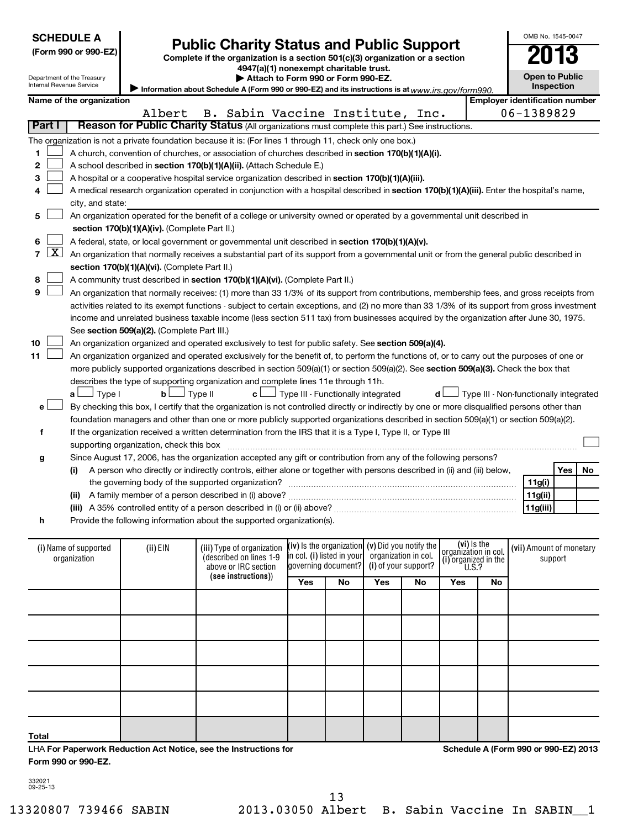| <b>SCHEDULE A</b> |
|-------------------|
|                   |

|  |  | (Form 990 or 990-E∠ |  |  |
|--|--|---------------------|--|--|
|  |  |                     |  |  |

Department of the Treasury

# **Public Charity Status and Public Support**<br> **Addition is a section 501(c)(3) organization or a section**<br>  $4947(a)(1)$  nonexempt charitable trust.

**(Form 990 or 990-EZ) Complete if the organization is a section 501(c)(3) organization or a section**

**| Attach to Form 990 or Form 990-EZ.** 

**Open to Public**

OMB No. 1545-0047

| Internal Revenue Service                   |                          |                                               | Information about Schedule A (Form 990 or 990-EZ) and its instructions is at $_{WWW.irs. gov/form}$ 990.                                      |                            |    |                                                                         |     |                                     |                                        |            | Inspection |                          |    |
|--------------------------------------------|--------------------------|-----------------------------------------------|-----------------------------------------------------------------------------------------------------------------------------------------------|----------------------------|----|-------------------------------------------------------------------------|-----|-------------------------------------|----------------------------------------|------------|------------|--------------------------|----|
|                                            | Name of the organization |                                               |                                                                                                                                               |                            |    |                                                                         |     |                                     | <b>Employer identification number</b>  |            |            |                          |    |
|                                            |                          | Albert                                        | B. Sabin Vaccine Institute, Inc.                                                                                                              |                            |    |                                                                         |     |                                     |                                        | 06-1389829 |            |                          |    |
| Part I                                     |                          |                                               | Reason for Public Charity Status (All organizations must complete this part.) See instructions.                                               |                            |    |                                                                         |     |                                     |                                        |            |            |                          |    |
|                                            |                          |                                               | The organization is not a private foundation because it is: (For lines 1 through 11, check only one box.)                                     |                            |    |                                                                         |     |                                     |                                        |            |            |                          |    |
| 1                                          |                          |                                               | A church, convention of churches, or association of churches described in section 170(b)(1)(A)(i).                                            |                            |    |                                                                         |     |                                     |                                        |            |            |                          |    |
| $\mathbf{2}$                               |                          |                                               | A school described in section 170(b)(1)(A)(ii). (Attach Schedule E.)                                                                          |                            |    |                                                                         |     |                                     |                                        |            |            |                          |    |
| 3                                          |                          |                                               | A hospital or a cooperative hospital service organization described in section 170(b)(1)(A)(iii).                                             |                            |    |                                                                         |     |                                     |                                        |            |            |                          |    |
| 4                                          |                          |                                               | A medical research organization operated in conjunction with a hospital described in section 170(b)(1)(A)(iii). Enter the hospital's name,    |                            |    |                                                                         |     |                                     |                                        |            |            |                          |    |
|                                            | city, and state:         |                                               |                                                                                                                                               |                            |    |                                                                         |     |                                     |                                        |            |            |                          |    |
| 5                                          |                          |                                               | An organization operated for the benefit of a college or university owned or operated by a governmental unit described in                     |                            |    |                                                                         |     |                                     |                                        |            |            |                          |    |
|                                            |                          | section 170(b)(1)(A)(iv). (Complete Part II.) |                                                                                                                                               |                            |    |                                                                         |     |                                     |                                        |            |            |                          |    |
|                                            |                          |                                               |                                                                                                                                               |                            |    |                                                                         |     |                                     |                                        |            |            |                          |    |
| 6<br>$\lfloor x \rfloor$<br>$\overline{7}$ |                          |                                               | A federal, state, or local government or governmental unit described in section 170(b)(1)(A)(v).                                              |                            |    |                                                                         |     |                                     |                                        |            |            |                          |    |
|                                            |                          |                                               | An organization that normally receives a substantial part of its support from a governmental unit or from the general public described in     |                            |    |                                                                         |     |                                     |                                        |            |            |                          |    |
|                                            |                          | section 170(b)(1)(A)(vi). (Complete Part II.) |                                                                                                                                               |                            |    |                                                                         |     |                                     |                                        |            |            |                          |    |
| 8                                          |                          |                                               | A community trust described in section 170(b)(1)(A)(vi). (Complete Part II.)                                                                  |                            |    |                                                                         |     |                                     |                                        |            |            |                          |    |
| 9                                          |                          |                                               | An organization that normally receives: (1) more than 33 1/3% of its support from contributions, membership fees, and gross receipts from     |                            |    |                                                                         |     |                                     |                                        |            |            |                          |    |
|                                            |                          |                                               | activities related to its exempt functions - subject to certain exceptions, and (2) no more than 33 1/3% of its support from gross investment |                            |    |                                                                         |     |                                     |                                        |            |            |                          |    |
|                                            |                          |                                               | income and unrelated business taxable income (less section 511 tax) from businesses acquired by the organization after June 30, 1975.         |                            |    |                                                                         |     |                                     |                                        |            |            |                          |    |
|                                            |                          | See section 509(a)(2). (Complete Part III.)   |                                                                                                                                               |                            |    |                                                                         |     |                                     |                                        |            |            |                          |    |
| 10                                         |                          |                                               | An organization organized and operated exclusively to test for public safety. See section 509(a)(4).                                          |                            |    |                                                                         |     |                                     |                                        |            |            |                          |    |
| 11                                         |                          |                                               | An organization organized and operated exclusively for the benefit of, to perform the functions of, or to carry out the purposes of one or    |                            |    |                                                                         |     |                                     |                                        |            |            |                          |    |
|                                            |                          |                                               | more publicly supported organizations described in section 509(a)(1) or section 509(a)(2). See section 509(a)(3). Check the box that          |                            |    |                                                                         |     |                                     |                                        |            |            |                          |    |
|                                            |                          |                                               | describes the type of supporting organization and complete lines 11e through 11h.                                                             |                            |    |                                                                         |     |                                     |                                        |            |            |                          |    |
|                                            | $a \Box$ Type I          | $\Box$ Type II<br>b <sub>l</sub>              |                                                                                                                                               |                            |    | $\mathbf{c}$ $\Box$ Type III - Functionally integrated                  | d l |                                     | Type III - Non-functionally integrated |            |            |                          |    |
| e                                          |                          |                                               | By checking this box, I certify that the organization is not controlled directly or indirectly by one or more disqualified persons other than |                            |    |                                                                         |     |                                     |                                        |            |            |                          |    |
|                                            |                          |                                               | foundation managers and other than one or more publicly supported organizations described in section 509(a)(1) or section 509(a)(2).          |                            |    |                                                                         |     |                                     |                                        |            |            |                          |    |
| f                                          |                          |                                               | If the organization received a written determination from the IRS that it is a Type I, Type II, or Type III                                   |                            |    |                                                                         |     |                                     |                                        |            |            |                          |    |
|                                            |                          | supporting organization, check this box       |                                                                                                                                               |                            |    |                                                                         |     |                                     |                                        |            |            |                          |    |
| g                                          |                          |                                               | Since August 17, 2006, has the organization accepted any gift or contribution from any of the following persons?                              |                            |    |                                                                         |     |                                     |                                        |            |            |                          |    |
|                                            | (i)                      |                                               | A person who directly or indirectly controls, either alone or together with persons described in (ii) and (iii) below,                        |                            |    |                                                                         |     |                                     |                                        |            |            | Yes                      | No |
|                                            |                          |                                               |                                                                                                                                               |                            |    |                                                                         |     |                                     |                                        |            | 11g(i)     |                          |    |
|                                            |                          |                                               |                                                                                                                                               |                            |    |                                                                         |     |                                     |                                        |            | 11g(ii)    |                          |    |
|                                            |                          |                                               |                                                                                                                                               |                            |    |                                                                         |     |                                     |                                        |            | 11g(iii)   |                          |    |
| h                                          |                          |                                               | Provide the following information about the supported organization(s).                                                                        |                            |    |                                                                         |     |                                     |                                        |            |            |                          |    |
|                                            |                          |                                               |                                                                                                                                               |                            |    |                                                                         |     |                                     |                                        |            |            |                          |    |
|                                            | (i) Name of supported    | (ii) EIN                                      | (iii) Type of organization<br>(described on lines 1-9                                                                                         | in col. (i) listed in your |    | (iv) is the organization (v) Did you notify the<br>organization in col. |     | (vi) Is the<br>organization in col. |                                        |            |            | (vii) Amount of monetary |    |
|                                            | organization             |                                               | above or IRC section                                                                                                                          | governing document?        |    | (i) of your support?                                                    |     | (i) organized in the<br>U.S.?       |                                        |            | support    |                          |    |
|                                            |                          |                                               | (see instructions))                                                                                                                           | Yes                        | No | Yes                                                                     | No  | Yes                                 | No                                     |            |            |                          |    |
|                                            |                          |                                               |                                                                                                                                               |                            |    |                                                                         |     |                                     |                                        |            |            |                          |    |

| Total |  |  |  |  |  |
|-------|--|--|--|--|--|

LHA **For Paperwork Reduction Act Notice, see the Instructions for Form 990 or 990-EZ.**

**Schedule A (Form 990 or 990-EZ) 2013**

332021 09-25-13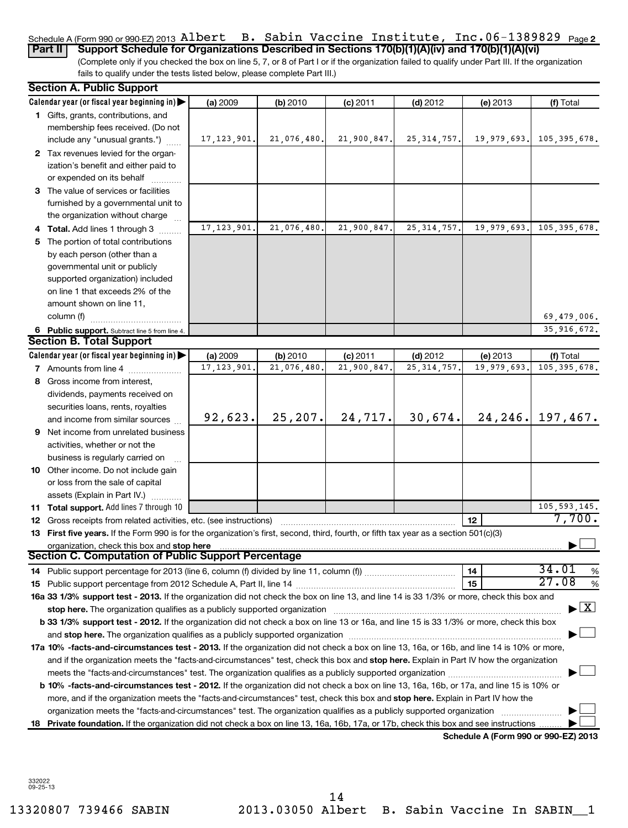### Schedule A (Form 990 or 990-EZ) 2013 <code>Albert B.</code> Sabin Vaccine Institute, Inc.06-1389829 <code>page2</code> **Part II** Support Schedule for Organizations Described in Sections 170(b)(1)(A)(iv) and 170(b)(1)(A)(vi)

(Complete only if you checked the box on line 5, 7, or 8 of Part I or if the organization failed to qualify under Part III. If the organization fails to qualify under the tests listed below, please complete Part III.)

| <b>Section A. Public Support</b>                                                                                                                                                                                               |               |             |             |               |                                      |                                          |
|--------------------------------------------------------------------------------------------------------------------------------------------------------------------------------------------------------------------------------|---------------|-------------|-------------|---------------|--------------------------------------|------------------------------------------|
| Calendar year (or fiscal year beginning in)                                                                                                                                                                                    | (a) 2009      | (b) 2010    | $(c)$ 2011  | $(d)$ 2012    | (e) 2013                             | (f) Total                                |
| 1 Gifts, grants, contributions, and<br>membership fees received. (Do not                                                                                                                                                       |               |             |             |               |                                      |                                          |
| include any "unusual grants.")                                                                                                                                                                                                 | 17, 123, 901. | 21,076,480. | 21,900,847. | 25, 314, 757. | 19,979,693.                          | 105, 395, 678.                           |
| 2 Tax revenues levied for the organ-<br>ization's benefit and either paid to                                                                                                                                                   |               |             |             |               |                                      |                                          |
| or expended on its behalf                                                                                                                                                                                                      |               |             |             |               |                                      |                                          |
| 3 The value of services or facilities                                                                                                                                                                                          |               |             |             |               |                                      |                                          |
| furnished by a governmental unit to                                                                                                                                                                                            |               |             |             |               |                                      |                                          |
| the organization without charge                                                                                                                                                                                                |               |             |             |               |                                      |                                          |
| 4 Total. Add lines 1 through 3                                                                                                                                                                                                 | 17, 123, 901. | 21,076,480  | 21,900,847  | 25, 314, 757. | 19,979,693.                          | 105, 395, 678.                           |
| 5 The portion of total contributions                                                                                                                                                                                           |               |             |             |               |                                      |                                          |
| by each person (other than a                                                                                                                                                                                                   |               |             |             |               |                                      |                                          |
| governmental unit or publicly                                                                                                                                                                                                  |               |             |             |               |                                      |                                          |
| supported organization) included                                                                                                                                                                                               |               |             |             |               |                                      |                                          |
| on line 1 that exceeds 2% of the                                                                                                                                                                                               |               |             |             |               |                                      |                                          |
| amount shown on line 11,                                                                                                                                                                                                       |               |             |             |               |                                      |                                          |
| column (f)                                                                                                                                                                                                                     |               |             |             |               |                                      | 69,479,006.                              |
| 6 Public support. Subtract line 5 from line 4.                                                                                                                                                                                 |               |             |             |               |                                      | 35,916,672.                              |
| <b>Section B. Total Support</b>                                                                                                                                                                                                |               |             |             |               |                                      |                                          |
| Calendar year (or fiscal year beginning in)                                                                                                                                                                                    | (a) 2009      | (b) 2010    | $(c)$ 2011  | $(d)$ 2012    | (e) 2013                             | (f) Total                                |
| <b>7</b> Amounts from line 4                                                                                                                                                                                                   | 17, 123, 901  | 21,076,480  | 21,900,847  | 25, 314, 757  | 19,979,693                           | 105, 395, 678.                           |
| 8 Gross income from interest,                                                                                                                                                                                                  |               |             |             |               |                                      |                                          |
| dividends, payments received on                                                                                                                                                                                                |               |             |             |               |                                      |                                          |
| securities loans, rents, royalties                                                                                                                                                                                             |               |             |             |               |                                      |                                          |
| and income from similar sources                                                                                                                                                                                                | 92,623.       | 25, 207.    | 24, 717.    | 30,674.       |                                      | $24, 246$ , 197, 467.                    |
| 9 Net income from unrelated business                                                                                                                                                                                           |               |             |             |               |                                      |                                          |
| activities, whether or not the                                                                                                                                                                                                 |               |             |             |               |                                      |                                          |
| business is regularly carried on                                                                                                                                                                                               |               |             |             |               |                                      |                                          |
| 10 Other income. Do not include gain                                                                                                                                                                                           |               |             |             |               |                                      |                                          |
| or loss from the sale of capital                                                                                                                                                                                               |               |             |             |               |                                      |                                          |
| assets (Explain in Part IV.)                                                                                                                                                                                                   |               |             |             |               |                                      |                                          |
| 11 Total support. Add lines 7 through 10                                                                                                                                                                                       |               |             |             |               |                                      | 105, 593, 145.                           |
| <b>12</b> Gross receipts from related activities, etc. (see instructions)                                                                                                                                                      |               |             |             |               | 12                                   | 7,700.                                   |
| 13 First five years. If the Form 990 is for the organization's first, second, third, fourth, or fifth tax year as a section 501(c)(3)                                                                                          |               |             |             |               |                                      |                                          |
| organization, check this box and stop here                                                                                                                                                                                     |               |             |             |               |                                      |                                          |
| <b>Section C. Computation of Public Support Percentage</b>                                                                                                                                                                     |               |             |             |               |                                      |                                          |
|                                                                                                                                                                                                                                |               |             |             |               | 14                                   | 34.01<br>%<br>27.08                      |
|                                                                                                                                                                                                                                |               |             |             |               | 15                                   | %                                        |
| 16a 33 1/3% support test - 2013. If the organization did not check the box on line 13, and line 14 is 33 1/3% or more, check this box and                                                                                      |               |             |             |               |                                      | $\blacktriangleright$ $\boxed{\text{X}}$ |
| stop here. The organization qualifies as a publicly supported organization manufactured content and the content of the state of the state of the state of the state of the state of the state of the state of the state of the |               |             |             |               |                                      |                                          |
| b 33 1/3% support test - 2012. If the organization did not check a box on line 13 or 16a, and line 15 is 33 1/3% or more, check this box                                                                                       |               |             |             |               |                                      |                                          |
|                                                                                                                                                                                                                                |               |             |             |               |                                      |                                          |
| 17a 10% -facts-and-circumstances test - 2013. If the organization did not check a box on line 13, 16a, or 16b, and line 14 is 10% or more,                                                                                     |               |             |             |               |                                      |                                          |
| and if the organization meets the "facts-and-circumstances" test, check this box and stop here. Explain in Part IV how the organization                                                                                        |               |             |             |               |                                      |                                          |
|                                                                                                                                                                                                                                |               |             |             |               |                                      |                                          |
| b 10% -facts-and-circumstances test - 2012. If the organization did not check a box on line 13, 16a, 16b, or 17a, and line 15 is 10% or                                                                                        |               |             |             |               |                                      |                                          |
| more, and if the organization meets the "facts-and-circumstances" test, check this box and stop here. Explain in Part IV how the                                                                                               |               |             |             |               |                                      |                                          |
| organization meets the "facts-and-circumstances" test. The organization qualifies as a publicly supported organization                                                                                                         |               |             |             |               |                                      |                                          |
| 18 Private foundation. If the organization did not check a box on line 13, 16a, 16b, 17a, or 17b, check this box and see instructions                                                                                          |               |             |             |               | Schedule A (Form 990 or 990-EZ) 2013 |                                          |
|                                                                                                                                                                                                                                |               |             |             |               |                                      |                                          |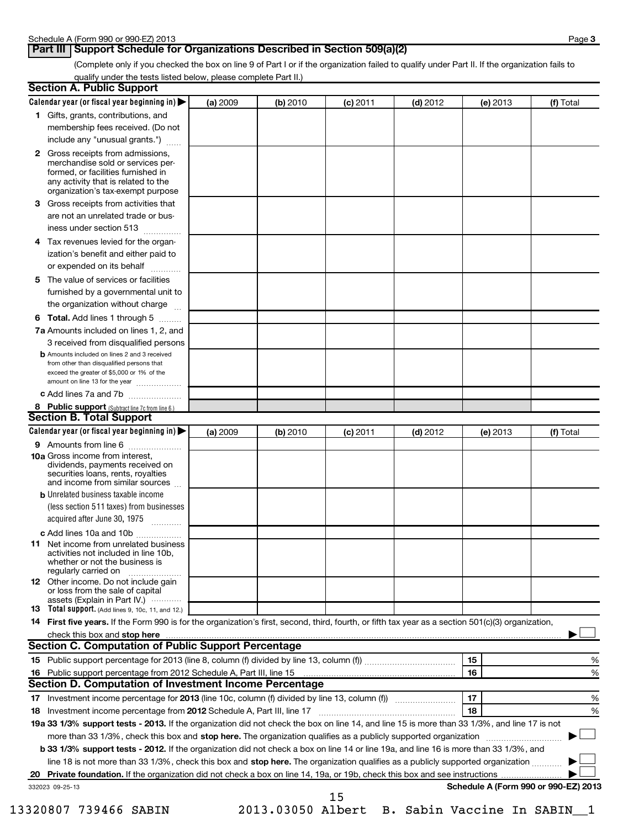# **Part III** Support Schedule for Organizations Described in Section 509(a)(2)

(Complete only if you checked the box on line 9 of Part I or if the organization failed to qualify under Part II. If the organization fails to qualify under the tests listed below, please complete Part II.)

|    | <b>Section A. Public Support</b>                                                                                                                                                                |          |          |            |            |                                      |           |
|----|-------------------------------------------------------------------------------------------------------------------------------------------------------------------------------------------------|----------|----------|------------|------------|--------------------------------------|-----------|
|    | Calendar year (or fiscal year beginning in)                                                                                                                                                     | (a) 2009 | (b) 2010 | (c) 2011   | $(d)$ 2012 | (e) 2013                             | (f) Total |
|    | 1 Gifts, grants, contributions, and                                                                                                                                                             |          |          |            |            |                                      |           |
|    | membership fees received. (Do not                                                                                                                                                               |          |          |            |            |                                      |           |
|    | include any "unusual grants.")                                                                                                                                                                  |          |          |            |            |                                      |           |
|    | <b>2</b> Gross receipts from admissions,<br>merchandise sold or services per-<br>formed, or facilities furnished in<br>any activity that is related to the<br>organization's tax-exempt purpose |          |          |            |            |                                      |           |
|    | 3 Gross receipts from activities that<br>are not an unrelated trade or bus-                                                                                                                     |          |          |            |            |                                      |           |
|    | iness under section 513                                                                                                                                                                         |          |          |            |            |                                      |           |
| 4  | Tax revenues levied for the organ-                                                                                                                                                              |          |          |            |            |                                      |           |
|    | ization's benefit and either paid to<br>or expended on its behalf                                                                                                                               |          |          |            |            |                                      |           |
|    | 5 The value of services or facilities                                                                                                                                                           |          |          |            |            |                                      |           |
|    | furnished by a governmental unit to<br>the organization without charge                                                                                                                          |          |          |            |            |                                      |           |
|    | <b>6 Total.</b> Add lines 1 through 5                                                                                                                                                           |          |          |            |            |                                      |           |
|    | 7a Amounts included on lines 1, 2, and                                                                                                                                                          |          |          |            |            |                                      |           |
|    | 3 received from disqualified persons                                                                                                                                                            |          |          |            |            |                                      |           |
|    | <b>b</b> Amounts included on lines 2 and 3 received<br>from other than disqualified persons that<br>exceed the greater of \$5,000 or 1% of the<br>amount on line 13 for the year                |          |          |            |            |                                      |           |
|    | c Add lines 7a and 7b                                                                                                                                                                           |          |          |            |            |                                      |           |
|    | 8 Public support (Subtract line 7c from line 6.)                                                                                                                                                |          |          |            |            |                                      |           |
|    | <b>Section B. Total Support</b>                                                                                                                                                                 |          |          |            |            |                                      |           |
|    | Calendar year (or fiscal year beginning in)                                                                                                                                                     | (a) 2009 | (b) 2010 | $(c)$ 2011 | $(d)$ 2012 | (e) 2013                             | (f) Total |
|    | 9 Amounts from line 6                                                                                                                                                                           |          |          |            |            |                                      |           |
|    | <b>10a</b> Gross income from interest,<br>dividends, payments received on<br>securities loans, rents, royalties<br>and income from similar sources                                              |          |          |            |            |                                      |           |
|    | <b>b</b> Unrelated business taxable income                                                                                                                                                      |          |          |            |            |                                      |           |
|    | (less section 511 taxes) from businesses                                                                                                                                                        |          |          |            |            |                                      |           |
|    | acquired after June 30, 1975<br>$\overline{\phantom{a}}$                                                                                                                                        |          |          |            |            |                                      |           |
|    | c Add lines 10a and 10b                                                                                                                                                                         |          |          |            |            |                                      |           |
|    | <b>11</b> Net income from unrelated business<br>activities not included in line 10b,<br>whether or not the business is<br>regularly carried on                                                  |          |          |            |            |                                      |           |
|    | 12 Other income. Do not include gain<br>or loss from the sale of capital<br>assets (Explain in Part IV.)                                                                                        |          |          |            |            |                                      |           |
|    | <b>13</b> Total support. (Add lines 9, 10c, 11, and 12.)                                                                                                                                        |          |          |            |            |                                      |           |
|    | 14 First five years. If the Form 990 is for the organization's first, second, third, fourth, or fifth tax year as a section 501(c)(3) organization,                                             |          |          |            |            |                                      |           |
|    | check this box and stop here manufactured and the state of the state of the state of the state of the state of                                                                                  |          |          |            |            |                                      |           |
|    | Section C. Computation of Public Support Percentage                                                                                                                                             |          |          |            |            |                                      |           |
|    |                                                                                                                                                                                                 |          |          |            |            | 15                                   | %         |
|    |                                                                                                                                                                                                 |          |          |            |            | 16                                   | %         |
|    | Section D. Computation of Investment Income Percentage                                                                                                                                          |          |          |            |            |                                      |           |
|    |                                                                                                                                                                                                 |          |          |            |            | 17                                   | %         |
|    | 18 Investment income percentage from 2012 Schedule A, Part III, line 17                                                                                                                         |          |          |            |            | 18                                   | %         |
|    | 19a 33 1/3% support tests - 2013. If the organization did not check the box on line 14, and line 15 is more than 33 1/3%, and line 17 is not                                                    |          |          |            |            |                                      |           |
|    | more than 33 1/3%, check this box and stop here. The organization qualifies as a publicly supported organization                                                                                |          |          |            |            |                                      |           |
|    | b 33 1/3% support tests - 2012. If the organization did not check a box on line 14 or line 19a, and line 16 is more than 33 1/3%, and                                                           |          |          |            |            |                                      |           |
|    | line 18 is not more than 33 1/3%, check this box and stop here. The organization qualifies as a publicly supported organization                                                                 |          |          |            |            |                                      |           |
| 20 |                                                                                                                                                                                                 |          |          |            |            |                                      |           |
|    | 332023 09-25-13                                                                                                                                                                                 |          |          | 15         |            | Schedule A (Form 990 or 990-EZ) 2013 |           |

13320807 739466 SABIN 2013.03050 Albert B. Sabin Vaccine In SABIN\_\_1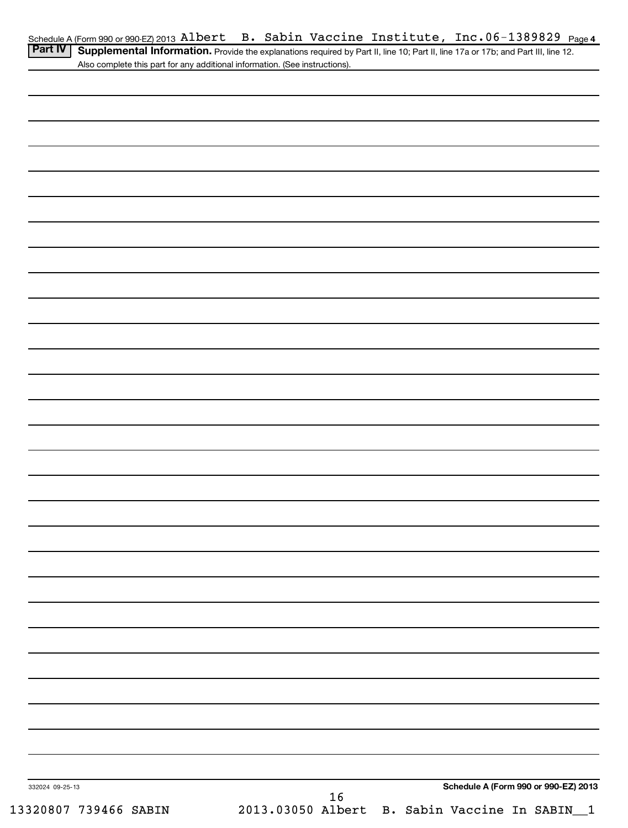| Part IV   Supplemental Information. Provide the explanations required by Part II, line 10; Part II, line 17a or 17b; and Part III, line 12. |  |
|---------------------------------------------------------------------------------------------------------------------------------------------|--|
| Also complete this part for any additional information. (See instructions).                                                                 |  |

| 332024 09-25-13       |                                                     | Schedule A (Form 990 or 990-EZ) 2013 |
|-----------------------|-----------------------------------------------------|--------------------------------------|
| 13320807 739466 SABIN | 16<br>2013.03050 Albert B. Sabin Vaccine In SABIN_1 |                                      |
|                       |                                                     |                                      |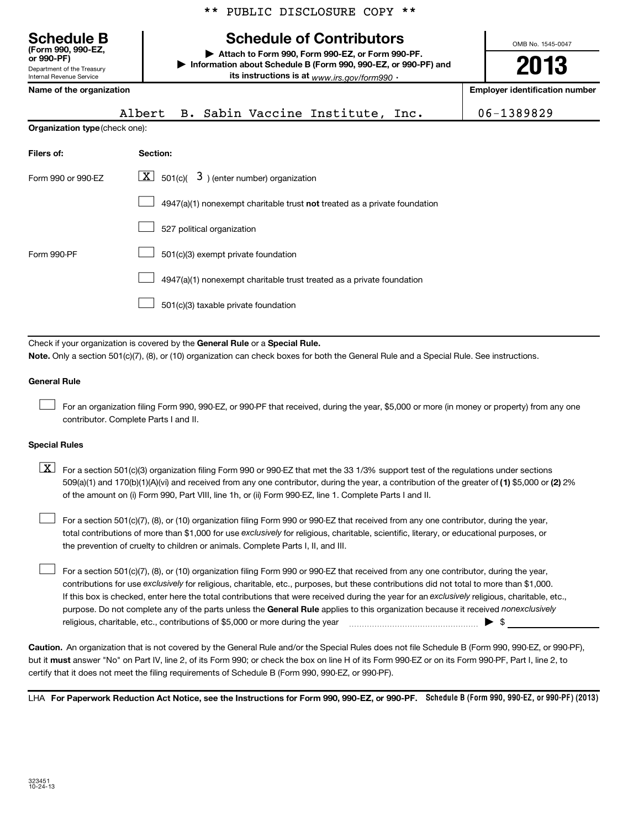|  |  | ** PUBLIC DISCLOSURE COPY ** |  |  |
|--|--|------------------------------|--|--|
|--|--|------------------------------|--|--|

| <b>Schedule B</b><br>(Form 990, 990-EZ.<br>or 990-PF) |
|-------------------------------------------------------|
| Department of the Treasury                            |

Department of the Treasury Internal Revenue Service

# **Schedule of Contributors**

**or 990-PF) | Attach to Form 990, Form 990-EZ, or Form 990-PF. | Information about Schedule B (Form 990, 990-EZ, or 990-PF) and its instructions is at** <sub>www.irs.gov/form990  $\cdot$ </sub>

OMB No. 1545-0047 **2013**

**Name of the organization Employer identification number**

|  |  | A1h |  |
|--|--|-----|--|

|  |  | ert B. Sabin Vaccine Institute, Inc. | 06-1389829 |
|--|--|--------------------------------------|------------|

**Organization type** (check one):

| Filers of:         | Section:                                                                  |
|--------------------|---------------------------------------------------------------------------|
| Form 990 or 990-EZ | $\lfloor \underline{X} \rfloor$ 501(c)( 3) (enter number) organization    |
|                    | 4947(a)(1) nonexempt charitable trust not treated as a private foundation |
|                    | 527 political organization                                                |
| Form 990-PF        | 501(c)(3) exempt private foundation                                       |
|                    | 4947(a)(1) nonexempt charitable trust treated as a private foundation     |
|                    | 501(c)(3) taxable private foundation                                      |

Check if your organization is covered by the General Rule or a Special Rule. **Note.**  Only a section 501(c)(7), (8), or (10) organization can check boxes for both the General Rule and a Special Rule. See instructions.

#### **General Rule**

For an organization filing Form 990, 990-EZ, or 990-PF that received, during the year, \$5,000 or more (in money or property) from any one contributor. Complete Parts I and II.  $\left\vert \cdot\right\vert$ 

#### **Special Rules**

509(a)(1) and 170(b)(1)(A)(vi) and received from any one contributor, during the year, a contribution of the greater of (1**)** \$5,000 or (**2**) 2%  $\boxed{\textbf{X}}$  For a section 501(c)(3) organization filing Form 990 or 990-EZ that met the 33 1/3% support test of the regulations under sections of the amount on (i) Form 990, Part VIII, line 1h, or (ii) Form 990-EZ, line 1. Complete Parts I and II.

total contributions of more than \$1,000 for use exclusively for religious, charitable, scientific, literary, or educational purposes, or For a section 501(c)(7), (8), or (10) organization filing Form 990 or 990-EZ that received from any one contributor, during the year, the prevention of cruelty to children or animals. Complete Parts I, II, and III.  $\left\vert \cdot\right\vert$ 

purpose. Do not complete any of the parts unless the General Rule applies to this organization because it received nonexclusively contributions for use exclusively for religious, charitable, etc., purposes, but these contributions did not total to more than \$1,000. If this box is checked, enter here the total contributions that were received during the year for an exclusively religious, charitable, etc., For a section 501(c)(7), (8), or (10) organization filing Form 990 or 990-EZ that received from any one contributor, during the year, religious, charitable, etc., contributions of \$5,000 or more during the year  $\Box$   $\Box$   $\Box$   $\Box$  $\left\vert \cdot\right\vert$ 

**Caution.** An organization that is not covered by the General Rule and/or the Special Rules does not file Schedule B (Form 990, 990-EZ, or 990-PF),  **must** but it answer "No" on Part IV, line 2, of its Form 990; or check the box on line H of its Form 990-EZ or on its Form 990-PF, Part I, line 2, to certify that it does not meet the filing requirements of Schedule B (Form 990, 990-EZ, or 990-PF).

LHA For Paperwork Reduction Act Notice, see the Instructions for Form 990, 990-EZ, or 990-PF. Schedule B (Form 990, 990-EZ, or 990-PF) (2013)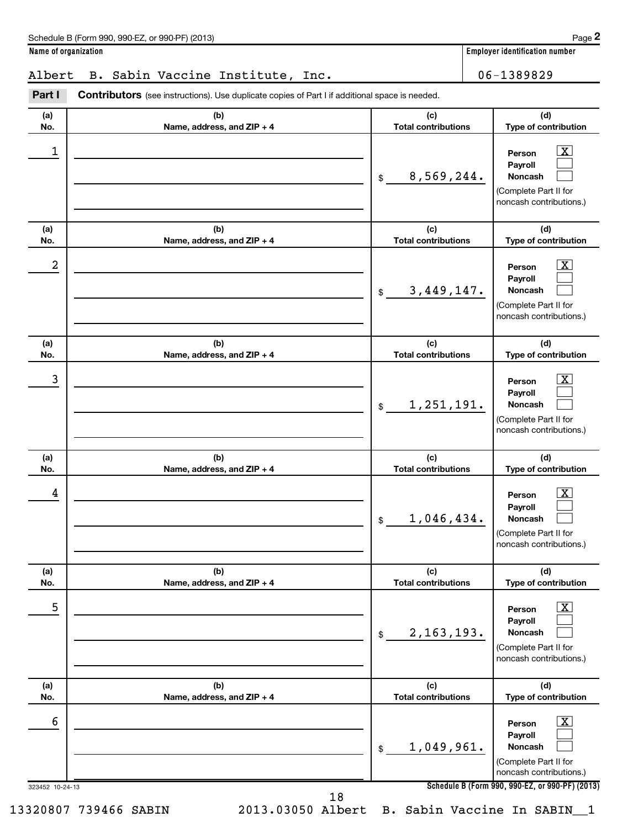**Name of organization Employer identification number**

# Albert B. Sabin Vaccine Institute, Inc. | 06-1389829

323452 10-24-13 **Schedule B (Form 990, 990-EZ, or 990-PF) (2013) (a) No. (b) Name, address, and ZIP + 4 (c) Total contributions (d) Type of contribution Person Payroll Noncash (a) No. (b) Name, address, and ZIP + 4 (c) Total contributions (d) Type of contribution Person Payroll Noncash (a) No. (b) Name, address, and ZIP + 4 (c) Total contributions (d) Type of contribution Person Payroll Noncash (a) No. (b) Name, address, and ZIP + 4 (c) Total contributions (d) Type of contribution Person Payroll Noncash (a) No. (b) Name, address, and ZIP + 4 (c) Total contributions (d) Type of contribution Person Payroll Noncash (a) No. (b) Name, address, and ZIP + 4 (c) Total contributions (d) Type of contribution Person Payroll Noncash** Part I Contributors (see instructions). Use duplicate copies of Part I if additional space is needed. \$ (Complete Part II for noncash contributions.) \$ (Complete Part II for noncash contributions.) \$ (Complete Part II for noncash contributions.) \$ (Complete Part II for noncash contributions.) \$ (Complete Part II for noncash contributions.)  $$$ (Complete Part II for noncash contributions.)  $\overline{X}$  $\Box$  $\Box$  $\lfloor x \rfloor$  $\Box$  $\Box$  $\vert$  X  $\vert$  $\Box$  $\Box$  $\overline{X}$  $\Box$  $\Box$  $\lfloor x \rfloor$  $\Box$  $\Box$  $\vert$  X  $\vert$  $\Box$  $\Box$ 1 X 8,569,244.  $2$  Person  $\overline{\text{X}}$ 3,449,147. 3 X 1,251,191.  $\begin{array}{|c|c|c|c|c|}\hline \text{4} & \text{Person} & \text{X} \ \hline \end{array}$ 1,046,434. 5 X 2,163,193.  $\overline{6}$  Person  $\overline{X}$ 1,049,961. 18

13320807 739466 SABIN 2013.03050 Albert B. Sabin Vaccine In SABIN\_\_1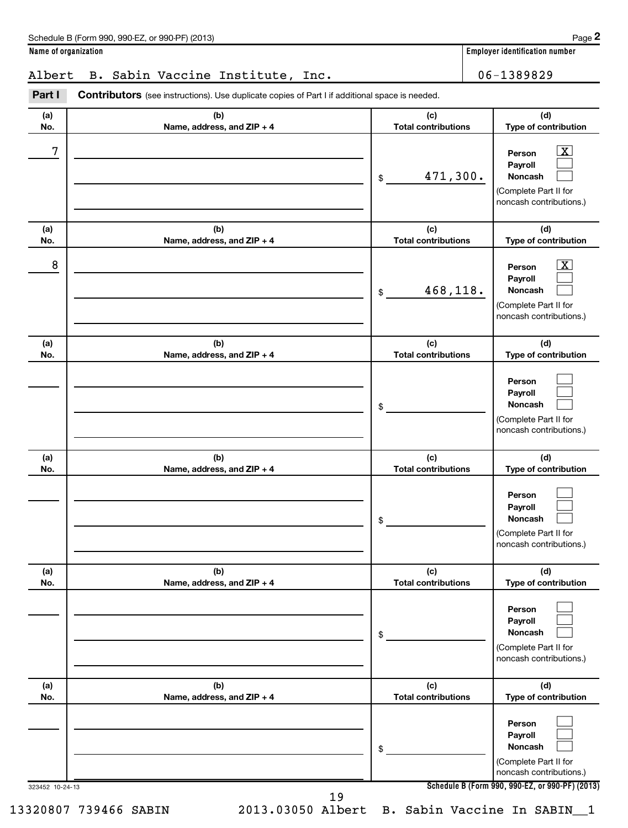| Schedule B (Form 990, 990-EZ, or 990-PF) (2013) | Page |
|-------------------------------------------------|------|
|-------------------------------------------------|------|

**Name of organization Employer identification number**

# Albert B. Sabin Vaccine Institute, Inc. | 06-1389829

323452 10-24-13 **Schedule B (Form 990, 990-EZ, or 990-PF) (2013) (a) No. (b) Name, address, and ZIP + 4 (c) Total contributions (d) Type of contribution Person Payroll Noncash (a) No. (b) Name, address, and ZIP + 4 (c) Total contributions (d) Type of contribution Person Payroll Noncash (a) No. (b) Name, address, and ZIP + 4 (c) Total contributions (d) Type of contribution Person Payroll Noncash (a) No. (b) Name, address, and ZIP + 4 (c) Total contributions (d) Type of contribution Person Payroll Noncash (a) No. (b) Name, address, and ZIP + 4 (c) Total contributions (d) Type of contribution Person Payroll Noncash (a) No. (b) Name, address, and ZIP + 4 (c) Total contributions (d) Type of contribution Person Payroll Noncash** Part I Contributors (see instructions). Use duplicate copies of Part I if additional space is needed. \$ (Complete Part II for noncash contributions.) \$ (Complete Part II for noncash contributions.) \$ (Complete Part II for noncash contributions.) \$ (Complete Part II for noncash contributions.) \$ (Complete Part II for noncash contributions.) \$ (Complete Part II for noncash contributions.)  $\overline{\mathbf{x}}$  $\Box$  $\Box$  $\boxed{\textbf{X}}$  $\Box$  $\Box$  $\Box$  $\Box$  $\Box$  $\Box$  $\Box$  $\Box$  $\Box$  $\Box$  $\Box$  $\Box$  $\Box$  $\Box$  $7$   $|$  Person  $\overline{\text{X}}$ 471,300.  $8$  Person  $\overline{\text{X}}$ 468,118. 13320807 739466 SABIN 2013.03050 Albert B. Sabin Vaccine In SABIN\_\_1 19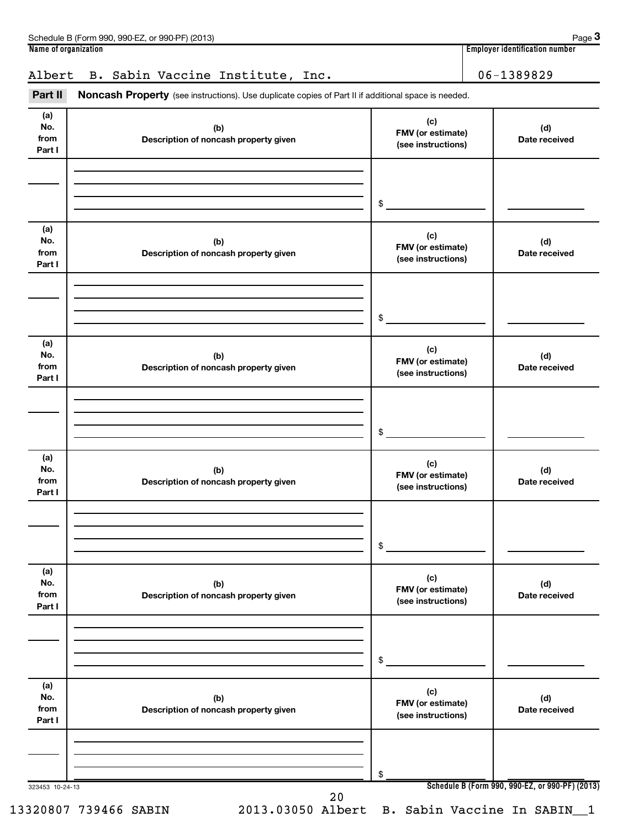|                              | Schedule B (Form 990, 990-EZ, or 990-PF) (2013)                                                            |                                                       | Page 3                                |
|------------------------------|------------------------------------------------------------------------------------------------------------|-------------------------------------------------------|---------------------------------------|
| Name of organization         |                                                                                                            |                                                       | <b>Employer identification number</b> |
| Albert                       | B. Sabin Vaccine Institute, Inc.                                                                           |                                                       | 06-1389829                            |
| Part II                      | <b>Noncash Property</b> (see instructions). Use duplicate copies of Part II if additional space is needed. |                                                       |                                       |
| (a)<br>No.<br>from<br>Part I | (b)<br>Description of noncash property given                                                               | (c)<br><b>FMV</b> (or estimate)<br>(see instructions) | (d)<br>Date received                  |
|                              |                                                                                                            | \$.                                                   |                                       |
| (a)<br>No.                   | (b)                                                                                                        | (c)<br><b>FMV</b> (or estimate)                       | (d)                                   |

|                              |                                              | \$                                             |                                                 |
|------------------------------|----------------------------------------------|------------------------------------------------|-------------------------------------------------|
|                              |                                              |                                                |                                                 |
| (a)<br>No.<br>from<br>Part I | (b)<br>Description of noncash property given | (c)<br>FMV (or estimate)<br>(see instructions) | (d)<br>Date received                            |
|                              |                                              |                                                |                                                 |
|                              |                                              |                                                |                                                 |
|                              |                                              | \$                                             |                                                 |
| (a)<br>No.<br>from<br>Part I | (b)<br>Description of noncash property given | (c)<br>FMV (or estimate)<br>(see instructions) | (d)<br>Date received                            |
|                              |                                              |                                                |                                                 |
|                              |                                              |                                                |                                                 |
|                              |                                              | \$                                             |                                                 |
| (a)                          |                                              | (c)                                            |                                                 |
| No.<br>from<br>Part I        | (b)<br>Description of noncash property given | FMV (or estimate)<br>(see instructions)        | (d)<br>Date received                            |
|                              |                                              |                                                |                                                 |
|                              |                                              |                                                |                                                 |
|                              |                                              | \$                                             |                                                 |
| (a)                          |                                              | (c)                                            |                                                 |
| No.<br>from<br>Part I        | (b)<br>Description of noncash property given | FMV (or estimate)<br>(see instructions)        | (d)<br>Date received                            |
|                              |                                              |                                                |                                                 |
|                              |                                              |                                                |                                                 |
|                              |                                              | \$                                             |                                                 |
| (a)<br>No.                   |                                              | (c)                                            |                                                 |
| from<br>Part I               | (b)<br>Description of noncash property given | FMV (or estimate)<br>(see instructions)        | (d)<br>Date received                            |
|                              |                                              |                                                |                                                 |
|                              |                                              |                                                |                                                 |
| 323453 10-24-13              |                                              | \$                                             | Schedule B (Form 990, 990-EZ, or 990-PF) (2013) |
|                              | 20                                           |                                                |                                                 |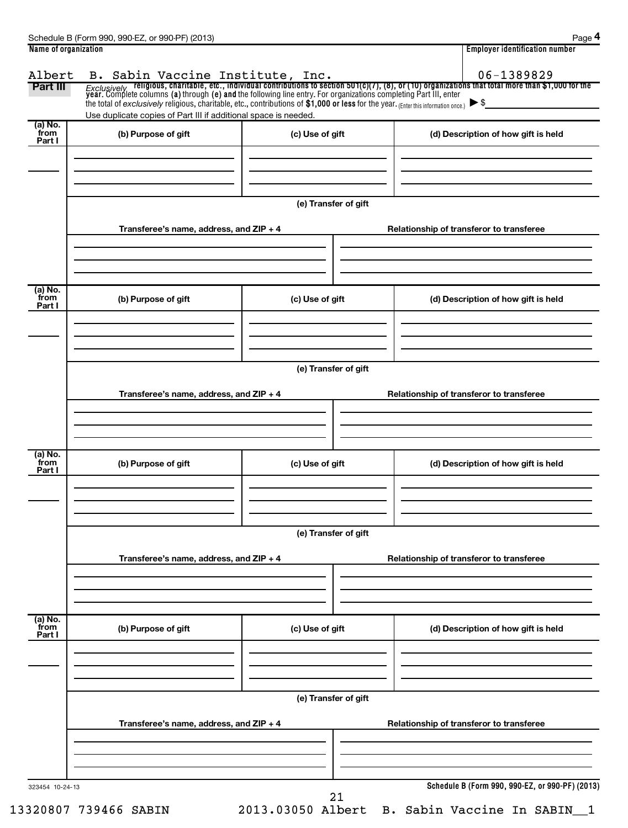| Part III                  | the total of exclusively religious, charitable, etc., contributions of $$1,000$ or less for the year. (Enter this information once.) $\triangleright$ \$<br>Use duplicate copies of Part III if additional space is needed. |                      | B. Sabin Vaccine Institute, Inc. $06-1389829$<br>Exclusively religious, charitable, etc., individual contributions to section 501(c)(7), (8), or (10) organizations that total more than \$1,000 for the year. Complete columns ( |  |  |  |
|---------------------------|-----------------------------------------------------------------------------------------------------------------------------------------------------------------------------------------------------------------------------|----------------------|-----------------------------------------------------------------------------------------------------------------------------------------------------------------------------------------------------------------------------------|--|--|--|
| (a) No.<br>from<br>Part I | (b) Purpose of gift                                                                                                                                                                                                         | (c) Use of gift      | (d) Description of how gift is held                                                                                                                                                                                               |  |  |  |
|                           | Transferee's name, address, and ZIP + 4                                                                                                                                                                                     | (e) Transfer of gift | Relationship of transferor to transferee                                                                                                                                                                                          |  |  |  |
| (a) No.<br>from<br>Part I | (b) Purpose of gift                                                                                                                                                                                                         | (c) Use of gift      | (d) Description of how gift is held                                                                                                                                                                                               |  |  |  |
|                           | Transferee's name, address, and ZIP + 4                                                                                                                                                                                     | (e) Transfer of gift | Relationship of transferor to transferee                                                                                                                                                                                          |  |  |  |
| (a) No.<br>from<br>Part I | (b) Purpose of gift                                                                                                                                                                                                         | (c) Use of gift      | (d) Description of how gift is held                                                                                                                                                                                               |  |  |  |
|                           | Transferee's name, address, and ZIP + 4                                                                                                                                                                                     | (e) Transfer of gift | Relationship of transferor to transferee                                                                                                                                                                                          |  |  |  |
|                           |                                                                                                                                                                                                                             |                      |                                                                                                                                                                                                                                   |  |  |  |
| (a) No.<br>from<br>Part I | (b) Purpose of gift                                                                                                                                                                                                         | (c) Use of gift      | (d) Description of how gift is held                                                                                                                                                                                               |  |  |  |
|                           |                                                                                                                                                                                                                             | (e) Transfer of gift |                                                                                                                                                                                                                                   |  |  |  |
|                           | Transferee's name, address, and ZIP + 4                                                                                                                                                                                     |                      | Relationship of transferor to transferee                                                                                                                                                                                          |  |  |  |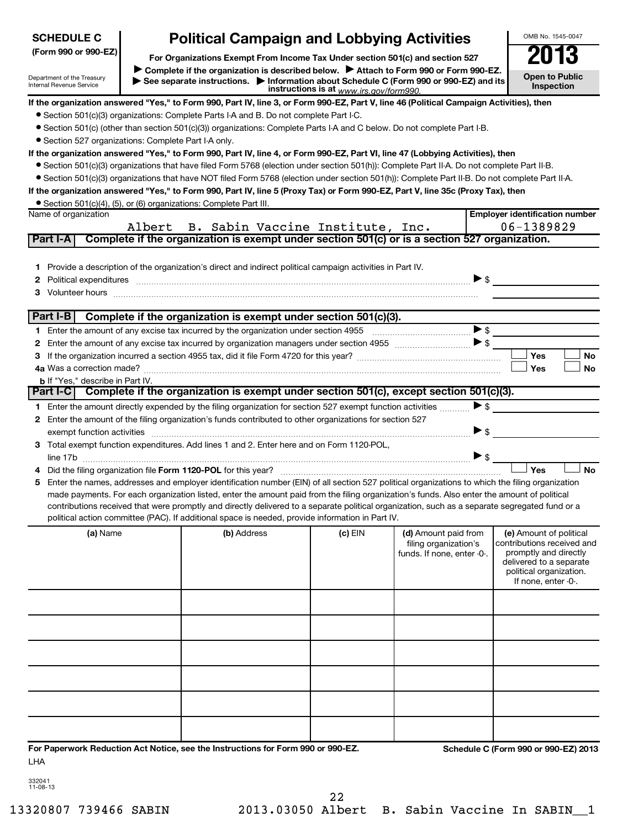| <b>SCHEDULE C</b>                                                  | <b>Political Campaign and Lobbying Activities</b>                                                                                                                                                                                                                                                |                                         |                            |                          | OMB No. 1545-0047                                |
|--------------------------------------------------------------------|--------------------------------------------------------------------------------------------------------------------------------------------------------------------------------------------------------------------------------------------------------------------------------------------------|-----------------------------------------|----------------------------|--------------------------|--------------------------------------------------|
| (Form 990 or 990-EZ)                                               | For Organizations Exempt From Income Tax Under section 501(c) and section 527                                                                                                                                                                                                                    |                                         |                            |                          |                                                  |
|                                                                    | Complete if the organization is described below.<br>Attach to Form 990 or Form 990-EZ.                                                                                                                                                                                                           |                                         |                            |                          |                                                  |
| Department of the Treasury<br>Internal Revenue Service             | See separate instructions. Information about Schedule C (Form 990 or 990-EZ) and its                                                                                                                                                                                                             | instructions is at www.irs.gov/form990. |                            |                          | <b>Open to Public</b><br><b>Inspection</b>       |
|                                                                    | If the organization answered "Yes," to Form 990, Part IV, line 3, or Form 990-EZ, Part V, line 46 (Political Campaign Activities), then                                                                                                                                                          |                                         |                            |                          |                                                  |
|                                                                    | • Section 501(c)(3) organizations: Complete Parts I-A and B. Do not complete Part I-C.                                                                                                                                                                                                           |                                         |                            |                          |                                                  |
|                                                                    | • Section 501(c) (other than section 501(c)(3)) organizations: Complete Parts I-A and C below. Do not complete Part I-B.                                                                                                                                                                         |                                         |                            |                          |                                                  |
| • Section 527 organizations: Complete Part I-A only.               |                                                                                                                                                                                                                                                                                                  |                                         |                            |                          |                                                  |
|                                                                    | If the organization answered "Yes," to Form 990, Part IV, line 4, or Form 990-EZ, Part VI, line 47 (Lobbying Activities), then<br>● Section 501(c)(3) organizations that have filed Form 5768 (election under section 501(h)): Complete Part II-A. Do not complete Part II-B.                    |                                         |                            |                          |                                                  |
|                                                                    | • Section 501(c)(3) organizations that have NOT filed Form 5768 (election under section 501(h)): Complete Part II-B. Do not complete Part II-A.                                                                                                                                                  |                                         |                            |                          |                                                  |
|                                                                    | If the organization answered "Yes," to Form 990, Part IV, line 5 (Proxy Tax) or Form 990-EZ, Part V, line 35c (Proxy Tax), then                                                                                                                                                                  |                                         |                            |                          |                                                  |
| • Section 501(c)(4), (5), or (6) organizations: Complete Part III. |                                                                                                                                                                                                                                                                                                  |                                         |                            |                          |                                                  |
| Name of organization                                               |                                                                                                                                                                                                                                                                                                  |                                         |                            |                          | <b>Employer identification number</b>            |
|                                                                    | Albert B. Sabin Vaccine Institute, Inc.                                                                                                                                                                                                                                                          |                                         |                            |                          | 06-1389829                                       |
| Part I-A                                                           | Complete if the organization is exempt under section 501(c) or is a section 527 organization.                                                                                                                                                                                                    |                                         |                            |                          |                                                  |
|                                                                    |                                                                                                                                                                                                                                                                                                  |                                         |                            |                          |                                                  |
|                                                                    | 1 Provide a description of the organization's direct and indirect political campaign activities in Part IV.                                                                                                                                                                                      |                                         |                            |                          |                                                  |
|                                                                    | 2 Political expenditures manufacture content and content and content and content and content and content and content and content and content and content and content and content and content and content and content and conte                                                                   |                                         |                            | $\blacktriangleright$ \$ |                                                  |
|                                                                    | 3 Volunteer hours <b>construction of the construction of the construction of the construction</b> of the construction of the construction of the construction of the construction of the construction of the construction of the co                                                              |                                         |                            |                          |                                                  |
| Part I-B                                                           | Complete if the organization is exempt under section 501(c)(3).                                                                                                                                                                                                                                  |                                         |                            |                          |                                                  |
|                                                                    |                                                                                                                                                                                                                                                                                                  |                                         |                            | $\blacktriangleright$ \$ |                                                  |
|                                                                    |                                                                                                                                                                                                                                                                                                  |                                         |                            |                          |                                                  |
| з                                                                  |                                                                                                                                                                                                                                                                                                  |                                         |                            |                          | Yes<br>No                                        |
| 4a Was a correction made?                                          |                                                                                                                                                                                                                                                                                                  |                                         |                            |                          | Yes<br>No                                        |
| <b>b</b> If "Yes," describe in Part IV.                            |                                                                                                                                                                                                                                                                                                  |                                         |                            |                          |                                                  |
| Part I-CI                                                          | Complete if the organization is exempt under section 501(c), except section 501(c)(3).                                                                                                                                                                                                           |                                         |                            |                          |                                                  |
|                                                                    | 1 Enter the amount directly expended by the filing organization for section 527 exempt function activities                                                                                                                                                                                       |                                         |                            | >                        |                                                  |
|                                                                    | 2 Enter the amount of the filing organization's funds contributed to other organizations for section 527                                                                                                                                                                                         |                                         |                            |                          |                                                  |
| exempt function activities                                         |                                                                                                                                                                                                                                                                                                  |                                         |                            | $\blacktriangleright$ \$ |                                                  |
|                                                                    | 3 Total exempt function expenditures. Add lines 1 and 2. Enter here and on Form 1120-POL,                                                                                                                                                                                                        |                                         |                            |                          |                                                  |
| line 17b                                                           |                                                                                                                                                                                                                                                                                                  |                                         |                            | $\blacktriangleright$ \$ |                                                  |
|                                                                    |                                                                                                                                                                                                                                                                                                  |                                         |                            |                          | Yes<br>No                                        |
|                                                                    | 5 Enter the names, addresses and employer identification number (EIN) of all section 527 political organizations to which the filing organization<br>made payments. For each organization listed, enter the amount paid from the filing organization's funds. Also enter the amount of political |                                         |                            |                          |                                                  |
|                                                                    | contributions received that were promptly and directly delivered to a separate political organization, such as a separate segregated fund or a                                                                                                                                                   |                                         |                            |                          |                                                  |
|                                                                    | political action committee (PAC). If additional space is needed, provide information in Part IV.                                                                                                                                                                                                 |                                         |                            |                          |                                                  |
| (a) Name                                                           | (b) Address                                                                                                                                                                                                                                                                                      | (c) EIN                                 | (d) Amount paid from       |                          | (e) Amount of political                          |
|                                                                    |                                                                                                                                                                                                                                                                                                  |                                         | filing organization's      |                          | contributions received and                       |
|                                                                    |                                                                                                                                                                                                                                                                                                  |                                         | funds. If none, enter -0-. |                          | promptly and directly<br>delivered to a separate |
|                                                                    |                                                                                                                                                                                                                                                                                                  |                                         |                            |                          | political organization.                          |
|                                                                    |                                                                                                                                                                                                                                                                                                  |                                         |                            |                          | If none, enter -0-.                              |
|                                                                    |                                                                                                                                                                                                                                                                                                  |                                         |                            |                          |                                                  |
|                                                                    |                                                                                                                                                                                                                                                                                                  |                                         |                            |                          |                                                  |
|                                                                    |                                                                                                                                                                                                                                                                                                  |                                         |                            |                          |                                                  |
|                                                                    |                                                                                                                                                                                                                                                                                                  |                                         |                            |                          |                                                  |
|                                                                    |                                                                                                                                                                                                                                                                                                  |                                         |                            |                          |                                                  |
|                                                                    |                                                                                                                                                                                                                                                                                                  |                                         |                            |                          |                                                  |
|                                                                    |                                                                                                                                                                                                                                                                                                  |                                         |                            |                          |                                                  |
|                                                                    |                                                                                                                                                                                                                                                                                                  |                                         |                            |                          |                                                  |
|                                                                    |                                                                                                                                                                                                                                                                                                  |                                         |                            |                          |                                                  |
|                                                                    |                                                                                                                                                                                                                                                                                                  |                                         |                            |                          |                                                  |
|                                                                    |                                                                                                                                                                                                                                                                                                  |                                         |                            |                          |                                                  |
| LHA                                                                | For Paperwork Reduction Act Notice, see the Instructions for Form 990 or 990-EZ.                                                                                                                                                                                                                 |                                         |                            |                          | Schedule C (Form 990 or 990-EZ) 2013             |

| 332041  |
|---------|
| 1-08-13 |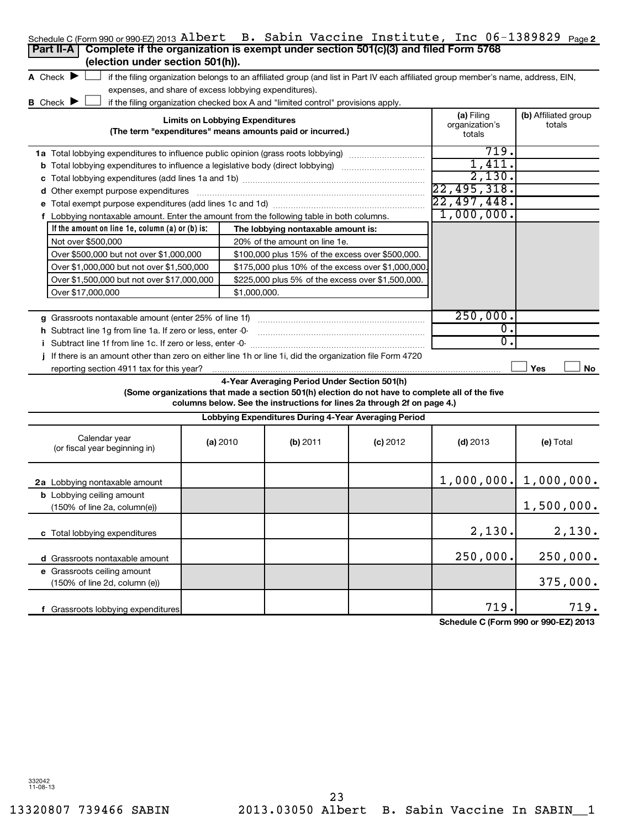| Schedule C (Form 990 or 990-EZ) 2013 Albert B. Sabin Vaccine Institute, Inc 06-1389829 Page 2<br>Complete if the organization is exempt under section 501(c)(3) and filed Form 5768<br>Part II-A<br>(election under section 501(h)). |                                        |                                                                                  |                                                                                                                                                                            |                                        |                                      |
|--------------------------------------------------------------------------------------------------------------------------------------------------------------------------------------------------------------------------------------|----------------------------------------|----------------------------------------------------------------------------------|----------------------------------------------------------------------------------------------------------------------------------------------------------------------------|----------------------------------------|--------------------------------------|
| A Check $\blacktriangleright$                                                                                                                                                                                                        |                                        |                                                                                  | if the filing organization belongs to an affiliated group (and list in Part IV each affiliated group member's name, address, EIN,                                          |                                        |                                      |
| expenses, and share of excess lobbying expenditures).                                                                                                                                                                                |                                        |                                                                                  |                                                                                                                                                                            |                                        |                                      |
| <b>B</b> Check $\blacktriangleright$                                                                                                                                                                                                 |                                        | if the filing organization checked box A and "limited control" provisions apply. |                                                                                                                                                                            |                                        |                                      |
|                                                                                                                                                                                                                                      | <b>Limits on Lobbying Expenditures</b> | (The term "expenditures" means amounts paid or incurred.)                        |                                                                                                                                                                            | (a) Filing<br>organization's<br>totals | (b) Affiliated group<br>totals       |
| <b>1a</b> Total lobbying expenditures to influence public opinion (grass roots lobbying)                                                                                                                                             |                                        |                                                                                  |                                                                                                                                                                            | 719.                                   |                                      |
| <b>b</b> Total lobbying expenditures to influence a legislative body (direct lobbying) <i>manumumumum</i>                                                                                                                            | 1,411.                                 |                                                                                  |                                                                                                                                                                            |                                        |                                      |
|                                                                                                                                                                                                                                      |                                        |                                                                                  |                                                                                                                                                                            | 2,130.                                 |                                      |
| d Other exempt purpose expenditures                                                                                                                                                                                                  |                                        |                                                                                  |                                                                                                                                                                            | 22,495,318.                            |                                      |
|                                                                                                                                                                                                                                      |                                        |                                                                                  |                                                                                                                                                                            | 22,497,448.                            |                                      |
| f Lobbying nontaxable amount. Enter the amount from the following table in both columns.                                                                                                                                             |                                        |                                                                                  |                                                                                                                                                                            | 1,000,000.                             |                                      |
| If the amount on line 1e, column $(a)$ or $(b)$ is:                                                                                                                                                                                  |                                        | The lobbying nontaxable amount is:                                               |                                                                                                                                                                            |                                        |                                      |
| Not over \$500,000                                                                                                                                                                                                                   |                                        | 20% of the amount on line 1e.                                                    |                                                                                                                                                                            |                                        |                                      |
| Over \$500,000 but not over \$1,000,000                                                                                                                                                                                              |                                        | \$100,000 plus 15% of the excess over \$500,000.                                 |                                                                                                                                                                            |                                        |                                      |
| Over \$1,000,000 but not over \$1,500,000                                                                                                                                                                                            |                                        |                                                                                  | \$175,000 plus 10% of the excess over \$1,000,000.                                                                                                                         |                                        |                                      |
| Over \$1,500,000 but not over \$17,000,000                                                                                                                                                                                           |                                        | \$225,000 plus 5% of the excess over \$1,500,000.                                |                                                                                                                                                                            |                                        |                                      |
| Over \$17,000,000                                                                                                                                                                                                                    | \$1,000,000.                           |                                                                                  |                                                                                                                                                                            |                                        |                                      |
|                                                                                                                                                                                                                                      |                                        |                                                                                  |                                                                                                                                                                            | 250,000.                               |                                      |
| g Grassroots nontaxable amount (enter 25% of line 1f)                                                                                                                                                                                |                                        |                                                                                  |                                                                                                                                                                            | 0.                                     |                                      |
| h Subtract line 1g from line 1a. If zero or less, enter -0-                                                                                                                                                                          |                                        |                                                                                  |                                                                                                                                                                            | 0.                                     |                                      |
| i Subtract line 1f from line 1c. If zero or less, enter -0-<br>j If there is an amount other than zero on either line 1h or line 1i, did the organization file Form 4720                                                             |                                        |                                                                                  |                                                                                                                                                                            |                                        |                                      |
| reporting section 4911 tax for this year?                                                                                                                                                                                            |                                        |                                                                                  |                                                                                                                                                                            |                                        | Yes<br>No                            |
|                                                                                                                                                                                                                                      |                                        | 4-Year Averaging Period Under Section 501(h)                                     | (Some organizations that made a section 501(h) election do not have to complete all of the five<br>columns below. See the instructions for lines 2a through 2f on page 4.) |                                        |                                      |
|                                                                                                                                                                                                                                      |                                        |                                                                                  | Lobbying Expenditures During 4-Year Averaging Period                                                                                                                       |                                        |                                      |
| Calendar year<br>(or fiscal year beginning in)                                                                                                                                                                                       | (a) 2010                               | (b) 2011                                                                         | $(c)$ 2012                                                                                                                                                                 | $(d)$ 2013                             | (e) Total                            |
| <b>2a</b> Lobbying nontaxable amount                                                                                                                                                                                                 |                                        |                                                                                  |                                                                                                                                                                            |                                        | $1,000,000.$ $1,000,000.$            |
| <b>b</b> Lobbying ceiling amount<br>(150% of line 2a, column(e))                                                                                                                                                                     |                                        |                                                                                  |                                                                                                                                                                            |                                        | 1,500,000.                           |
| c Total lobbying expenditures                                                                                                                                                                                                        |                                        |                                                                                  |                                                                                                                                                                            | 2,130.                                 | 2,130.                               |
| d Grassroots nontaxable amount                                                                                                                                                                                                       |                                        |                                                                                  |                                                                                                                                                                            | 250,000.                               | 250,000.                             |
| e Grassroots ceiling amount<br>(150% of line 2d, column (e))                                                                                                                                                                         |                                        |                                                                                  |                                                                                                                                                                            |                                        | 375,000.                             |
| f Grassroots lobbying expenditures                                                                                                                                                                                                   |                                        |                                                                                  |                                                                                                                                                                            | 719.                                   | 719.                                 |
|                                                                                                                                                                                                                                      |                                        |                                                                                  |                                                                                                                                                                            |                                        | Schedule C (Form 990 or 990-EZ) 2013 |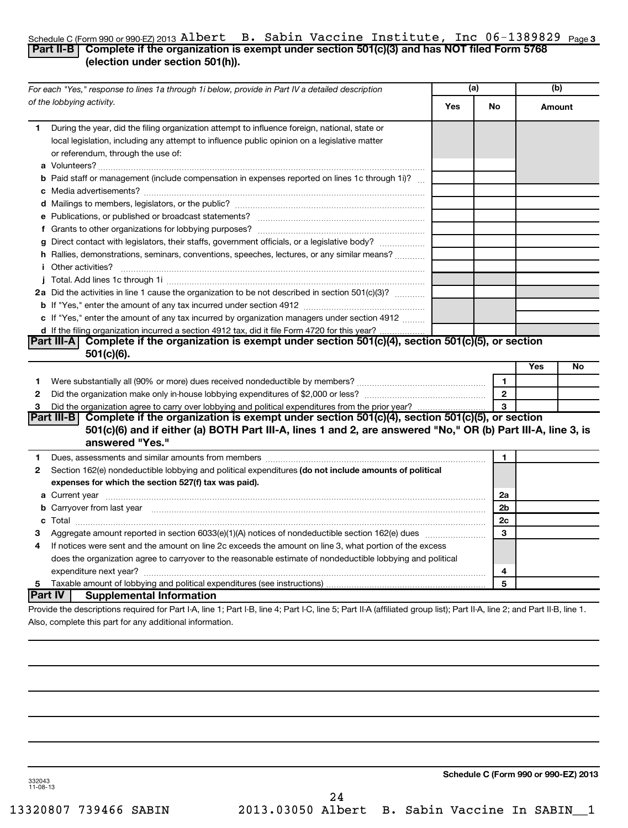#### Schedule C (Form 990 or 990-EZ) 2013 AL**Dert B. SaD1n Vacc1ne Institute, Inc U**b-1389829 <sub>Page</sub> 3 Albert B. Sabin Vaccine Institute, Inc 06-1389829

## **Part II-B Complete if the organization is exempt under section 501(c)(3) and has NOT filed Form 5768 (election under section 501(h)).**

|              | For each "Yes," response to lines 1a through 1i below, provide in Part IV a detailed description                                                                                                                                                                                                                                                                                                                                                                                                                                                                         | (a) |                | (b)    |    |
|--------------|--------------------------------------------------------------------------------------------------------------------------------------------------------------------------------------------------------------------------------------------------------------------------------------------------------------------------------------------------------------------------------------------------------------------------------------------------------------------------------------------------------------------------------------------------------------------------|-----|----------------|--------|----|
|              | of the lobbying activity.                                                                                                                                                                                                                                                                                                                                                                                                                                                                                                                                                | Yes | No             | Amount |    |
| 1            | During the year, did the filing organization attempt to influence foreign, national, state or<br>local legislation, including any attempt to influence public opinion on a legislative matter<br>or referendum, through the use of:                                                                                                                                                                                                                                                                                                                                      |     |                |        |    |
|              | <b>b</b> Paid staff or management (include compensation in expenses reported on lines 1c through 1i)?                                                                                                                                                                                                                                                                                                                                                                                                                                                                    |     |                |        |    |
|              |                                                                                                                                                                                                                                                                                                                                                                                                                                                                                                                                                                          |     |                |        |    |
|              |                                                                                                                                                                                                                                                                                                                                                                                                                                                                                                                                                                          |     |                |        |    |
|              |                                                                                                                                                                                                                                                                                                                                                                                                                                                                                                                                                                          |     |                |        |    |
|              | g Direct contact with legislators, their staffs, government officials, or a legislative body?                                                                                                                                                                                                                                                                                                                                                                                                                                                                            |     |                |        |    |
|              | h Rallies, demonstrations, seminars, conventions, speeches, lectures, or any similar means?<br><i>i</i> Other activities?<br>$\begin{minipage}{0.5\textwidth} \begin{tabular}{ l l l } \hline \multicolumn{1}{ l l l } \hline \multicolumn{1}{ l l } \multicolumn{1}{ l } \multicolumn{1}{ l } \multicolumn{1}{ l } \multicolumn{1}{ l } \multicolumn{1}{ l } \multicolumn{1}{ l } \multicolumn{1}{ l } \multicolumn{1}{ l } \multicolumn{1}{ l } \multicolumn{1}{ l } \multicolumn{1}{ l } \multicolumn{1}{ l } \multicolumn{1}{ l } \multicolumn{1}{ l } \multicolumn$ |     |                |        |    |
|              |                                                                                                                                                                                                                                                                                                                                                                                                                                                                                                                                                                          |     |                |        |    |
|              | 2a Did the activities in line 1 cause the organization to be not described in section 501(c)(3)?                                                                                                                                                                                                                                                                                                                                                                                                                                                                         |     |                |        |    |
|              |                                                                                                                                                                                                                                                                                                                                                                                                                                                                                                                                                                          |     |                |        |    |
|              | c If "Yes," enter the amount of any tax incurred by organization managers under section 4912                                                                                                                                                                                                                                                                                                                                                                                                                                                                             |     |                |        |    |
|              | d If the filing organization incurred a section 4912 tax, did it file Form 4720 for this year?                                                                                                                                                                                                                                                                                                                                                                                                                                                                           |     |                |        |    |
|              | Part III-A Complete if the organization is exempt under section 501(c)(4), section 501(c)(5), or section<br>$501(c)(6)$ .                                                                                                                                                                                                                                                                                                                                                                                                                                                |     |                |        |    |
|              |                                                                                                                                                                                                                                                                                                                                                                                                                                                                                                                                                                          |     |                | Yes    | No |
| 1.           | Were substantially all (90% or more) dues received nondeductible by members? <i>manually all (90% or more</i> ) dues received nondeductible by members?                                                                                                                                                                                                                                                                                                                                                                                                                  |     | $\blacksquare$ |        |    |
| 2            |                                                                                                                                                                                                                                                                                                                                                                                                                                                                                                                                                                          |     | $\overline{2}$ |        |    |
| 3            | Did the organization agree to carry over lobbying and political expenditures from the prior year?                                                                                                                                                                                                                                                                                                                                                                                                                                                                        |     | 3              |        |    |
|              | Part III-B Complete if the organization is exempt under section $501(c)(4)$ , section $501(c)(5)$ , or section<br>501(c)(6) and if either (a) BOTH Part III-A, lines 1 and 2, are answered "No," OR (b) Part III-A, line 3, is<br>answered "Yes."                                                                                                                                                                                                                                                                                                                        |     |                |        |    |
| 1            | Dues, assessments and similar amounts from members [11] matter content and similar amounts from members [11] matter content and similar amounts from members [11] matter content and similar amounts from members [11] matter                                                                                                                                                                                                                                                                                                                                            |     | 1              |        |    |
| $\mathbf{2}$ | Section 162(e) nondeductible lobbying and political expenditures (do not include amounts of political<br>expenses for which the section 527(f) tax was paid).                                                                                                                                                                                                                                                                                                                                                                                                            |     |                |        |    |
|              |                                                                                                                                                                                                                                                                                                                                                                                                                                                                                                                                                                          |     | 2a             |        |    |
|              | b Carryover from last year manufactured and continuum contract to contact the contract of the contract of the contract of the contract of the contract of the contract of the contract of the contract of the contract of the                                                                                                                                                                                                                                                                                                                                            |     | 2 <sub>b</sub> |        |    |
|              |                                                                                                                                                                                                                                                                                                                                                                                                                                                                                                                                                                          |     | 2c             |        |    |
| З            |                                                                                                                                                                                                                                                                                                                                                                                                                                                                                                                                                                          |     | 3              |        |    |
| 4            | If notices were sent and the amount on line 2c exceeds the amount on line 3, what portion of the excess                                                                                                                                                                                                                                                                                                                                                                                                                                                                  |     |                |        |    |
|              | does the organization agree to carryover to the reasonable estimate of nondeductible lobbying and political                                                                                                                                                                                                                                                                                                                                                                                                                                                              |     |                |        |    |
|              |                                                                                                                                                                                                                                                                                                                                                                                                                                                                                                                                                                          |     | 4              |        |    |
| 5.           |                                                                                                                                                                                                                                                                                                                                                                                                                                                                                                                                                                          |     | 5              |        |    |
|              | <b>Part IV</b><br><b>Supplemental Information</b>                                                                                                                                                                                                                                                                                                                                                                                                                                                                                                                        |     |                |        |    |
|              | Provide the descriptions required for Part I-A, line 1; Part I-B, line 4; Part I-C, line 5; Part II-A (affiliated group list); Part II-A, line 2; and Part II-B, line 1.                                                                                                                                                                                                                                                                                                                                                                                                 |     |                |        |    |
|              | Also, complete this part for any additional information.                                                                                                                                                                                                                                                                                                                                                                                                                                                                                                                 |     |                |        |    |

**Schedule C (Form 990 or 990-EZ) 2013**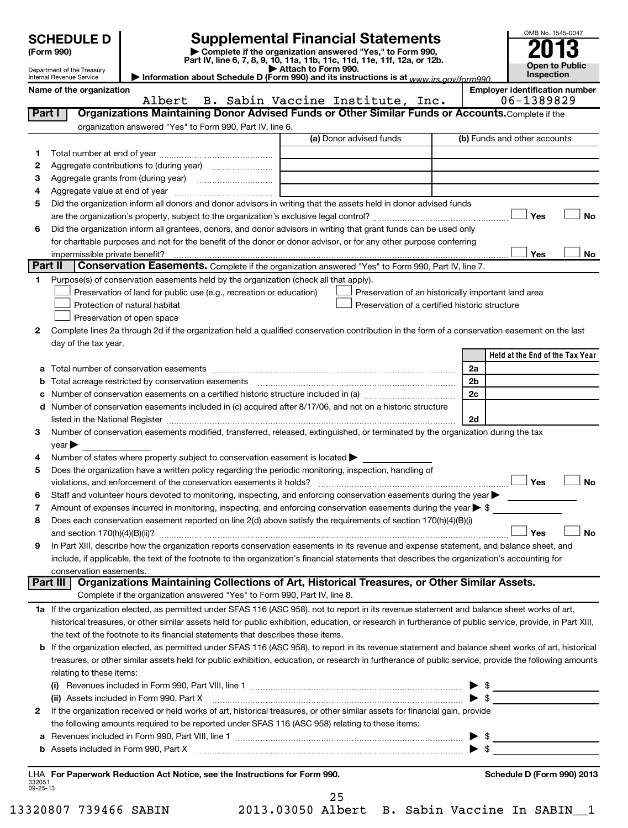|                    | <b>SCHEDULE D</b>                                      | <b>Supplemental Financial Statements</b>                                                                                                                                                                                                                                                                   |                     |                                                     |    | OMB No. 1545-0047                     |
|--------------------|--------------------------------------------------------|------------------------------------------------------------------------------------------------------------------------------------------------------------------------------------------------------------------------------------------------------------------------------------------------------------|---------------------|-----------------------------------------------------|----|---------------------------------------|
|                    | (Form 990)                                             | Complete if the organization answered "Yes," to Form 990,<br>Part IV, line 6, 7, 8, 9, 10, 11a, 11b, 11c, 11d, 11e, 11f, 12a, or 12b.                                                                                                                                                                      |                     |                                                     |    |                                       |
|                    | Department of the Treasury<br>Internal Revenue Service | Information about Schedule D (Form 990) and its instructions is at www irs gov/form990                                                                                                                                                                                                                     | Attach to Form 990. |                                                     |    | <b>Open to Public</b><br>Inspection   |
|                    | Name of the organization                               |                                                                                                                                                                                                                                                                                                            |                     |                                                     |    | <b>Employer identification number</b> |
|                    |                                                        | Albert                                                                                                                                                                                                                                                                                                     |                     | B. Sabin Vaccine Institute, Inc.                    |    | 06-1389829                            |
| Part I             |                                                        | Organizations Maintaining Donor Advised Funds or Other Similar Funds or Accounts. Complete if the                                                                                                                                                                                                          |                     |                                                     |    |                                       |
|                    |                                                        | organization answered "Yes" to Form 990, Part IV, line 6.                                                                                                                                                                                                                                                  |                     | (a) Donor advised funds                             |    | (b) Funds and other accounts          |
| 1                  |                                                        |                                                                                                                                                                                                                                                                                                            |                     |                                                     |    |                                       |
| 2                  |                                                        |                                                                                                                                                                                                                                                                                                            |                     |                                                     |    |                                       |
| З                  |                                                        |                                                                                                                                                                                                                                                                                                            |                     | <u> 1989 - Johann Barbara, martin a</u>             |    |                                       |
| 4                  |                                                        |                                                                                                                                                                                                                                                                                                            |                     |                                                     |    |                                       |
| 5                  |                                                        | Did the organization inform all donors and donor advisors in writing that the assets held in donor advised funds                                                                                                                                                                                           |                     |                                                     |    |                                       |
| 6                  |                                                        | Did the organization inform all grantees, donors, and donor advisors in writing that grant funds can be used only                                                                                                                                                                                          |                     |                                                     |    | Yes<br><b>No</b>                      |
|                    |                                                        | for charitable purposes and not for the benefit of the donor or donor advisor, or for any other purpose conferring                                                                                                                                                                                         |                     |                                                     |    |                                       |
|                    |                                                        |                                                                                                                                                                                                                                                                                                            |                     |                                                     |    | Yes<br>No                             |
| Part II            |                                                        | Conservation Easements. Complete if the organization answered "Yes" to Form 990, Part IV, line 7.                                                                                                                                                                                                          |                     |                                                     |    |                                       |
| 1                  |                                                        | Purpose(s) of conservation easements held by the organization (check all that apply).                                                                                                                                                                                                                      |                     |                                                     |    |                                       |
|                    |                                                        | Preservation of land for public use (e.g., recreation or education)                                                                                                                                                                                                                                        |                     | Preservation of an historically important land area |    |                                       |
|                    |                                                        | Protection of natural habitat                                                                                                                                                                                                                                                                              |                     | Preservation of a certified historic structure      |    |                                       |
|                    |                                                        | Preservation of open space<br>Complete lines 2a through 2d if the organization held a qualified conservation contribution in the form of a conservation easement on the last                                                                                                                               |                     |                                                     |    |                                       |
| 2                  | day of the tax year.                                   |                                                                                                                                                                                                                                                                                                            |                     |                                                     |    |                                       |
|                    |                                                        |                                                                                                                                                                                                                                                                                                            |                     |                                                     |    | Held at the End of the Tax Year       |
| a                  |                                                        |                                                                                                                                                                                                                                                                                                            |                     |                                                     | 2a |                                       |
|                    |                                                        | <b>b</b> Total acreage restricted by conservation easements                                                                                                                                                                                                                                                |                     |                                                     | 2b |                                       |
| c                  |                                                        | Number of conservation easements on a certified historic structure included in (a) manufacture included in (a)                                                                                                                                                                                             |                     |                                                     | 2c |                                       |
| d                  |                                                        | Number of conservation easements included in (c) acquired after 8/17/06, and not on a historic structure                                                                                                                                                                                                   |                     |                                                     |    |                                       |
|                    |                                                        |                                                                                                                                                                                                                                                                                                            |                     |                                                     | 2d |                                       |
| 3                  | year                                                   | Number of conservation easements modified, transferred, released, extinguished, or terminated by the organization during the tax                                                                                                                                                                           |                     |                                                     |    |                                       |
| 4                  |                                                        | Number of states where property subject to conservation easement is located >                                                                                                                                                                                                                              |                     |                                                     |    |                                       |
| 5                  |                                                        | Does the organization have a written policy regarding the periodic monitoring, inspection, handling of                                                                                                                                                                                                     |                     |                                                     |    |                                       |
|                    |                                                        |                                                                                                                                                                                                                                                                                                            |                     |                                                     |    | Yes<br><b>No</b>                      |
| 6                  |                                                        | Staff and volunteer hours devoted to monitoring, inspecting, and enforcing conservation easements during the year $\blacktriangleright$                                                                                                                                                                    |                     |                                                     |    |                                       |
| 7                  |                                                        | Amount of expenses incurred in monitoring, inspecting, and enforcing conservation easements during the year $\triangleright$ \$                                                                                                                                                                            |                     |                                                     |    |                                       |
| 8                  |                                                        | Does each conservation easement reported on line 2(d) above satisfy the requirements of section 170(h)(4)(B)(i)                                                                                                                                                                                            |                     |                                                     |    |                                       |
| 9                  |                                                        | In Part XIII, describe how the organization reports conservation easements in its revenue and expense statement, and balance sheet, and                                                                                                                                                                    |                     |                                                     |    | Yes<br><b>No</b>                      |
|                    |                                                        | include, if applicable, the text of the footnote to the organization's financial statements that describes the organization's accounting for                                                                                                                                                               |                     |                                                     |    |                                       |
|                    | conservation easements.                                |                                                                                                                                                                                                                                                                                                            |                     |                                                     |    |                                       |
|                    | Part III                                               | Organizations Maintaining Collections of Art, Historical Treasures, or Other Similar Assets.                                                                                                                                                                                                               |                     |                                                     |    |                                       |
|                    |                                                        | Complete if the organization answered "Yes" to Form 990, Part IV, line 8.                                                                                                                                                                                                                                  |                     |                                                     |    |                                       |
|                    |                                                        | 1a If the organization elected, as permitted under SFAS 116 (ASC 958), not to report in its revenue statement and balance sheet works of art,                                                                                                                                                              |                     |                                                     |    |                                       |
|                    |                                                        | historical treasures, or other similar assets held for public exhibition, education, or research in furtherance of public service, provide, in Part XIII,                                                                                                                                                  |                     |                                                     |    |                                       |
|                    |                                                        | the text of the footnote to its financial statements that describes these items.                                                                                                                                                                                                                           |                     |                                                     |    |                                       |
| b                  |                                                        | If the organization elected, as permitted under SFAS 116 (ASC 958), to report in its revenue statement and balance sheet works of art, historical<br>treasures, or other similar assets held for public exhibition, education, or research in furtherance of public service, provide the following amounts |                     |                                                     |    |                                       |
|                    | relating to these items:                               |                                                                                                                                                                                                                                                                                                            |                     |                                                     |    |                                       |
|                    |                                                        |                                                                                                                                                                                                                                                                                                            |                     |                                                     |    | - \$                                  |
|                    |                                                        | (ii) Assets included in Form 990, Part X [11] [2000] [2010] Assets included in Form 990, Part X [11] [11] [200                                                                                                                                                                                             |                     |                                                     |    |                                       |
| 2                  |                                                        | If the organization received or held works of art, historical treasures, or other similar assets for financial gain, provide                                                                                                                                                                               |                     |                                                     |    |                                       |
|                    |                                                        | the following amounts required to be reported under SFAS 116 (ASC 958) relating to these items:                                                                                                                                                                                                            |                     |                                                     |    |                                       |
| а                  |                                                        |                                                                                                                                                                                                                                                                                                            |                     |                                                     |    | $\frac{1}{2}$                         |
| b                  |                                                        | Assets included in Form 990, Part X [11] [12] Assets included in Form 990, Part X [12] Assets included in Form 990, Part X                                                                                                                                                                                 |                     |                                                     |    |                                       |
|                    |                                                        | LHA For Paperwork Reduction Act Notice, see the Instructions for Form 990.                                                                                                                                                                                                                                 |                     |                                                     |    | Schedule D (Form 990) 2013            |
| 332051<br>09-25-13 |                                                        |                                                                                                                                                                                                                                                                                                            |                     |                                                     |    |                                       |
|                    |                                                        |                                                                                                                                                                                                                                                                                                            |                     | 25                                                  |    |                                       |

13320807 739466 SABIN 2013.03050 Albert B. Sabin Vaccine In SABIN\_\_1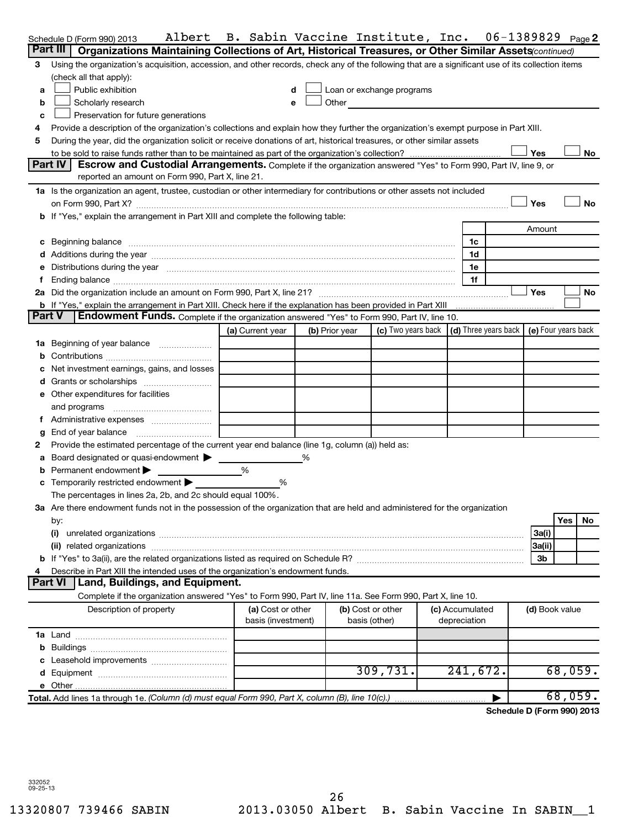|               | Albert<br>Schedule D (Form 990) 2013                                                                                                                                                                                           | B. Sabin Vaccine Institute, Inc.        |                |                                    |  |                                                                             | 06-1389829                 |                |     | Page 2    |
|---------------|--------------------------------------------------------------------------------------------------------------------------------------------------------------------------------------------------------------------------------|-----------------------------------------|----------------|------------------------------------|--|-----------------------------------------------------------------------------|----------------------------|----------------|-----|-----------|
|               | Part III<br>Organizations Maintaining Collections of Art, Historical Treasures, or Other Similar Assets (continued)                                                                                                            |                                         |                |                                    |  |                                                                             |                            |                |     |           |
| 3             | Using the organization's acquisition, accession, and other records, check any of the following that are a significant use of its collection items                                                                              |                                         |                |                                    |  |                                                                             |                            |                |     |           |
|               | (check all that apply):                                                                                                                                                                                                        |                                         |                |                                    |  |                                                                             |                            |                |     |           |
| a             | Public exhibition                                                                                                                                                                                                              |                                         |                | Loan or exchange programs          |  |                                                                             |                            |                |     |           |
| b             | Scholarly research                                                                                                                                                                                                             | e                                       | Other          |                                    |  |                                                                             |                            |                |     |           |
| c             | Preservation for future generations                                                                                                                                                                                            |                                         |                |                                    |  |                                                                             |                            |                |     |           |
| 4             | Provide a description of the organization's collections and explain how they further the organization's exempt purpose in Part XIII.                                                                                           |                                         |                |                                    |  |                                                                             |                            |                |     |           |
| 5             | During the year, did the organization solicit or receive donations of art, historical treasures, or other similar assets                                                                                                       |                                         |                |                                    |  |                                                                             |                            |                |     |           |
|               |                                                                                                                                                                                                                                |                                         |                |                                    |  |                                                                             |                            | Yes            |     | No        |
|               | Part IV<br>Escrow and Custodial Arrangements. Complete if the organization answered "Yes" to Form 990, Part IV, line 9, or<br>reported an amount on Form 990, Part X, line 21.                                                 |                                         |                |                                    |  |                                                                             |                            |                |     |           |
|               | 1a Is the organization an agent, trustee, custodian or other intermediary for contributions or other assets not included                                                                                                       |                                         |                |                                    |  |                                                                             |                            |                |     |           |
|               |                                                                                                                                                                                                                                |                                         |                |                                    |  |                                                                             |                            | Yes            |     | <b>No</b> |
|               | b If "Yes," explain the arrangement in Part XIII and complete the following table:                                                                                                                                             |                                         |                |                                    |  |                                                                             |                            |                |     |           |
| Amount        |                                                                                                                                                                                                                                |                                         |                |                                    |  |                                                                             |                            |                |     |           |
|               | c Beginning balance measurements and the contract of the contract of the contract of the contract of the contract of the contract of the contract of the contract of the contract of the contract of the contract of the contr |                                         |                |                                    |  | 1c                                                                          |                            |                |     |           |
|               |                                                                                                                                                                                                                                |                                         |                |                                    |  | 1d                                                                          |                            |                |     |           |
|               | Distributions during the year manufactured and an account of the year manufactured and the year manufactured and the year manufactured and the year manufactured and the year manufactured and the year manufactured and the y |                                         |                |                                    |  | 1e                                                                          |                            |                |     |           |
|               |                                                                                                                                                                                                                                |                                         |                |                                    |  | 1f                                                                          |                            |                |     |           |
|               |                                                                                                                                                                                                                                |                                         |                |                                    |  |                                                                             |                            | Yes            |     | No        |
|               | b If "Yes," explain the arrangement in Part XIII. Check here if the explanation has been provided in Part XIII                                                                                                                 |                                         |                |                                    |  |                                                                             |                            |                |     |           |
| <b>Part V</b> | <b>Endowment Funds.</b> Complete if the organization answered "Yes" to Form 990, Part IV, line 10.                                                                                                                             |                                         |                |                                    |  |                                                                             |                            |                |     |           |
|               |                                                                                                                                                                                                                                | (a) Current year                        | (b) Prior year |                                    |  | (c) Two years back $\vert$ (d) Three years back $\vert$ (e) Four years back |                            |                |     |           |
| 1a            | Beginning of year balance                                                                                                                                                                                                      |                                         |                |                                    |  |                                                                             |                            |                |     |           |
| b             |                                                                                                                                                                                                                                |                                         |                |                                    |  |                                                                             |                            |                |     |           |
|               | Net investment earnings, gains, and losses                                                                                                                                                                                     |                                         |                |                                    |  |                                                                             |                            |                |     |           |
|               |                                                                                                                                                                                                                                |                                         |                |                                    |  |                                                                             |                            |                |     |           |
|               | e Other expenditures for facilities                                                                                                                                                                                            |                                         |                |                                    |  |                                                                             |                            |                |     |           |
|               | and programs                                                                                                                                                                                                                   |                                         |                |                                    |  |                                                                             |                            |                |     |           |
|               |                                                                                                                                                                                                                                |                                         |                |                                    |  |                                                                             |                            |                |     |           |
| g             | End of year balance                                                                                                                                                                                                            |                                         |                |                                    |  |                                                                             |                            |                |     |           |
| 2             | Provide the estimated percentage of the current year end balance (line 1g, column (a)) held as:                                                                                                                                |                                         |                |                                    |  |                                                                             |                            |                |     |           |
| а             | Board designated or quasi-endowment                                                                                                                                                                                            |                                         |                |                                    |  |                                                                             |                            |                |     |           |
|               | Permanent endowment                                                                                                                                                                                                            | %                                       |                |                                    |  |                                                                             |                            |                |     |           |
|               | Temporarily restricted endowment                                                                                                                                                                                               | %                                       |                |                                    |  |                                                                             |                            |                |     |           |
|               | The percentages in lines 2a, 2b, and 2c should equal 100%.                                                                                                                                                                     |                                         |                |                                    |  |                                                                             |                            |                |     |           |
|               | 3a Are there endowment funds not in the possession of the organization that are held and administered for the organization                                                                                                     |                                         |                |                                    |  |                                                                             |                            |                |     |           |
|               | by:                                                                                                                                                                                                                            |                                         |                |                                    |  |                                                                             |                            |                | Yes | No        |
|               | (i)                                                                                                                                                                                                                            |                                         |                |                                    |  |                                                                             |                            | 3a(i)          |     |           |
|               | (ii)                                                                                                                                                                                                                           |                                         |                |                                    |  |                                                                             |                            | 3a(ii)         |     |           |
|               |                                                                                                                                                                                                                                |                                         |                |                                    |  |                                                                             |                            | 3b             |     |           |
|               | Describe in Part XIII the intended uses of the organization's endowment funds.                                                                                                                                                 |                                         |                |                                    |  |                                                                             |                            |                |     |           |
|               | <b>Part VI</b><br>Land, Buildings, and Equipment.                                                                                                                                                                              |                                         |                |                                    |  |                                                                             |                            |                |     |           |
|               | Complete if the organization answered "Yes" to Form 990, Part IV, line 11a. See Form 990, Part X, line 10.                                                                                                                     |                                         |                |                                    |  |                                                                             |                            |                |     |           |
|               | Description of property                                                                                                                                                                                                        | (a) Cost or other<br>basis (investment) |                | (b) Cost or other<br>basis (other) |  | (c) Accumulated<br>depreciation                                             |                            | (d) Book value |     |           |
|               |                                                                                                                                                                                                                                |                                         |                |                                    |  |                                                                             |                            |                |     |           |
|               |                                                                                                                                                                                                                                |                                         |                |                                    |  |                                                                             |                            |                |     |           |
|               |                                                                                                                                                                                                                                |                                         |                |                                    |  |                                                                             |                            |                |     |           |
|               |                                                                                                                                                                                                                                |                                         |                | 309,731.                           |  | 241,672.                                                                    |                            |                |     | 68,059.   |
|               |                                                                                                                                                                                                                                |                                         |                |                                    |  |                                                                             |                            |                |     |           |
|               | Total. Add lines 1a through 1e. (Column (d) must equal Form 990, Part X, column (B), line 10(c).)                                                                                                                              |                                         |                |                                    |  |                                                                             |                            |                |     | 68,059.   |
|               |                                                                                                                                                                                                                                |                                         |                |                                    |  |                                                                             | Schedule D (Form 990) 2013 |                |     |           |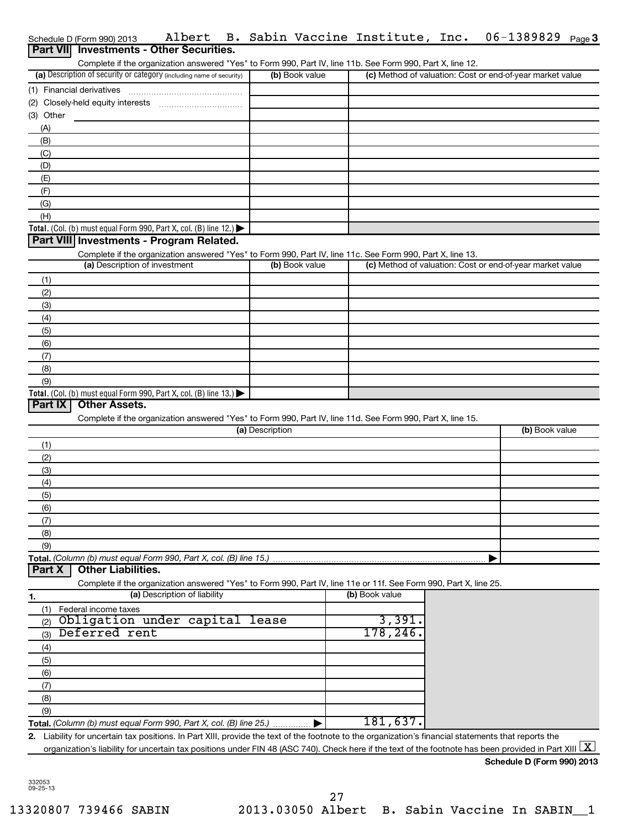| Schedule D (Form 990) 2013 |  |  |  |  | Albert B. Sabin Vaccine Institute, Inc. |  | 06-1389829 | Page 3 |
|----------------------------|--|--|--|--|-----------------------------------------|--|------------|--------|
|                            |  |  |  |  |                                         |  |            |        |

|            | Schedule D (Form 990) 2013                                                                                        | Albert                       |                 |                | B. Sabin Vaccine Institute, Inc. 06-1389829 Page3         |  |
|------------|-------------------------------------------------------------------------------------------------------------------|------------------------------|-----------------|----------------|-----------------------------------------------------------|--|
| Part VIII  | <b>Investments - Other Securities.</b>                                                                            |                              |                 |                |                                                           |  |
|            | Complete if the organization answered "Yes" to Form 990, Part IV, line 11b. See Form 990, Part X, line 12.        |                              |                 |                |                                                           |  |
|            | (a) Description of security or category (including name of security)                                              |                              | (b) Book value  |                | (c) Method of valuation: Cost or end-of-year market value |  |
|            |                                                                                                                   |                              |                 |                |                                                           |  |
|            |                                                                                                                   |                              |                 |                |                                                           |  |
| (3) Other  |                                                                                                                   |                              |                 |                |                                                           |  |
| (A)        |                                                                                                                   |                              |                 |                |                                                           |  |
| (B)        |                                                                                                                   |                              |                 |                |                                                           |  |
| (C)<br>(D) |                                                                                                                   |                              |                 |                |                                                           |  |
| (E)        |                                                                                                                   |                              |                 |                |                                                           |  |
| (F)        |                                                                                                                   |                              |                 |                |                                                           |  |
| (G)        |                                                                                                                   |                              |                 |                |                                                           |  |
| (H)        |                                                                                                                   |                              |                 |                |                                                           |  |
|            | Total. (Col. (b) must equal Form 990, Part X, col. (B) line 12.) $\blacktriangleright$                            |                              |                 |                |                                                           |  |
|            | Part VIII Investments - Program Related.                                                                          |                              |                 |                |                                                           |  |
|            | Complete if the organization answered "Yes" to Form 990, Part IV, line 11c. See Form 990, Part X, line 13.        |                              |                 |                |                                                           |  |
|            | (a) Description of investment                                                                                     |                              | (b) Book value  |                | (c) Method of valuation: Cost or end-of-year market value |  |
| (1)        |                                                                                                                   |                              |                 |                |                                                           |  |
| (2)        |                                                                                                                   |                              |                 |                |                                                           |  |
| (3)        |                                                                                                                   |                              |                 |                |                                                           |  |
| (4)        |                                                                                                                   |                              |                 |                |                                                           |  |
| (5)        |                                                                                                                   |                              |                 |                |                                                           |  |
| (6)        |                                                                                                                   |                              |                 |                |                                                           |  |
| (7)        |                                                                                                                   |                              |                 |                |                                                           |  |
| (8)        |                                                                                                                   |                              |                 |                |                                                           |  |
| (9)        | Total. (Col. (b) must equal Form 990, Part X, col. (B) line $13.$ )                                               |                              |                 |                |                                                           |  |
| Part IX    | <b>Other Assets.</b>                                                                                              |                              |                 |                |                                                           |  |
|            | Complete if the organization answered "Yes" to Form 990, Part IV, line 11d. See Form 990, Part X, line 15.        |                              |                 |                |                                                           |  |
|            |                                                                                                                   |                              | (a) Description |                | (b) Book value                                            |  |
| (1)        |                                                                                                                   |                              |                 |                |                                                           |  |
| (2)        |                                                                                                                   |                              |                 |                |                                                           |  |
| (3)        |                                                                                                                   |                              |                 |                |                                                           |  |
| (4)        |                                                                                                                   |                              |                 |                |                                                           |  |
| (5)        |                                                                                                                   |                              |                 |                |                                                           |  |
| (6)        |                                                                                                                   |                              |                 |                |                                                           |  |
| (7)        |                                                                                                                   |                              |                 |                |                                                           |  |
| (8)        |                                                                                                                   |                              |                 |                |                                                           |  |
| (9)        |                                                                                                                   |                              |                 |                |                                                           |  |
|            | Total. (Column (b) must equal Form 990, Part X, col. (B) line 15.)<br><b>Other Liabilities.</b>                   |                              |                 |                |                                                           |  |
| Part X     |                                                                                                                   |                              |                 |                |                                                           |  |
|            | Complete if the organization answered "Yes" to Form 990, Part IV, line 11e or 11f. See Form 990, Part X, line 25. | (a) Description of liability |                 | (b) Book value |                                                           |  |
| 1.         |                                                                                                                   |                              |                 |                |                                                           |  |
| (1)<br>(2) | Federal income taxes<br>Obligation under capital                                                                  |                              | lease           | 3,391.         |                                                           |  |
| (3)        | Deferred rent                                                                                                     |                              |                 | 178,246.       |                                                           |  |
| (4)        |                                                                                                                   |                              |                 |                |                                                           |  |
| (5)        |                                                                                                                   |                              |                 |                |                                                           |  |
| (6)        |                                                                                                                   |                              |                 |                |                                                           |  |
| (7)        |                                                                                                                   |                              |                 |                |                                                           |  |
| (8)        |                                                                                                                   |                              |                 |                |                                                           |  |

**Total.**  *(Column (b) must equal Form 990, Part X, col. (B) line 25.)* (9)  $\blacktriangleright$ 181,637.

**2.** Liability for uncertain tax positions. In Part XIII, provide the text of the footnote to the organization's financial statements that reports the organization's liability for uncertain tax positions under FIN 48 (ASC 740). Check here if the text of the footnote has been provided in Part XIII  $\boxed{\text{X}}$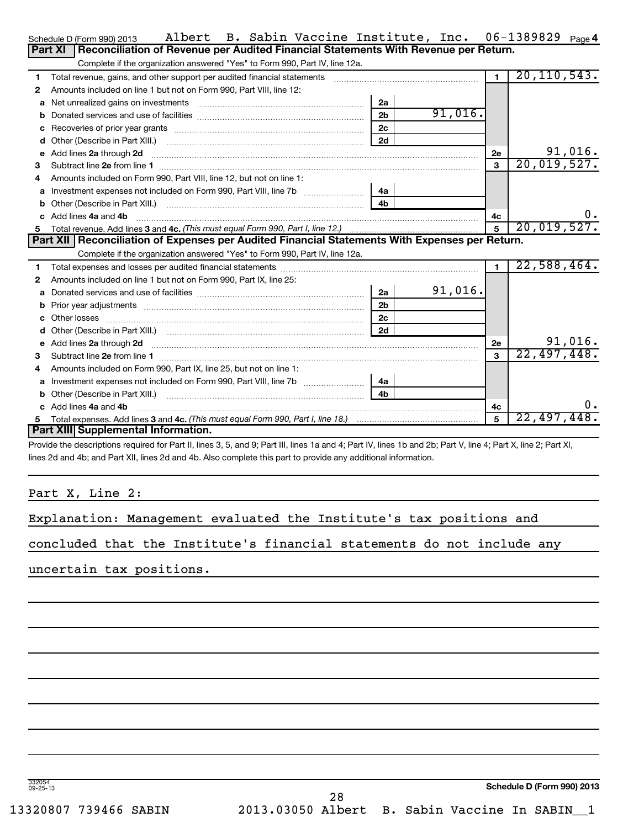|    | Albert B. Sabin Vaccine Institute, Inc. 06-1389829 Page4<br>Schedule D (Form 990) 2013                                                                                                                                         |                |         |                |               |         |
|----|--------------------------------------------------------------------------------------------------------------------------------------------------------------------------------------------------------------------------------|----------------|---------|----------------|---------------|---------|
|    | Part XI<br>Reconciliation of Revenue per Audited Financial Statements With Revenue per Return.                                                                                                                                 |                |         |                |               |         |
|    | Complete if the organization answered "Yes" to Form 990, Part IV, line 12a.                                                                                                                                                    |                |         |                |               |         |
| 1  | Total revenue, gains, and other support per audited financial statements [[[[[[[[[[[[[[[[[[[[[[[[[]]]]]]]]]]]                                                                                                                  |                |         | $\blacksquare$ | 20, 110, 543. |         |
| 2  | Amounts included on line 1 but not on Form 990, Part VIII, line 12:                                                                                                                                                            |                |         |                |               |         |
| а  | Net unrealized gains on investments [11] matter contracts and all the set of the set of the set of the set of the set of the set of the set of the set of the set of the set of the set of the set of the set of the set of th | 2a             |         |                |               |         |
| b  |                                                                                                                                                                                                                                | 2 <sub>b</sub> | 91,016. |                |               |         |
| с  | Recoveries of prior year grants <i>communically contained to the coveries</i> of prior year grants                                                                                                                             | 2c             |         |                |               |         |
| d  |                                                                                                                                                                                                                                | 2d             |         |                |               |         |
| е  | Add lines 2a through 2d                                                                                                                                                                                                        |                |         | 2e             |               | 91,016. |
| 3  | Subtract line 2e from line 1 <b>manufacture in the contract of the 2e</b> from line 1                                                                                                                                          |                |         | 3              | 20,019,527.   |         |
| 4  | Amounts included on Form 990, Part VIII, line 12, but not on line 1:                                                                                                                                                           |                |         |                |               |         |
| a  | Investment expenses not included on Form 990, Part VIII, line 7b                                                                                                                                                               | - 4a           |         |                |               |         |
| b  |                                                                                                                                                                                                                                | 4 <sub>b</sub> |         |                |               |         |
| c. | Add lines 4a and 4b                                                                                                                                                                                                            |                |         | 4с             |               | 0.      |
| 5  |                                                                                                                                                                                                                                |                |         | $\overline{5}$ | 20,019,527.   |         |
|    | Part XII   Reconciliation of Expenses per Audited Financial Statements With Expenses per Return.                                                                                                                               |                |         |                |               |         |
|    | Complete if the organization answered "Yes" to Form 990, Part IV, line 12a.                                                                                                                                                    |                |         |                |               |         |
| 1  |                                                                                                                                                                                                                                |                |         | $\blacksquare$ | 22,588,464.   |         |
| 2  | Amounts included on line 1 but not on Form 990, Part IX, line 25:                                                                                                                                                              |                |         |                |               |         |
| a  |                                                                                                                                                                                                                                | 2a             | 91,016. |                |               |         |
| b  |                                                                                                                                                                                                                                | 2 <sub>b</sub> |         |                |               |         |
|    | Other losses                                                                                                                                                                                                                   | 2c             |         |                |               |         |
| d  | Other (Describe in Part XIII.) (COLORGIAL CONSERVITY) (CONSERVITY) (CONSERVITY) (CONSERVITY) (CONSERVITY)                                                                                                                      | 2d             |         |                |               |         |
| е  | Add lines 2a through 2d                                                                                                                                                                                                        |                |         | <b>2e</b>      |               | 91,016. |
| з  |                                                                                                                                                                                                                                |                |         | 3              | 22,497,448.   |         |
| 4  | Amounts included on Form 990, Part IX, line 25, but not on line 1:                                                                                                                                                             |                |         |                |               |         |
| a  |                                                                                                                                                                                                                                | 4a             |         |                |               |         |
|    | Other (Describe in Part XIII.)                                                                                                                                                                                                 | 4b             |         |                |               |         |
|    | $c$ Add lines $4a$ and $4b$                                                                                                                                                                                                    |                |         | 4c             |               | 0.      |

Provide the descriptions required for Part II, lines 3, 5, and 9; Part III, lines 1a and 4; Part IV, lines 1b and 2b; Part V, line 4; Part X, line 2; Part XI, lines 2d and 4b; and Part XII, lines 2d and 4b. Also complete this part to provide any additional information.

Part X, Line 2:

**c** Add lines 4a and 4b

**5**

| Explanation: Management evaluated the Institute's tax positions and |  |  |  |  |  |  |  |  |
|---------------------------------------------------------------------|--|--|--|--|--|--|--|--|
|---------------------------------------------------------------------|--|--|--|--|--|--|--|--|

~~~~~~~~~~~~~~~~~~~~~~~~~~~~~~~~~~~~~~~~~~~~~

Total expenses. Add lines 3 and 4c. *(This must equal Form 990, Part I, line 18.)* 

concluded that the Institute's financial statements do not include any

uncertain tax positions.

**Part XIII Supplemental Information.**

332054 09-25-13

**4c 5**

22,497,448.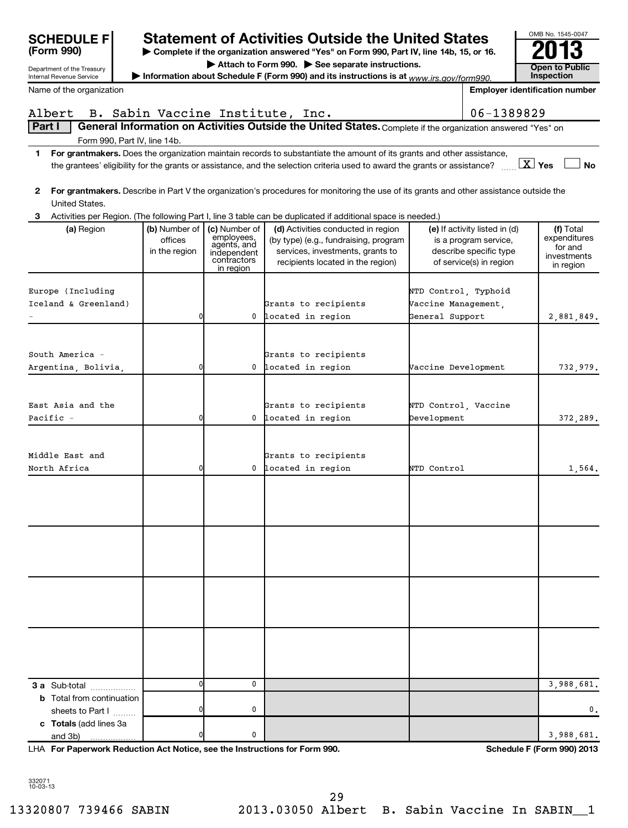| <b>SCHEDULE F</b>                                           |                                             |                                                                                       | <b>Statement of Activities Outside the United States</b>                                                                                             |                                             |                                                                                                             | OMB No. 1545-0047                                                |
|-------------------------------------------------------------|---------------------------------------------|---------------------------------------------------------------------------------------|------------------------------------------------------------------------------------------------------------------------------------------------------|---------------------------------------------|-------------------------------------------------------------------------------------------------------------|------------------------------------------------------------------|
| (Form 990)                                                  |                                             |                                                                                       | Complete if the organization answered "Yes" on Form 990, Part IV, line 14b, 15, or 16.                                                               |                                             |                                                                                                             |                                                                  |
| Department of the Treasury                                  |                                             |                                                                                       | Attach to Form 990. See separate instructions.                                                                                                       |                                             |                                                                                                             | <b>Open to Public</b>                                            |
| <b>Internal Revenue Service</b><br>Name of the organization |                                             |                                                                                       | Information about Schedule F (Form 990) and its instructions is at $www.irs.gov/form990.$                                                            |                                             |                                                                                                             | <b>Inspection</b><br><b>Employer identification number</b>       |
|                                                             |                                             |                                                                                       |                                                                                                                                                      |                                             |                                                                                                             |                                                                  |
| Albert                                                      |                                             |                                                                                       | B. Sabin Vaccine Institute, Inc.                                                                                                                     |                                             | 06-1389829                                                                                                  |                                                                  |
| <b>Part I</b>                                               |                                             |                                                                                       | General Information on Activities Outside the United States. Complete if the organization answered "Yes" on                                          |                                             |                                                                                                             |                                                                  |
| Form 990, Part IV, line 14b.<br>1.                          |                                             |                                                                                       | For grantmakers. Does the organization maintain records to substantiate the amount of its grants and other assistance,                               |                                             |                                                                                                             |                                                                  |
|                                                             |                                             |                                                                                       | the grantees' eligibility for the grants or assistance, and the selection criteria used to award the grants or assistance?                           |                                             |                                                                                                             | $\boxed{\text{X}}$ Yes<br><b>No</b>                              |
| United States.                                              |                                             |                                                                                       | 2 For grantmakers. Describe in Part V the organization's procedures for monitoring the use of its grants and other assistance outside the            |                                             |                                                                                                             |                                                                  |
|                                                             |                                             |                                                                                       | 3 Activities per Region. (The following Part I, line 3 table can be duplicated if additional space is needed.)                                       |                                             |                                                                                                             |                                                                  |
| (a) Region                                                  | (b) Number of  <br>offices<br>in the region | (c) Number of<br>employees,<br>agents, and<br>independent<br>contractors<br>in region | (d) Activities conducted in region<br>(by type) (e.g., fundraising, program<br>services, investments, grants to<br>recipients located in the region) |                                             | (e) If activity listed in (d)<br>is a program service,<br>describe specific type<br>of service(s) in region | (f) Total<br>expenditures<br>for and<br>investments<br>in region |
|                                                             |                                             |                                                                                       |                                                                                                                                                      |                                             |                                                                                                             |                                                                  |
| Europe (Including<br>Iceland & Greenland)                   |                                             |                                                                                       | Grants to recipients                                                                                                                                 | NTD Control, Typhoid<br>Vaccine Management, |                                                                                                             |                                                                  |
|                                                             | 0                                           | $^{\circ}$                                                                            | located in region                                                                                                                                    | General Support                             |                                                                                                             | 2,881,849.                                                       |
|                                                             |                                             |                                                                                       |                                                                                                                                                      |                                             |                                                                                                             |                                                                  |
|                                                             |                                             |                                                                                       |                                                                                                                                                      |                                             |                                                                                                             |                                                                  |
| South America -<br>Argentina, Bolivia,                      | 0                                           | $^{\circ}$                                                                            | Grants to recipients<br>located in region                                                                                                            | Vaccine Development                         |                                                                                                             | 732,979.                                                         |
|                                                             |                                             |                                                                                       |                                                                                                                                                      |                                             |                                                                                                             |                                                                  |
|                                                             |                                             |                                                                                       |                                                                                                                                                      |                                             |                                                                                                             |                                                                  |
| East Asia and the                                           |                                             |                                                                                       | Grants to recipients                                                                                                                                 | NTD Control, Vaccine                        |                                                                                                             |                                                                  |
| Pacific -                                                   | 0                                           |                                                                                       | 0 located in region                                                                                                                                  | Development                                 |                                                                                                             | 372,289.                                                         |
|                                                             |                                             |                                                                                       |                                                                                                                                                      |                                             |                                                                                                             |                                                                  |
| Middle East and                                             |                                             |                                                                                       | Grants to recipients                                                                                                                                 |                                             |                                                                                                             |                                                                  |
| North Africa                                                | 0                                           | 0                                                                                     | located in region                                                                                                                                    | NTD Control                                 |                                                                                                             | 1,564.                                                           |
|                                                             |                                             |                                                                                       |                                                                                                                                                      |                                             |                                                                                                             |                                                                  |
|                                                             |                                             |                                                                                       |                                                                                                                                                      |                                             |                                                                                                             |                                                                  |
|                                                             |                                             |                                                                                       |                                                                                                                                                      |                                             |                                                                                                             |                                                                  |
|                                                             |                                             |                                                                                       |                                                                                                                                                      |                                             |                                                                                                             |                                                                  |
|                                                             |                                             |                                                                                       |                                                                                                                                                      |                                             |                                                                                                             |                                                                  |
|                                                             |                                             |                                                                                       |                                                                                                                                                      |                                             |                                                                                                             |                                                                  |
|                                                             |                                             |                                                                                       |                                                                                                                                                      |                                             |                                                                                                             |                                                                  |
|                                                             |                                             |                                                                                       |                                                                                                                                                      |                                             |                                                                                                             |                                                                  |
|                                                             |                                             |                                                                                       |                                                                                                                                                      |                                             |                                                                                                             |                                                                  |
|                                                             |                                             |                                                                                       |                                                                                                                                                      |                                             |                                                                                                             |                                                                  |
|                                                             |                                             |                                                                                       |                                                                                                                                                      |                                             |                                                                                                             |                                                                  |
|                                                             |                                             |                                                                                       |                                                                                                                                                      |                                             |                                                                                                             |                                                                  |
| 3 a Sub-total                                               | 0                                           | 0                                                                                     |                                                                                                                                                      |                                             |                                                                                                             | 3,988,681.                                                       |
| <b>b</b> Total from continuation                            |                                             |                                                                                       |                                                                                                                                                      |                                             |                                                                                                             |                                                                  |
| sheets to Part I                                            | 0                                           | 0                                                                                     |                                                                                                                                                      |                                             |                                                                                                             | 0.                                                               |
| c Totals (add lines 3a<br>and 3b)                           | 0                                           | 0                                                                                     |                                                                                                                                                      |                                             |                                                                                                             | 3,988,681.                                                       |

**For Paperwork Reduction Act Notice, see the Instructions for Form 990. Schedule F (Form 990) 2013** LHA

332071 10-03-13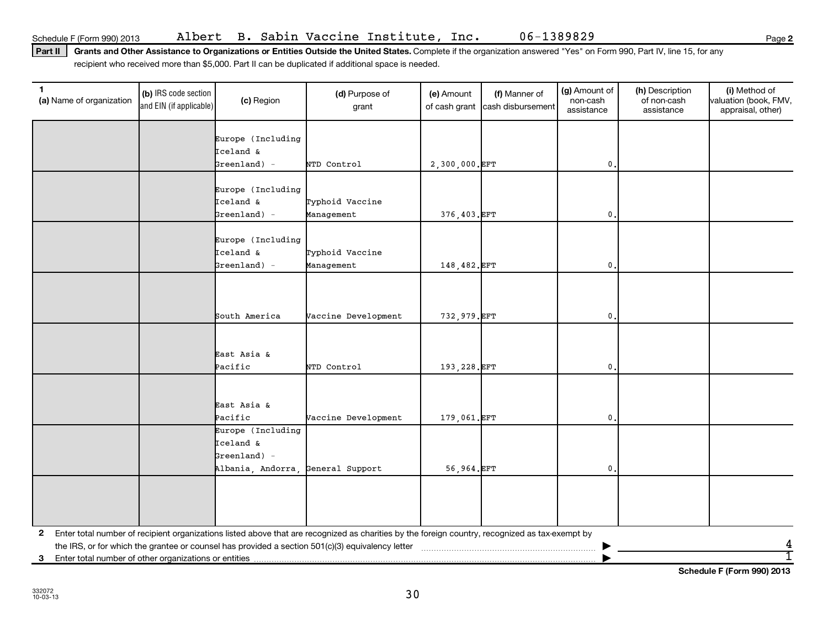**2**

Part II | Grants and Other Assistance to Organizations or Entities Outside the United States. Complete if the organization answered "Yes" on Form 990, Part IV, line 15, for any recipient who received more than \$5,000. Part II can be duplicated if additional space is needed.

| 1.<br>(a) Name of organization | (b) IRS code section<br>and EIN (if applicable) | (c) Region                                                                            | (d) Purpose of<br>grant                                                                                                                         | (e) Amount<br>of cash grant | (f) Manner of<br>cash disbursement | (g) Amount of<br>non-cash<br>assistance | (h) Description<br>of non-cash<br>assistance | (i) Method of<br>valuation (book, FMV,<br>appraisal, other) |
|--------------------------------|-------------------------------------------------|---------------------------------------------------------------------------------------|-------------------------------------------------------------------------------------------------------------------------------------------------|-----------------------------|------------------------------------|-----------------------------------------|----------------------------------------------|-------------------------------------------------------------|
|                                |                                                 | Europe (Including<br>Iceland &                                                        |                                                                                                                                                 |                             |                                    |                                         |                                              |                                                             |
|                                |                                                 | $Greenland) -$                                                                        | NTD Control                                                                                                                                     | 2,300,000. EFT              |                                    | 0                                       |                                              |                                                             |
|                                |                                                 | Europe (Including<br>Iceland &<br>$Greenland) -$                                      | Typhoid Vaccine<br>Management                                                                                                                   | 376,403.EFT                 |                                    | $\mathbf{0}$                            |                                              |                                                             |
|                                |                                                 | Europe (Including<br>Iceland &<br>$Greenland) -$                                      | Typhoid Vaccine                                                                                                                                 | 148,482. EFT                |                                    | $\mathbf{0}$ .                          |                                              |                                                             |
|                                |                                                 |                                                                                       | Management                                                                                                                                      |                             |                                    |                                         |                                              |                                                             |
|                                |                                                 | South America                                                                         | Vaccine Development                                                                                                                             | 732,979.EFT                 |                                    | $\mathbf{0}$                            |                                              |                                                             |
|                                |                                                 | East Asia &<br>Pacific                                                                | NTD Control                                                                                                                                     | 193,228.EFT                 |                                    | $\mathbf{0}$                            |                                              |                                                             |
|                                |                                                 | East Asia &<br>Pacific                                                                | Vaccine Development                                                                                                                             | 179,061.EFT                 |                                    | 0                                       |                                              |                                                             |
|                                |                                                 | Europe (Including<br>Iceland &<br>$Greenland) -$<br>Albania, Andorra, General Support |                                                                                                                                                 | 56,964.EFT                  |                                    | $\mathbf 0$                             |                                              |                                                             |
|                                |                                                 |                                                                                       |                                                                                                                                                 |                             |                                    |                                         |                                              |                                                             |
| 2                              |                                                 |                                                                                       | Enter total number of recipient organizations listed above that are recognized as charities by the foreign country, recognized as tax-exempt by |                             |                                    |                                         |                                              |                                                             |
|                                |                                                 |                                                                                       |                                                                                                                                                 |                             |                                    |                                         |                                              |                                                             |
| 3                              |                                                 |                                                                                       |                                                                                                                                                 |                             |                                    |                                         |                                              |                                                             |

**Schedule F (Form 990) 2013**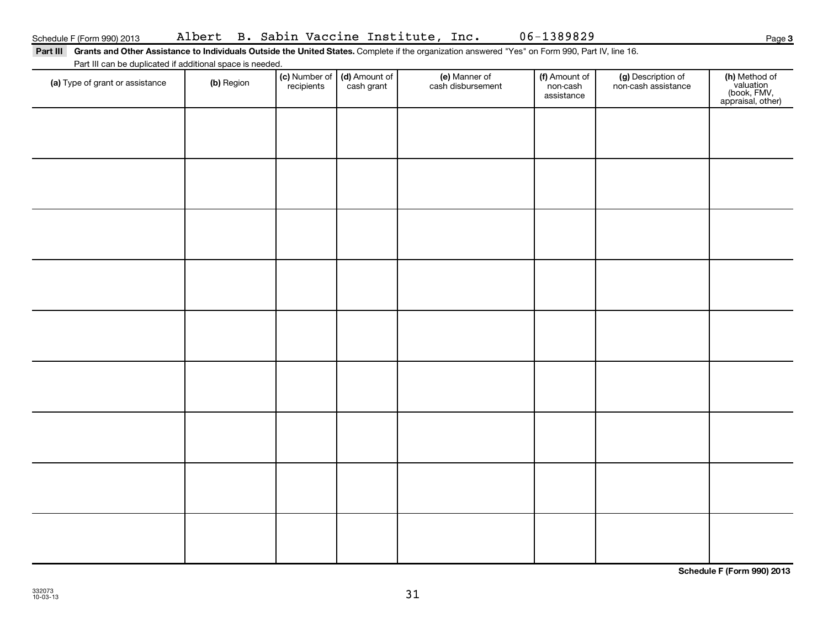Part III Grants and Other Assistance to Individuals Outside the United States. Complete if the organization answered "Yes" on Form 990, Part IV, line 16.

Part III can be duplicated if additional space is needed.

| and the bank web adopted to a second that<br>(a) Type of grant or assistance | (b) Region | (c) Number of<br>recipients | (d) Amount of<br>cash grant | (e) Manner of<br>cash disbursement | (f) Amount of<br>non-cash<br>assistance | (g) Description of<br>non-cash assistance | (h) Method of<br>valuation<br>(book, FMV,<br>appraisal, other) |
|------------------------------------------------------------------------------|------------|-----------------------------|-----------------------------|------------------------------------|-----------------------------------------|-------------------------------------------|----------------------------------------------------------------|
|                                                                              |            |                             |                             |                                    |                                         |                                           |                                                                |
|                                                                              |            |                             |                             |                                    |                                         |                                           |                                                                |
|                                                                              |            |                             |                             |                                    |                                         |                                           |                                                                |
|                                                                              |            |                             |                             |                                    |                                         |                                           |                                                                |
|                                                                              |            |                             |                             |                                    |                                         |                                           |                                                                |
|                                                                              |            |                             |                             |                                    |                                         |                                           |                                                                |
|                                                                              |            |                             |                             |                                    |                                         |                                           |                                                                |
|                                                                              |            |                             |                             |                                    |                                         |                                           |                                                                |
|                                                                              |            |                             |                             |                                    |                                         |                                           |                                                                |
|                                                                              |            |                             |                             |                                    |                                         |                                           |                                                                |

**Schedule F (Form 990) 2013**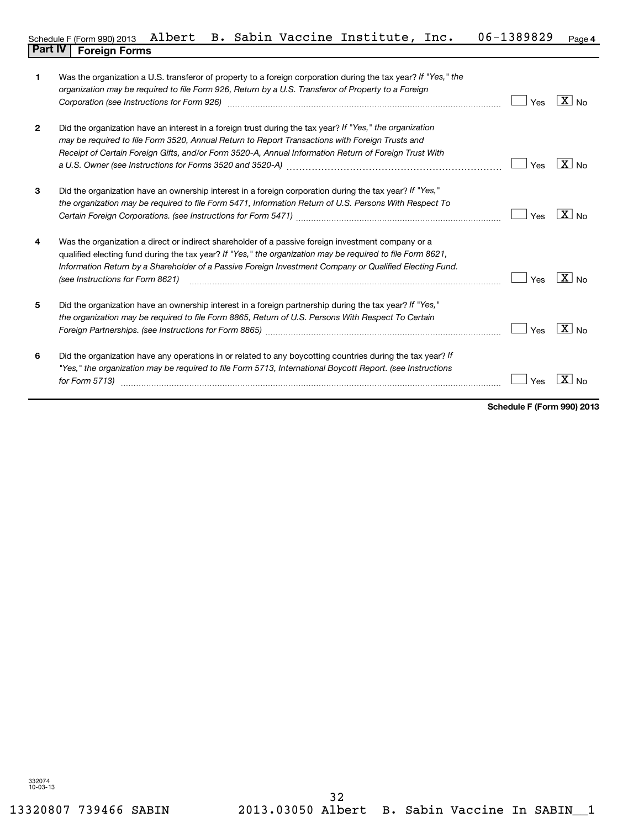| 1            | Was the organization a U.S. transferor of property to a foreign corporation during the tax year? If "Yes," the<br>organization may be required to file Form 926, Return by a U.S. Transferor of Property to a Foreign<br>Corporation (see Instructions for Form 926) [11] matter continuum matter of the Instruction (see Instructions for Form 926) [11] matter continuum matter of the Institute of the Institute of the Institute of the Institute o | Yes | $X_{N0}$            |
|--------------|---------------------------------------------------------------------------------------------------------------------------------------------------------------------------------------------------------------------------------------------------------------------------------------------------------------------------------------------------------------------------------------------------------------------------------------------------------|-----|---------------------|
| $\mathbf{2}$ | Did the organization have an interest in a foreign trust during the tax year? If "Yes," the organization<br>may be required to file Form 3520, Annual Return to Report Transactions with Foreign Trusts and<br>Receipt of Certain Foreign Gifts, and/or Form 3520-A, Annual Information Return of Foreign Trust With                                                                                                                                    | Yes | $\overline{X}$ No   |
| 3            | Did the organization have an ownership interest in a foreign corporation during the tax year? If "Yes,"<br>the organization may be required to file Form 5471, Information Return of U.S. Persons With Respect To                                                                                                                                                                                                                                       | Yes | $X _{N_Q}$          |
| 4            | Was the organization a direct or indirect shareholder of a passive foreign investment company or a<br>qualified electing fund during the tax year? If "Yes," the organization may be required to file Form 8621,<br>Information Return by a Shareholder of a Passive Foreign Investment Company or Qualified Electing Fund.<br>(see Instructions for Form 8621)                                                                                         | Yes | $X_{\text{No}}$     |
| 5            | Did the organization have an ownership interest in a foreign partnership during the tax year? If "Yes,"<br>the organization may be required to file Form 8865, Return of U.S. Persons With Respect To Certain                                                                                                                                                                                                                                           | Yes | $\overline{X}$ No   |
| 6            | Did the organization have any operations in or related to any boycotting countries during the tax year? If<br>"Yes," the organization may be required to file Form 5713, International Boycott Report. (see Instructions<br>for Form 5713)                                                                                                                                                                                                              | Yes | X<br>N <sub>0</sub> |

**Schedule F (Form 990) 2013**

 $\blacksquare$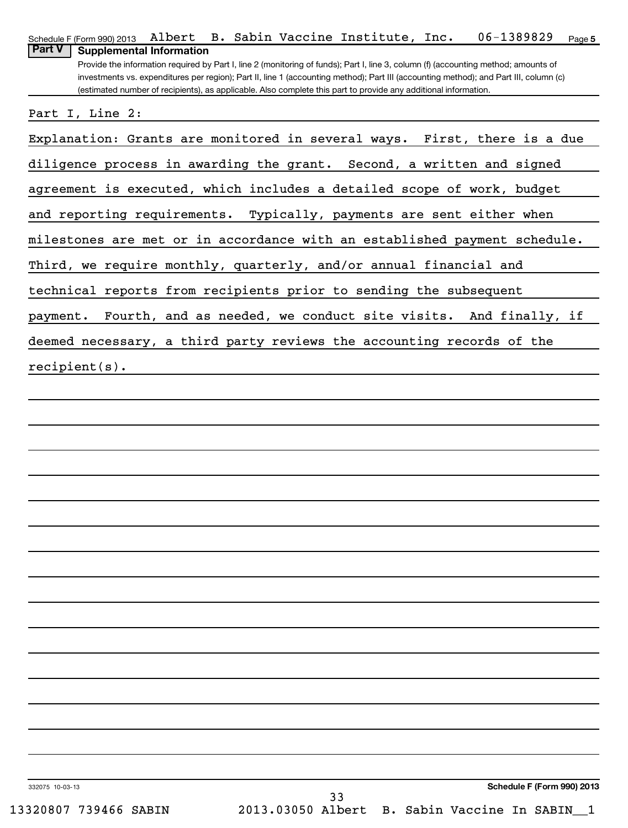| 06-1389829<br>B. Sabin Vaccine Institute, Inc.<br>Schedule F (Form 990) 2013 Albert<br>Page 5                                                                                           |
|-----------------------------------------------------------------------------------------------------------------------------------------------------------------------------------------|
| <b>Part V</b><br><b>Supplemental Information</b><br>Provide the information required by Part I, line 2 (monitoring of funds); Part I, line 3, column (f) (accounting method; amounts of |
| investments vs. expenditures per region); Part II, line 1 (accounting method); Part III (accounting method); and Part III, column (c)                                                   |
| (estimated number of recipients), as applicable. Also complete this part to provide any additional information.                                                                         |
| Part I, Line 2:                                                                                                                                                                         |
| Explanation: Grants are monitored in several ways.<br>First, there is a due                                                                                                             |
| diligence process in awarding the grant. Second, a written and signed                                                                                                                   |
| agreement is executed, which includes a detailed scope of work, budget                                                                                                                  |
| and reporting requirements. Typically, payments are sent either when                                                                                                                    |
| milestones are met or in accordance with an established payment schedule.                                                                                                               |
| Third, we require monthly, quarterly, and/or annual financial and                                                                                                                       |
| technical reports from recipients prior to sending the subsequent                                                                                                                       |
| Fourth, and as needed, we conduct site visits. And finally, if<br>payment.                                                                                                              |
| deemed necessary, a third party reviews the accounting records of the                                                                                                                   |
| $recipient(s)$ .                                                                                                                                                                        |
|                                                                                                                                                                                         |
|                                                                                                                                                                                         |
|                                                                                                                                                                                         |
|                                                                                                                                                                                         |
|                                                                                                                                                                                         |
|                                                                                                                                                                                         |
|                                                                                                                                                                                         |
|                                                                                                                                                                                         |
|                                                                                                                                                                                         |
|                                                                                                                                                                                         |
|                                                                                                                                                                                         |
|                                                                                                                                                                                         |
|                                                                                                                                                                                         |
|                                                                                                                                                                                         |
|                                                                                                                                                                                         |
|                                                                                                                                                                                         |
| <b>Schedule F (Form 990) 2013</b><br>332075 10-03-13<br>33                                                                                                                              |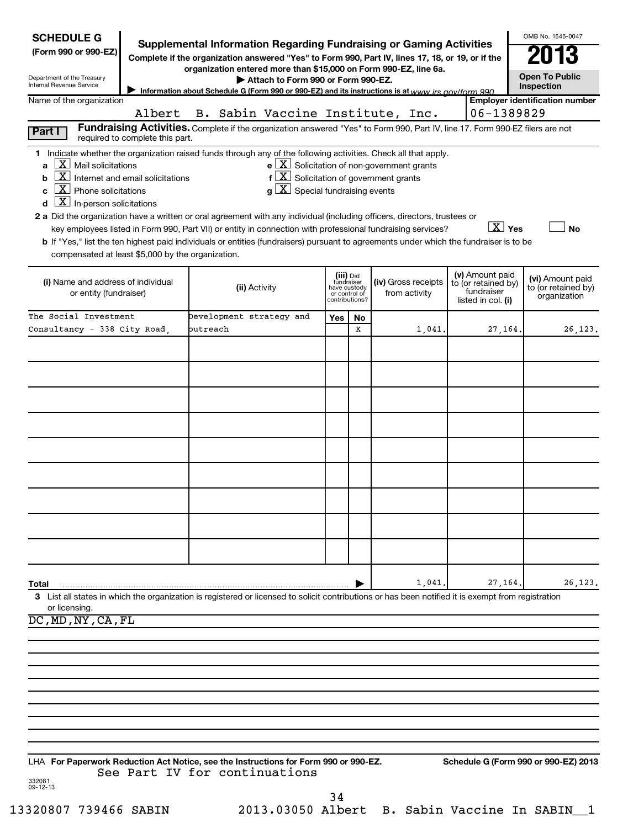| <b>SCHEDULE G</b>                                            |                                 |                                                                                                                                                                                                                                                       |     |                               |                                                                         |                                   | OMB No. 1545-0047                     |
|--------------------------------------------------------------|---------------------------------|-------------------------------------------------------------------------------------------------------------------------------------------------------------------------------------------------------------------------------------------------------|-----|-------------------------------|-------------------------------------------------------------------------|-----------------------------------|---------------------------------------|
| (Form 990 or 990-EZ)                                         |                                 | <b>Supplemental Information Regarding Fundraising or Gaming Activities</b><br>Complete if the organization answered "Yes" to Form 990, Part IV, lines 17, 18, or 19, or if the                                                                        |     |                               |                                                                         |                                   |                                       |
| Department of the Treasury                                   |                                 | organization entered more than \$15,000 on Form 990-EZ, line 6a.                                                                                                                                                                                      |     |                               |                                                                         |                                   | <b>Open To Public</b>                 |
| Internal Revenue Service                                     |                                 | Attach to Form 990 or Form 990-EZ.<br>Information about Schedule G (Form 990 or 990-EZ) and its instructions is at www.jrs.gov/form 990                                                                                                               |     |                               |                                                                         |                                   | Inspection                            |
| Name of the organization                                     | Albert                          | B. Sabin Vaccine Institute, Inc.                                                                                                                                                                                                                      |     |                               |                                                                         | 06-1389829                        | <b>Employer identification number</b> |
|                                                              |                                 | Fundraising Activities. Complete if the organization answered "Yes" to Form 990, Part IV, line 17. Form 990-EZ filers are not                                                                                                                         |     |                               |                                                                         |                                   |                                       |
| Part I                                                       | required to complete this part. |                                                                                                                                                                                                                                                       |     |                               |                                                                         |                                   |                                       |
| $\underline{\mathbf{X}}$ Mail solicitations                  |                                 | 1 Indicate whether the organization raised funds through any of the following activities. Check all that apply.                                                                                                                                       |     |                               | $\mathbf{e}$ $\boxed{\mathbf{X}}$ Solicitation of non-government grants |                                   |                                       |
| a<br>$\mathbf{X}$ Internet and email solicitations<br>b      |                                 | $f\left[\frac{\mathbf{X}}{\mathbf{X}}\right]$ Solicitation of government grants                                                                                                                                                                       |     |                               |                                                                         |                                   |                                       |
| $\underline{\mathbf{X}}$ Phone solicitations                 |                                 | $g\left[\frac{\mathbf{X}}{\mathbf{X}}\right]$ Special fundraising events                                                                                                                                                                              |     |                               |                                                                         |                                   |                                       |
| $\underline{\mathbf{X}}$ In-person solicitations             |                                 |                                                                                                                                                                                                                                                       |     |                               |                                                                         |                                   |                                       |
|                                                              |                                 | 2 a Did the organization have a written or oral agreement with any individual (including officers, directors, trustees or                                                                                                                             |     |                               |                                                                         | $\boxed{\text{X}}$ Yes            | <b>No</b>                             |
|                                                              |                                 | key employees listed in Form 990, Part VII) or entity in connection with professional fundraising services?<br>b If "Yes," list the ten highest paid individuals or entities (fundraisers) pursuant to agreements under which the fundraiser is to be |     |                               |                                                                         |                                   |                                       |
| compensated at least \$5,000 by the organization.            |                                 |                                                                                                                                                                                                                                                       |     |                               |                                                                         |                                   |                                       |
|                                                              |                                 |                                                                                                                                                                                                                                                       |     | (iii) Did<br>fundraiser       |                                                                         | (v) Amount paid                   | (vi) Amount paid                      |
| (i) Name and address of individual<br>or entity (fundraiser) |                                 | (ii) Activity                                                                                                                                                                                                                                         |     | have custody<br>or control of | (iv) Gross receipts<br>from activity                                    | to (or retained by)<br>fundraiser | to (or retained by)                   |
|                                                              |                                 |                                                                                                                                                                                                                                                       |     | contributions?                |                                                                         | listed in col. (i)                | organization                          |
| The Social Investment<br>Consultancy - 338 City Road,        |                                 | Development strategy and<br>butreach                                                                                                                                                                                                                  | Yes | No<br>x                       | 1,041.                                                                  | 27, 164.                          | 26, 123.                              |
|                                                              |                                 |                                                                                                                                                                                                                                                       |     |                               |                                                                         |                                   |                                       |
|                                                              |                                 |                                                                                                                                                                                                                                                       |     |                               |                                                                         |                                   |                                       |
|                                                              |                                 |                                                                                                                                                                                                                                                       |     |                               |                                                                         |                                   |                                       |
|                                                              |                                 |                                                                                                                                                                                                                                                       |     |                               |                                                                         |                                   |                                       |
|                                                              |                                 |                                                                                                                                                                                                                                                       |     |                               |                                                                         |                                   |                                       |
|                                                              |                                 |                                                                                                                                                                                                                                                       |     |                               |                                                                         |                                   |                                       |
|                                                              |                                 |                                                                                                                                                                                                                                                       |     |                               |                                                                         |                                   |                                       |
|                                                              |                                 |                                                                                                                                                                                                                                                       |     |                               |                                                                         |                                   |                                       |
|                                                              |                                 |                                                                                                                                                                                                                                                       |     |                               |                                                                         |                                   |                                       |
|                                                              |                                 |                                                                                                                                                                                                                                                       |     |                               |                                                                         |                                   |                                       |
|                                                              |                                 |                                                                                                                                                                                                                                                       |     |                               |                                                                         |                                   |                                       |
|                                                              |                                 |                                                                                                                                                                                                                                                       |     |                               |                                                                         |                                   |                                       |
|                                                              |                                 |                                                                                                                                                                                                                                                       |     |                               |                                                                         |                                   |                                       |
|                                                              |                                 |                                                                                                                                                                                                                                                       |     |                               |                                                                         |                                   |                                       |
|                                                              |                                 |                                                                                                                                                                                                                                                       |     |                               |                                                                         |                                   |                                       |
|                                                              |                                 |                                                                                                                                                                                                                                                       |     |                               | 1,041.                                                                  | 27,164.                           | 26,123.                               |
| Total                                                        |                                 | 3 List all states in which the organization is registered or licensed to solicit contributions or has been notified it is exempt from registration                                                                                                    |     |                               |                                                                         |                                   |                                       |
| or licensing.                                                |                                 |                                                                                                                                                                                                                                                       |     |                               |                                                                         |                                   |                                       |
| DC, MD, NY, CA, FL                                           |                                 |                                                                                                                                                                                                                                                       |     |                               |                                                                         |                                   |                                       |
|                                                              |                                 |                                                                                                                                                                                                                                                       |     |                               |                                                                         |                                   |                                       |
|                                                              |                                 |                                                                                                                                                                                                                                                       |     |                               |                                                                         |                                   |                                       |
|                                                              |                                 |                                                                                                                                                                                                                                                       |     |                               |                                                                         |                                   |                                       |
|                                                              |                                 |                                                                                                                                                                                                                                                       |     |                               |                                                                         |                                   |                                       |
|                                                              |                                 |                                                                                                                                                                                                                                                       |     |                               |                                                                         |                                   |                                       |
|                                                              |                                 |                                                                                                                                                                                                                                                       |     |                               |                                                                         |                                   |                                       |
|                                                              |                                 |                                                                                                                                                                                                                                                       |     |                               |                                                                         |                                   |                                       |
|                                                              |                                 |                                                                                                                                                                                                                                                       |     |                               |                                                                         |                                   |                                       |
|                                                              |                                 | LHA For Paperwork Reduction Act Notice, see the Instructions for Form 990 or 990-EZ.<br>See Part IV for continuations                                                                                                                                 |     |                               |                                                                         |                                   | Schedule G (Form 990 or 990-EZ) 2013  |
| 332081<br>$09 - 12 - 13$                                     |                                 |                                                                                                                                                                                                                                                       |     |                               |                                                                         |                                   |                                       |
|                                                              |                                 |                                                                                                                                                                                                                                                       | 34  |                               |                                                                         |                                   |                                       |
| 13320807 739466 SABIN                                        |                                 | 2013.03050 Albert B. Sabin Vaccine In SABIN_1                                                                                                                                                                                                         |     |                               |                                                                         |                                   |                                       |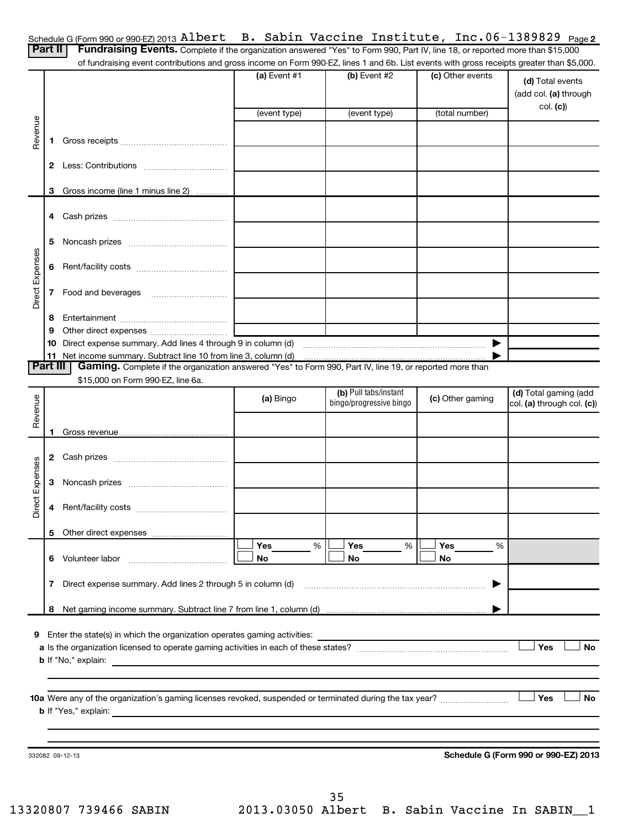| Schedule G (Form 990 or 990-EZ) 2013 Albert B. Sabin Vaccine Institute, Inc. 06-1389829 Page 2 |  |  |  |  |  |  |
|------------------------------------------------------------------------------------------------|--|--|--|--|--|--|
|------------------------------------------------------------------------------------------------|--|--|--|--|--|--|

| Part II         |    | Scributing $G$ (i.e. 1111 and on another so i.e. $T = 20$ i.e. $T = 20$<br>Fundraising Events. Complete if the organization answered "Yes" to Form 990, Part IV, line 18, or reported more than \$15,000<br>of fundraising event contributions and gross income on Form 990-EZ, lines 1 and 6b. List events with gross receipts greater than \$5,000. |                | $\sim$ . Daplin vaccinc independed incred isosial rayez |                  |                                                     |
|-----------------|----|-------------------------------------------------------------------------------------------------------------------------------------------------------------------------------------------------------------------------------------------------------------------------------------------------------------------------------------------------------|----------------|---------------------------------------------------------|------------------|-----------------------------------------------------|
|                 |    |                                                                                                                                                                                                                                                                                                                                                       | $(a)$ Event #1 | $(b)$ Event #2                                          | (c) Other events | (d) Total events<br>(add col. (a) through           |
|                 |    |                                                                                                                                                                                                                                                                                                                                                       | (event type)   | (event type)                                            | (total number)   | col. (c))                                           |
| Revenue         | 1. |                                                                                                                                                                                                                                                                                                                                                       |                |                                                         |                  |                                                     |
|                 |    |                                                                                                                                                                                                                                                                                                                                                       |                |                                                         |                  |                                                     |
|                 | 2  |                                                                                                                                                                                                                                                                                                                                                       |                |                                                         |                  |                                                     |
|                 | 3  | Gross income (line 1 minus line 2)                                                                                                                                                                                                                                                                                                                    |                |                                                         |                  |                                                     |
|                 | 4  |                                                                                                                                                                                                                                                                                                                                                       |                |                                                         |                  |                                                     |
|                 | 5  |                                                                                                                                                                                                                                                                                                                                                       |                |                                                         |                  |                                                     |
|                 |    |                                                                                                                                                                                                                                                                                                                                                       |                |                                                         |                  |                                                     |
|                 | 6  |                                                                                                                                                                                                                                                                                                                                                       |                |                                                         |                  |                                                     |
| Direct Expenses | 7  |                                                                                                                                                                                                                                                                                                                                                       |                |                                                         |                  |                                                     |
|                 | 8  |                                                                                                                                                                                                                                                                                                                                                       |                |                                                         |                  |                                                     |
|                 | 9  |                                                                                                                                                                                                                                                                                                                                                       |                |                                                         |                  |                                                     |
|                 | 10 |                                                                                                                                                                                                                                                                                                                                                       |                |                                                         |                  |                                                     |
| <b>Part III</b> |    | Gaming. Complete if the organization answered "Yes" to Form 990, Part IV, line 19, or reported more than                                                                                                                                                                                                                                              |                |                                                         |                  |                                                     |
|                 |    | \$15,000 on Form 990-EZ, line 6a.                                                                                                                                                                                                                                                                                                                     |                |                                                         |                  |                                                     |
|                 |    |                                                                                                                                                                                                                                                                                                                                                       | (a) Bingo      | (b) Pull tabs/instant<br>bingo/progressive bingo        | (c) Other gaming | (d) Total gaming (add<br>col. (a) through col. (c)) |
| Revenue         |    |                                                                                                                                                                                                                                                                                                                                                       |                |                                                         |                  |                                                     |
|                 |    |                                                                                                                                                                                                                                                                                                                                                       |                |                                                         |                  |                                                     |
|                 | 2  |                                                                                                                                                                                                                                                                                                                                                       |                |                                                         |                  |                                                     |
|                 | 3  |                                                                                                                                                                                                                                                                                                                                                       |                |                                                         |                  |                                                     |
| irect Expenses  | 4  |                                                                                                                                                                                                                                                                                                                                                       |                |                                                         |                  |                                                     |
| ▭               | 5  |                                                                                                                                                                                                                                                                                                                                                       |                |                                                         |                  |                                                     |
|                 |    |                                                                                                                                                                                                                                                                                                                                                       | Yes<br>%       | Yes<br>%                                                | Yes<br>%         |                                                     |
|                 | 6  | Volunteer labor                                                                                                                                                                                                                                                                                                                                       | No             | <b>No</b>                                               | No               |                                                     |
|                 | 7  | Direct expense summary. Add lines 2 through 5 in column (d)                                                                                                                                                                                                                                                                                           |                |                                                         | ▶                |                                                     |
|                 | 8  |                                                                                                                                                                                                                                                                                                                                                       |                |                                                         |                  |                                                     |
|                 |    |                                                                                                                                                                                                                                                                                                                                                       |                |                                                         |                  |                                                     |
| 9               |    | Enter the state(s) in which the organization operates gaming activities:                                                                                                                                                                                                                                                                              |                |                                                         |                  | Yes<br><b>No</b>                                    |
|                 |    | <b>b</b> If "No," explain:<br>the control of the control of the control of the control of the control of the control of                                                                                                                                                                                                                               |                |                                                         |                  |                                                     |
|                 |    |                                                                                                                                                                                                                                                                                                                                                       |                |                                                         |                  |                                                     |
|                 |    |                                                                                                                                                                                                                                                                                                                                                       |                |                                                         |                  | Yes<br>No                                           |
|                 |    | <b>b</b> If "Yes," explain:<br>and the control of the control of the control of the control of the control of the control of the control of the                                                                                                                                                                                                       |                |                                                         |                  |                                                     |
|                 |    |                                                                                                                                                                                                                                                                                                                                                       |                |                                                         |                  |                                                     |
|                 |    |                                                                                                                                                                                                                                                                                                                                                       |                |                                                         |                  |                                                     |
|                 |    | 332082 09-12-13                                                                                                                                                                                                                                                                                                                                       |                |                                                         |                  | Schedule G (Form 990 or 990-EZ) 2013                |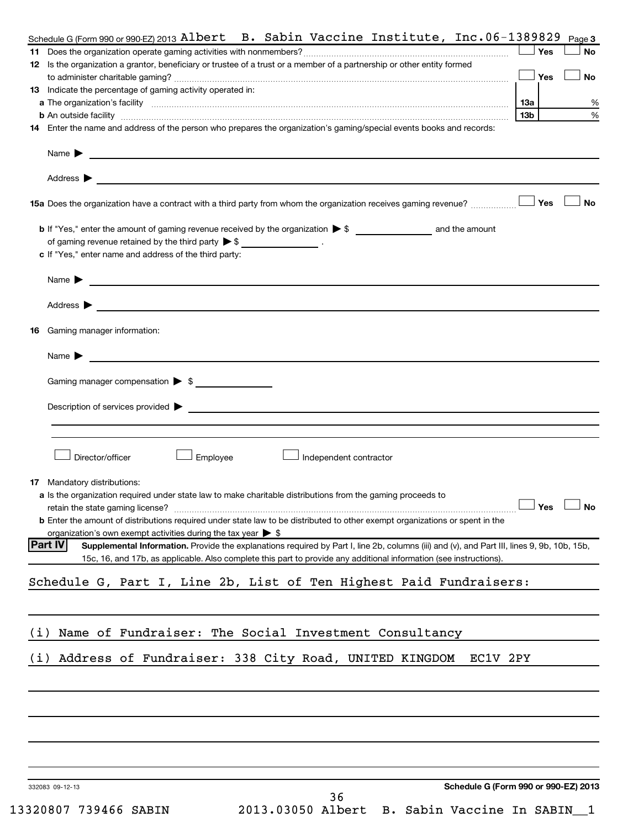|     | Schedule G (Form 990 or 990 EZ) 2013 Albert B. Sabin Vaccine Institute, $Inc.06-1389829$                                                                                                                                                                                      |     |            | Page 3    |
|-----|-------------------------------------------------------------------------------------------------------------------------------------------------------------------------------------------------------------------------------------------------------------------------------|-----|------------|-----------|
|     |                                                                                                                                                                                                                                                                               |     | Yes        | No        |
|     | 12 Is the organization a grantor, beneficiary or trustee of a trust or a member of a partnership or other entity formed                                                                                                                                                       |     |            |           |
|     |                                                                                                                                                                                                                                                                               |     | $\Box$ Yes | <b>No</b> |
|     | 13 Indicate the percentage of gaming activity operated in:                                                                                                                                                                                                                    |     |            |           |
|     |                                                                                                                                                                                                                                                                               | 1За |            |           |
|     |                                                                                                                                                                                                                                                                               | 13b |            |           |
|     | 14 Enter the name and address of the person who prepares the organization's gaming/special events books and records:                                                                                                                                                          |     |            |           |
|     | Name $\blacktriangleright$<br><u> 1989 - Johann Harry Harry Harry Harry Harry Harry Harry Harry Harry Harry Harry Harry Harry Harry Harry Harry</u>                                                                                                                           |     |            |           |
|     | Address $\blacktriangleright$<br>and the control of the control of the control of the control of the control of the control of the control of the                                                                                                                             |     |            |           |
|     | 15a Does the organization have a contract with a third party from whom the organization receives gaming revenue?                                                                                                                                                              |     | J Yes∶     | <b>No</b> |
|     |                                                                                                                                                                                                                                                                               |     |            |           |
|     | of gaming revenue retained by the third party $\triangleright$ \$ _________________.                                                                                                                                                                                          |     |            |           |
|     | c If "Yes," enter name and address of the third party:                                                                                                                                                                                                                        |     |            |           |
|     | Name $\blacktriangleright$<br><u> Andreas Andreas Andreas Andreas Andreas Andreas Andreas Andreas Andreas Andreas Andreas Andreas Andreas Andr</u>                                                                                                                            |     |            |           |
|     | Address $\blacktriangleright$                                                                                                                                                                                                                                                 |     |            |           |
|     | <u> 1989 - Johann Stein, marwolaethau a bhann an t-Amhair an t-Amhair an t-Amhair an t-Amhair an t-Amhair an t-A</u>                                                                                                                                                          |     |            |           |
| 16  | Gaming manager information:                                                                                                                                                                                                                                                   |     |            |           |
|     | Name $\blacktriangleright$<br><u> 1989 - Johann John Stein, markin fan it ferstjer fan de ferstjer fan it ferstjer fan de ferstjer fan it fers</u>                                                                                                                            |     |            |           |
|     | Gaming manager compensation > \$                                                                                                                                                                                                                                              |     |            |           |
|     |                                                                                                                                                                                                                                                                               |     |            |           |
|     |                                                                                                                                                                                                                                                                               |     |            |           |
|     |                                                                                                                                                                                                                                                                               |     |            |           |
|     |                                                                                                                                                                                                                                                                               |     |            |           |
|     | Director/officer<br>Employee<br>Independent contractor                                                                                                                                                                                                                        |     |            |           |
|     |                                                                                                                                                                                                                                                                               |     |            |           |
|     | <b>17</b> Mandatory distributions:                                                                                                                                                                                                                                            |     |            |           |
|     | a Is the organization required under state law to make charitable distributions from the gaming proceeds to                                                                                                                                                                   |     |            |           |
|     | retain the state gaming license?                                                                                                                                                                                                                                              |     | 」Yes       | 」No       |
|     | <b>b</b> Enter the amount of distributions required under state law to be distributed to other exempt organizations or spent in the                                                                                                                                           |     |            |           |
|     | organization's own exempt activities during the tax year $\triangleright$ \$                                                                                                                                                                                                  |     |            |           |
|     | Part IV <br>Supplemental Information. Provide the explanations required by Part I, line 2b, columns (iii) and (v), and Part III, lines 9, 9b, 10b, 15b,<br>15c, 16, and 17b, as applicable. Also complete this part to provide any additional information (see instructions). |     |            |           |
|     | Schedule G, Part I, Line 2b, List of Ten Highest Paid Fundraisers:                                                                                                                                                                                                            |     |            |           |
|     |                                                                                                                                                                                                                                                                               |     |            |           |
| (i) | Name of Fundraiser: The Social Investment Consultancy                                                                                                                                                                                                                         |     |            |           |
|     |                                                                                                                                                                                                                                                                               |     |            |           |
| (i) | Address of Fundraiser: 338 City Road, UNITED KINGDOM<br>EC1V 2PY                                                                                                                                                                                                              |     |            |           |
|     |                                                                                                                                                                                                                                                                               |     |            |           |
|     |                                                                                                                                                                                                                                                                               |     |            |           |
|     |                                                                                                                                                                                                                                                                               |     |            |           |
|     |                                                                                                                                                                                                                                                                               |     |            |           |
|     |                                                                                                                                                                                                                                                                               |     |            |           |
|     | Schedule G (Form 990 or 990-EZ) 2013<br>332083 09-12-13                                                                                                                                                                                                                       |     |            |           |
|     | 36                                                                                                                                                                                                                                                                            |     |            |           |
|     | 2013.03050 Albert<br>13320807 739466 SABIN<br>B. Sabin Vaccine In SABIN_1                                                                                                                                                                                                     |     |            |           |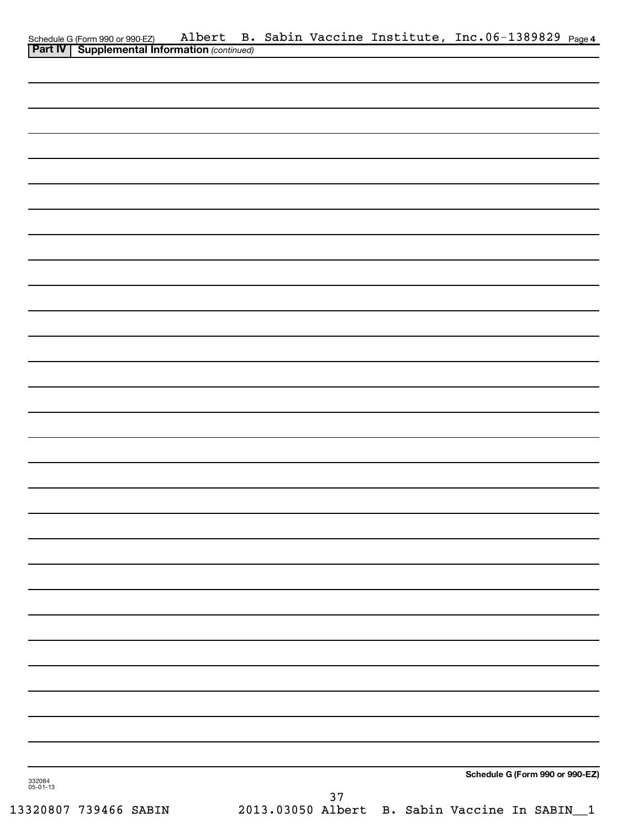|                    |  |        | Schedule G (Form 990 or 990-EZ) Albert B. Sabin Vaccine Institute, Inc.06-1389829 Page 4<br>Part IV Supplemental Information (continued) |  |
|--------------------|--|--------|------------------------------------------------------------------------------------------------------------------------------------------|--|
|                    |  |        |                                                                                                                                          |  |
|                    |  |        |                                                                                                                                          |  |
|                    |  |        |                                                                                                                                          |  |
|                    |  |        |                                                                                                                                          |  |
|                    |  |        |                                                                                                                                          |  |
|                    |  |        |                                                                                                                                          |  |
|                    |  |        |                                                                                                                                          |  |
|                    |  |        |                                                                                                                                          |  |
|                    |  |        |                                                                                                                                          |  |
|                    |  |        |                                                                                                                                          |  |
|                    |  |        |                                                                                                                                          |  |
|                    |  |        |                                                                                                                                          |  |
|                    |  |        |                                                                                                                                          |  |
|                    |  |        |                                                                                                                                          |  |
|                    |  |        |                                                                                                                                          |  |
|                    |  |        |                                                                                                                                          |  |
|                    |  |        |                                                                                                                                          |  |
|                    |  |        |                                                                                                                                          |  |
|                    |  |        |                                                                                                                                          |  |
|                    |  |        |                                                                                                                                          |  |
|                    |  |        |                                                                                                                                          |  |
|                    |  |        |                                                                                                                                          |  |
|                    |  |        |                                                                                                                                          |  |
|                    |  |        |                                                                                                                                          |  |
|                    |  |        |                                                                                                                                          |  |
|                    |  |        |                                                                                                                                          |  |
|                    |  |        |                                                                                                                                          |  |
|                    |  |        |                                                                                                                                          |  |
|                    |  |        |                                                                                                                                          |  |
|                    |  |        |                                                                                                                                          |  |
|                    |  |        |                                                                                                                                          |  |
|                    |  |        |                                                                                                                                          |  |
|                    |  |        |                                                                                                                                          |  |
|                    |  |        |                                                                                                                                          |  |
|                    |  |        |                                                                                                                                          |  |
|                    |  |        |                                                                                                                                          |  |
|                    |  |        |                                                                                                                                          |  |
| 332084<br>05-01-13 |  |        | Schedule G (Form 990 or 990-EZ)                                                                                                          |  |
|                    |  | $37\,$ |                                                                                                                                          |  |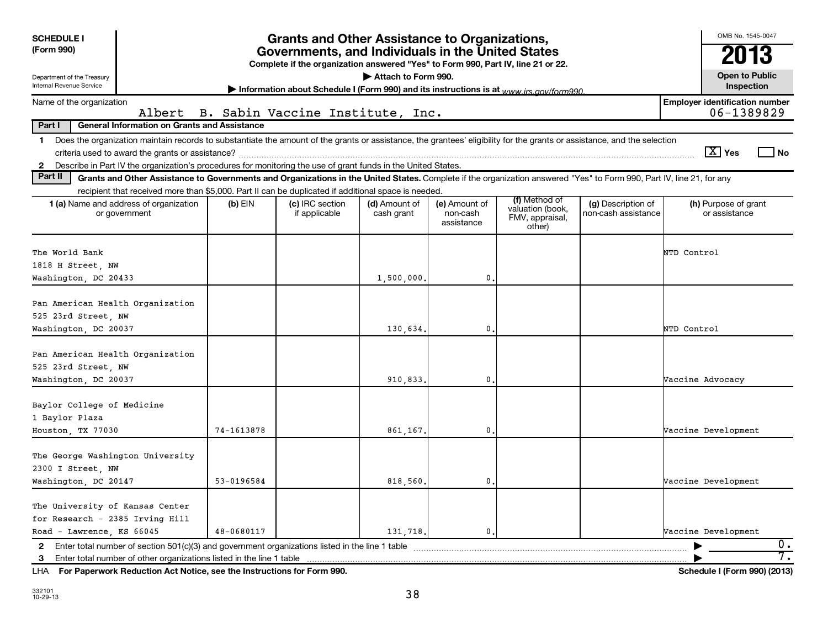| <b>SCHEDULE I</b><br>(Form 990)<br>Department of the Treasury                                                                                                                                                                                                                                                   |            | <b>Grants and Other Assistance to Organizations,</b><br>Governments, and Individuals in the United States<br>Complete if the organization answered "Yes" to Form 990, Part IV, line 21 or 22. | Attach to Form 990.         |                                         |                                                                |                                           | OMB No. 1545-0047<br>2013<br><b>Open to Public</b> |
|-----------------------------------------------------------------------------------------------------------------------------------------------------------------------------------------------------------------------------------------------------------------------------------------------------------------|------------|-----------------------------------------------------------------------------------------------------------------------------------------------------------------------------------------------|-----------------------------|-----------------------------------------|----------------------------------------------------------------|-------------------------------------------|----------------------------------------------------|
| Internal Revenue Service                                                                                                                                                                                                                                                                                        |            | Information about Schedule I (Form 990) and its instructions is at www.jrs.gov/form990                                                                                                        |                             |                                         |                                                                |                                           | Inspection                                         |
| Name of the organization                                                                                                                                                                                                                                                                                        |            |                                                                                                                                                                                               |                             |                                         |                                                                |                                           | <b>Employer identification number</b>              |
| Albert<br><b>General Information on Grants and Assistance</b><br>Part I                                                                                                                                                                                                                                         |            | B. Sabin Vaccine Institute, Inc.                                                                                                                                                              |                             |                                         |                                                                |                                           | 06-1389829                                         |
| Does the organization maintain records to substantiate the amount of the grants or assistance, the grantees' eligibility for the grants or assistance, and the selection<br>1.<br>Describe in Part IV the organization's procedures for monitoring the use of grant funds in the United States.<br>$\mathbf{2}$ |            |                                                                                                                                                                                               |                             |                                         |                                                                |                                           | $\boxed{\text{X}}$ Yes<br>No                       |
| Part II<br>Grants and Other Assistance to Governments and Organizations in the United States. Complete if the organization answered "Yes" to Form 990, Part IV, line 21, for any                                                                                                                                |            |                                                                                                                                                                                               |                             |                                         |                                                                |                                           |                                                    |
| recipient that received more than \$5,000. Part II can be duplicated if additional space is needed.                                                                                                                                                                                                             |            |                                                                                                                                                                                               |                             |                                         |                                                                |                                           |                                                    |
| 1 (a) Name and address of organization<br>or government                                                                                                                                                                                                                                                         | $(b)$ EIN  | (c) IRC section<br>if applicable                                                                                                                                                              | (d) Amount of<br>cash grant | (e) Amount of<br>non-cash<br>assistance | (f) Method of<br>valuation (book,<br>FMV, appraisal,<br>other) | (g) Description of<br>non-cash assistance | (h) Purpose of grant<br>or assistance              |
| The World Bank<br>1818 H Street, NW<br>Washington, DC 20433                                                                                                                                                                                                                                                     |            |                                                                                                                                                                                               | 1,500,000.                  | $\mathbf{0}$                            |                                                                |                                           | NTD Control                                        |
|                                                                                                                                                                                                                                                                                                                 |            |                                                                                                                                                                                               |                             |                                         |                                                                |                                           |                                                    |
| Pan American Health Organization<br>525 23rd Street, NW<br>Washington, DC 20037                                                                                                                                                                                                                                 |            |                                                                                                                                                                                               | 130.634.                    | $\mathbf{0}$                            |                                                                |                                           | NTD Control                                        |
| Pan American Health Organization<br>525 23rd Street, NW<br>Washington, DC 20037                                                                                                                                                                                                                                 |            |                                                                                                                                                                                               | 910,833.                    | 0                                       |                                                                |                                           | Vaccine Advocacy                                   |
| Baylor College of Medicine<br>1 Baylor Plaza<br>Houston, TX 77030                                                                                                                                                                                                                                               | 74-1613878 |                                                                                                                                                                                               | 861,167.                    | $\mathbf{0}$                            |                                                                |                                           | Vaccine Development                                |
| The George Washington University<br>2300 I Street, NW                                                                                                                                                                                                                                                           |            |                                                                                                                                                                                               |                             | $\mathbf 0$                             |                                                                |                                           |                                                    |
| Washington, DC 20147                                                                                                                                                                                                                                                                                            | 53-0196584 |                                                                                                                                                                                               | 818,560.                    |                                         |                                                                |                                           | Vaccine Development                                |
| The University of Kansas Center<br>for Research - 2385 Irving Hill<br>Road - Lawrence, KS 66045                                                                                                                                                                                                                 | 48-0680117 |                                                                                                                                                                                               | 131.718.                    | $\mathbf{0}$ .                          |                                                                |                                           | Vaccine Development                                |
| Enter total number of section 501(c)(3) and government organizations listed in the line 1 table<br>$\mathbf{2}$                                                                                                                                                                                                 |            |                                                                                                                                                                                               |                             |                                         |                                                                |                                           | $\overline{0}$ .                                   |
| 3                                                                                                                                                                                                                                                                                                               |            |                                                                                                                                                                                               |                             |                                         |                                                                |                                           | 7.                                                 |
| LHA For Paperwork Reduction Act Notice, see the Instructions for Form 990.                                                                                                                                                                                                                                      |            |                                                                                                                                                                                               |                             |                                         |                                                                |                                           | Schedule I (Form 990) (2013)                       |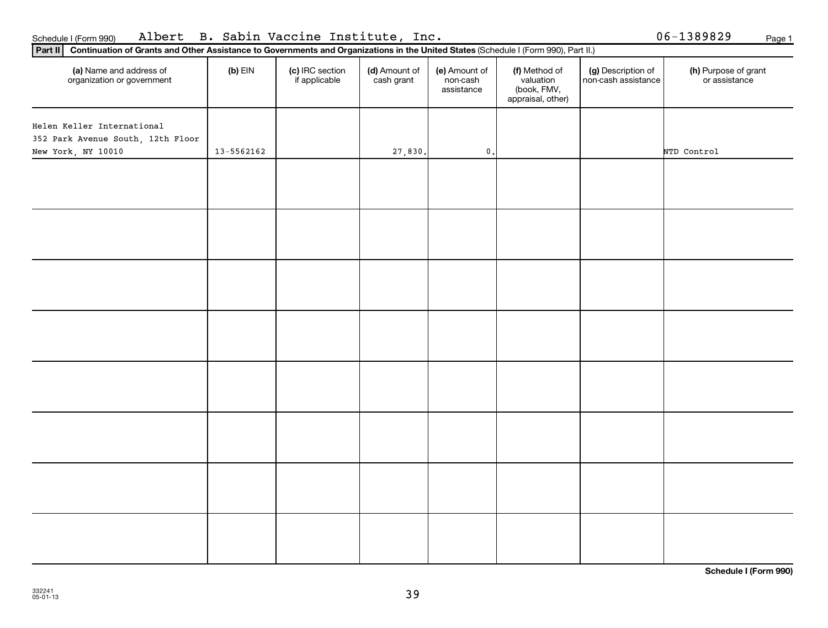| (a) Name and address of<br>organization or government | $(b)$ EIN      | (c) IRC section<br>if applicable | (d) Amount of<br>cash grant | (e) Amount of<br>non-cash<br>assistance | (f) Method of<br>valuation<br>(book, FMV,<br>appraisal, other) | (g) Description of<br>non-cash assistance | (h) Purpose of grant<br>or assistance |
|-------------------------------------------------------|----------------|----------------------------------|-----------------------------|-----------------------------------------|----------------------------------------------------------------|-------------------------------------------|---------------------------------------|
| Helen Keller International                            |                |                                  |                             |                                         |                                                                |                                           |                                       |
| 352 Park Avenue South, 12th Floor                     |                |                                  |                             |                                         |                                                                |                                           |                                       |
| New York, NY 10010                                    | $13 - 5562162$ |                                  | 27,830.                     | $\mathbf 0$ .                           |                                                                |                                           | NTD Control                           |
|                                                       |                |                                  |                             |                                         |                                                                |                                           |                                       |
|                                                       |                |                                  |                             |                                         |                                                                |                                           |                                       |
|                                                       |                |                                  |                             |                                         |                                                                |                                           |                                       |
|                                                       |                |                                  |                             |                                         |                                                                |                                           |                                       |
|                                                       |                |                                  |                             |                                         |                                                                |                                           |                                       |
|                                                       |                |                                  |                             |                                         |                                                                |                                           |                                       |
|                                                       |                |                                  |                             |                                         |                                                                |                                           |                                       |
|                                                       |                |                                  |                             |                                         |                                                                |                                           |                                       |

## Schedule I (Form 990) Albert B. Sabin Vaccine Institute, Inc. 06-1389829 <sub>Page 1</sub>

**Part II Continuation of Grants and Other Assistance to Governments and Organizations in the United States**  (Schedule I (Form 990), Part II.)

**Schedule I (Form 990)**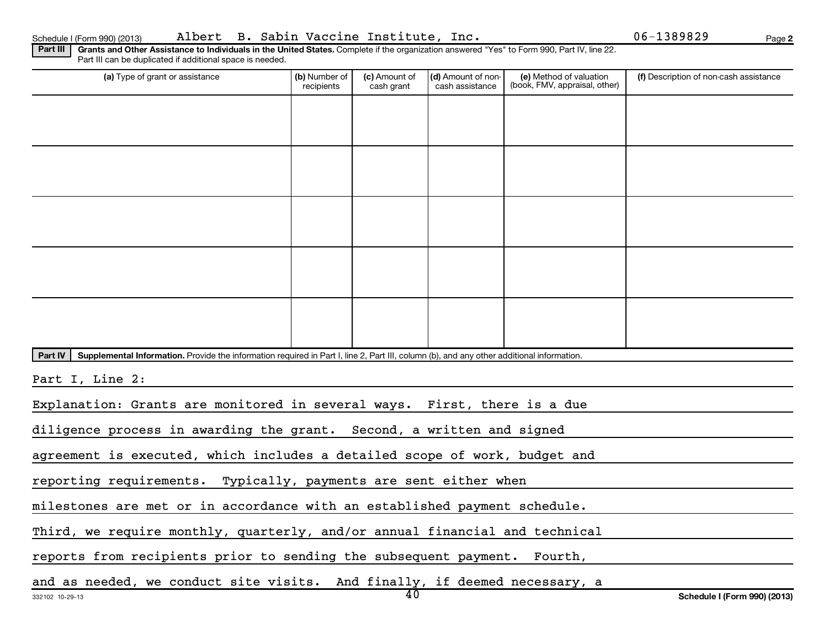Schedule I (Form 990) (2013) Page Albert B. Sabin Vaccine Institute, Inc. 06-1389829

**2**

Part III | Grants and Other Assistance to Individuals in the United States. Complete if the organization answered "Yes" to Form 990, Part IV, line 22. Part III can be duplicated if additional space is needed.

| (a) Type of grant or assistance                                                                                                                      | (b) Number of<br>recipients                                                | (c) Amount of<br>cash grant | (d) Amount of non-<br>cash assistance | (e) Method of valuation<br>(book, FMV, appraisal, other) | (f) Description of non-cash assistance |  |  |  |  |  |
|------------------------------------------------------------------------------------------------------------------------------------------------------|----------------------------------------------------------------------------|-----------------------------|---------------------------------------|----------------------------------------------------------|----------------------------------------|--|--|--|--|--|
|                                                                                                                                                      |                                                                            |                             |                                       |                                                          |                                        |  |  |  |  |  |
|                                                                                                                                                      |                                                                            |                             |                                       |                                                          |                                        |  |  |  |  |  |
|                                                                                                                                                      |                                                                            |                             |                                       |                                                          |                                        |  |  |  |  |  |
|                                                                                                                                                      |                                                                            |                             |                                       |                                                          |                                        |  |  |  |  |  |
|                                                                                                                                                      |                                                                            |                             |                                       |                                                          |                                        |  |  |  |  |  |
|                                                                                                                                                      |                                                                            |                             |                                       |                                                          |                                        |  |  |  |  |  |
|                                                                                                                                                      |                                                                            |                             |                                       |                                                          |                                        |  |  |  |  |  |
|                                                                                                                                                      |                                                                            |                             |                                       |                                                          |                                        |  |  |  |  |  |
|                                                                                                                                                      |                                                                            |                             |                                       |                                                          |                                        |  |  |  |  |  |
|                                                                                                                                                      |                                                                            |                             |                                       |                                                          |                                        |  |  |  |  |  |
| Supplemental Information. Provide the information required in Part I, line 2, Part III, column (b), and any other additional information.<br>Part IV |                                                                            |                             |                                       |                                                          |                                        |  |  |  |  |  |
| Part I, Line 2:                                                                                                                                      |                                                                            |                             |                                       |                                                          |                                        |  |  |  |  |  |
| Explanation: Grants are monitored in several ways. First, there is a due                                                                             |                                                                            |                             |                                       |                                                          |                                        |  |  |  |  |  |
| diligence process in awarding the grant. Second, a written and signed                                                                                |                                                                            |                             |                                       |                                                          |                                        |  |  |  |  |  |
|                                                                                                                                                      | agreement is executed, which includes a detailed scope of work, budget and |                             |                                       |                                                          |                                        |  |  |  |  |  |
| reporting requirements. Typically, payments are sent either when                                                                                     |                                                                            |                             |                                       |                                                          |                                        |  |  |  |  |  |

milestones are met or in accordance with an established payment schedule.

Third, we require monthly, quarterly, and/or annual financial and technical

reports from recipients prior to sending the subsequent payment. Fourth,

and as needed, we conduct site visits. And finally, if deemed necessary, a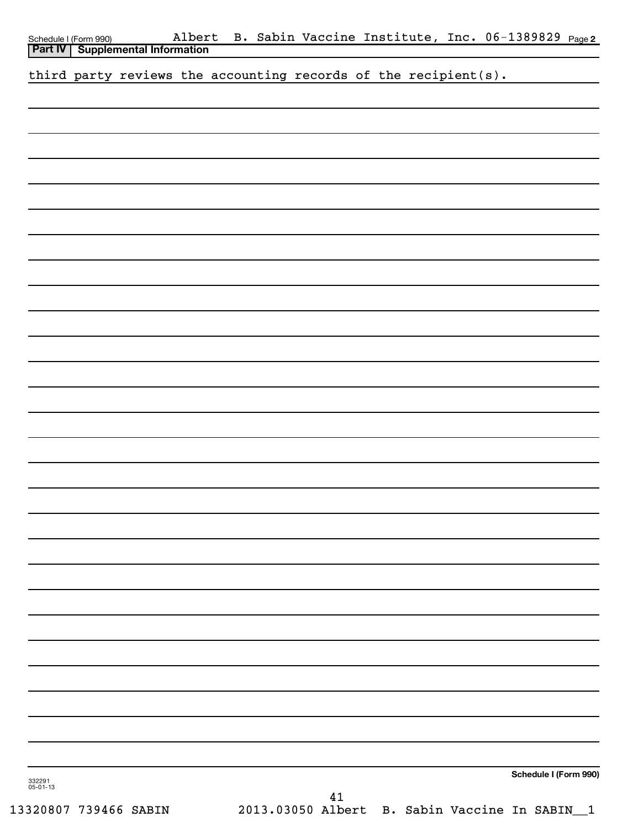|  | Schedule I (Form 990) Alber<br><b>Part IV   Supplemental Information</b> |  | Albert B. Sabin Vaccine Institute, Inc. 06-1389829 Page2 |  |  |                       |  |
|--|--------------------------------------------------------------------------|--|----------------------------------------------------------|--|--|-----------------------|--|
|  | third party reviews the accounting records of the recipient(s).          |  |                                                          |  |  |                       |  |
|  |                                                                          |  |                                                          |  |  |                       |  |
|  |                                                                          |  |                                                          |  |  |                       |  |
|  |                                                                          |  |                                                          |  |  |                       |  |
|  |                                                                          |  |                                                          |  |  |                       |  |
|  |                                                                          |  |                                                          |  |  |                       |  |
|  |                                                                          |  |                                                          |  |  |                       |  |
|  |                                                                          |  |                                                          |  |  |                       |  |
|  |                                                                          |  |                                                          |  |  |                       |  |
|  |                                                                          |  |                                                          |  |  |                       |  |
|  |                                                                          |  |                                                          |  |  |                       |  |
|  |                                                                          |  |                                                          |  |  |                       |  |
|  |                                                                          |  |                                                          |  |  |                       |  |
|  |                                                                          |  |                                                          |  |  |                       |  |
|  |                                                                          |  |                                                          |  |  |                       |  |
|  |                                                                          |  |                                                          |  |  |                       |  |
|  |                                                                          |  |                                                          |  |  |                       |  |
|  |                                                                          |  |                                                          |  |  |                       |  |
|  |                                                                          |  |                                                          |  |  |                       |  |
|  |                                                                          |  |                                                          |  |  |                       |  |
|  |                                                                          |  |                                                          |  |  |                       |  |
|  |                                                                          |  |                                                          |  |  |                       |  |
|  |                                                                          |  |                                                          |  |  |                       |  |
|  |                                                                          |  |                                                          |  |  |                       |  |
|  |                                                                          |  |                                                          |  |  |                       |  |
|  |                                                                          |  |                                                          |  |  |                       |  |
|  |                                                                          |  |                                                          |  |  |                       |  |
|  |                                                                          |  |                                                          |  |  |                       |  |
|  |                                                                          |  |                                                          |  |  |                       |  |
|  |                                                                          |  |                                                          |  |  |                       |  |
|  |                                                                          |  |                                                          |  |  |                       |  |
|  |                                                                          |  |                                                          |  |  |                       |  |
|  |                                                                          |  |                                                          |  |  | Schedule I (Form 990) |  |

13320807 739466 SABIN 2013.03050 Albert B. Sabin Vaccine In SABIN\_\_1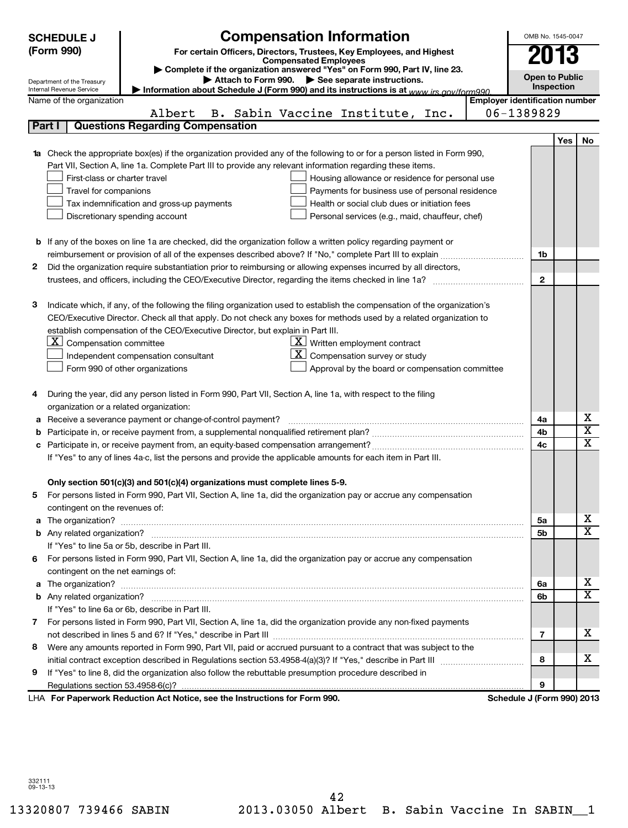|   | <b>SCHEDULE J</b>                                      | <b>Compensation Information</b>                                                                                                                                                                                                                                                                                                                                                                                                                                                                                        |                                       | OMB No. 1545-0047     |     |                            |  |
|---|--------------------------------------------------------|------------------------------------------------------------------------------------------------------------------------------------------------------------------------------------------------------------------------------------------------------------------------------------------------------------------------------------------------------------------------------------------------------------------------------------------------------------------------------------------------------------------------|---------------------------------------|-----------------------|-----|----------------------------|--|
|   | (Form 990)                                             | For certain Officers, Directors, Trustees, Key Employees, and Highest                                                                                                                                                                                                                                                                                                                                                                                                                                                  |                                       |                       |     |                            |  |
|   |                                                        | <b>Compensated Employees</b>                                                                                                                                                                                                                                                                                                                                                                                                                                                                                           |                                       | 2013                  |     |                            |  |
|   |                                                        | Complete if the organization answered "Yes" on Form 990, Part IV, line 23.                                                                                                                                                                                                                                                                                                                                                                                                                                             |                                       | <b>Open to Public</b> |     |                            |  |
|   | Department of the Treasury<br>Internal Revenue Service | Attach to Form 990. > See separate instructions.<br>Information about Schedule J (Form 990) and its instructions is at www irs gov/form990                                                                                                                                                                                                                                                                                                                                                                             |                                       | Inspection            |     |                            |  |
|   | Name of the organization                               |                                                                                                                                                                                                                                                                                                                                                                                                                                                                                                                        | <b>Employer identification number</b> |                       |     |                            |  |
|   |                                                        | Albert<br>B. Sabin Vaccine Institute, Inc.                                                                                                                                                                                                                                                                                                                                                                                                                                                                             | 06-1389829                            |                       |     |                            |  |
|   | Part I                                                 | <b>Questions Regarding Compensation</b>                                                                                                                                                                                                                                                                                                                                                                                                                                                                                |                                       |                       |     |                            |  |
|   |                                                        |                                                                                                                                                                                                                                                                                                                                                                                                                                                                                                                        |                                       |                       | Yes | No.                        |  |
|   |                                                        | <b>1a</b> Check the appropriate box(es) if the organization provided any of the following to or for a person listed in Form 990,                                                                                                                                                                                                                                                                                                                                                                                       |                                       |                       |     |                            |  |
|   |                                                        | Part VII, Section A, line 1a. Complete Part III to provide any relevant information regarding these items.                                                                                                                                                                                                                                                                                                                                                                                                             |                                       |                       |     |                            |  |
|   | First-class or charter travel                          | Housing allowance or residence for personal use                                                                                                                                                                                                                                                                                                                                                                                                                                                                        |                                       |                       |     |                            |  |
|   | Travel for companions                                  | Payments for business use of personal residence                                                                                                                                                                                                                                                                                                                                                                                                                                                                        |                                       |                       |     |                            |  |
|   |                                                        | Health or social club dues or initiation fees<br>Tax indemnification and gross-up payments                                                                                                                                                                                                                                                                                                                                                                                                                             |                                       |                       |     |                            |  |
|   |                                                        | Discretionary spending account<br>Personal services (e.g., maid, chauffeur, chef)                                                                                                                                                                                                                                                                                                                                                                                                                                      |                                       |                       |     |                            |  |
|   |                                                        |                                                                                                                                                                                                                                                                                                                                                                                                                                                                                                                        |                                       |                       |     |                            |  |
|   |                                                        | <b>b</b> If any of the boxes on line 1a are checked, did the organization follow a written policy regarding payment or                                                                                                                                                                                                                                                                                                                                                                                                 |                                       |                       |     |                            |  |
|   |                                                        | reimbursement or provision of all of the expenses described above? If "No," complete Part III to explain                                                                                                                                                                                                                                                                                                                                                                                                               |                                       | 1b                    |     |                            |  |
| 2 |                                                        | Did the organization require substantiation prior to reimbursing or allowing expenses incurred by all directors,                                                                                                                                                                                                                                                                                                                                                                                                       |                                       |                       |     |                            |  |
|   |                                                        | trustees, and officers, including the CEO/Executive Director, regarding the items checked in line 1a?                                                                                                                                                                                                                                                                                                                                                                                                                  |                                       | $\overline{2}$        |     |                            |  |
|   |                                                        |                                                                                                                                                                                                                                                                                                                                                                                                                                                                                                                        |                                       |                       |     |                            |  |
| З |                                                        | Indicate which, if any, of the following the filing organization used to establish the compensation of the organization's                                                                                                                                                                                                                                                                                                                                                                                              |                                       |                       |     |                            |  |
|   |                                                        | CEO/Executive Director. Check all that apply. Do not check any boxes for methods used by a related organization to                                                                                                                                                                                                                                                                                                                                                                                                     |                                       |                       |     |                            |  |
|   |                                                        | establish compensation of the CEO/Executive Director, but explain in Part III.                                                                                                                                                                                                                                                                                                                                                                                                                                         |                                       |                       |     |                            |  |
|   | $\underline{\mathbf{X}}$ Compensation committee        | $\lfloor \underline{x} \rfloor$ Written employment contract                                                                                                                                                                                                                                                                                                                                                                                                                                                            |                                       |                       |     |                            |  |
|   |                                                        | Compensation survey or study<br>Independent compensation consultant                                                                                                                                                                                                                                                                                                                                                                                                                                                    |                                       |                       |     |                            |  |
|   |                                                        | Form 990 of other organizations<br>Approval by the board or compensation committee                                                                                                                                                                                                                                                                                                                                                                                                                                     |                                       |                       |     |                            |  |
|   |                                                        |                                                                                                                                                                                                                                                                                                                                                                                                                                                                                                                        |                                       |                       |     |                            |  |
| 4 |                                                        | During the year, did any person listed in Form 990, Part VII, Section A, line 1a, with respect to the filing                                                                                                                                                                                                                                                                                                                                                                                                           |                                       |                       |     |                            |  |
|   | organization or a related organization:                |                                                                                                                                                                                                                                                                                                                                                                                                                                                                                                                        |                                       |                       |     |                            |  |
| а |                                                        | Receive a severance payment or change-of-control payment?<br>$\mathcal{L} = \{ \mathcal{L}^{\mathcal{L}}_{\mathcal{L}} \mathcal{L}^{\mathcal{L}}_{\mathcal{L}} \mathcal{L}^{\mathcal{L}}_{\mathcal{L}} \mathcal{L}^{\mathcal{L}}_{\mathcal{L}} \mathcal{L}^{\mathcal{L}}_{\mathcal{L}} \mathcal{L}^{\mathcal{L}}_{\mathcal{L}} \mathcal{L}^{\mathcal{L}}_{\mathcal{L}} \mathcal{L}^{\mathcal{L}}_{\mathcal{L}} \mathcal{L}^{\mathcal{L}}_{\mathcal{L}} \mathcal{L}^{\mathcal{L}}_{\mathcal{L}} \mathcal{L}^{\mathcal{$ |                                       | 4a                    |     | х<br>$\overline{\text{x}}$ |  |
| b |                                                        |                                                                                                                                                                                                                                                                                                                                                                                                                                                                                                                        |                                       | 4b<br>4c              |     | $\overline{\mathtt{x}}$    |  |
|   |                                                        |                                                                                                                                                                                                                                                                                                                                                                                                                                                                                                                        |                                       |                       |     |                            |  |
|   |                                                        | If "Yes" to any of lines 4a-c, list the persons and provide the applicable amounts for each item in Part III.                                                                                                                                                                                                                                                                                                                                                                                                          |                                       |                       |     |                            |  |
|   |                                                        |                                                                                                                                                                                                                                                                                                                                                                                                                                                                                                                        |                                       |                       |     |                            |  |
|   |                                                        | Only section 501(c)(3) and 501(c)(4) organizations must complete lines 5-9.                                                                                                                                                                                                                                                                                                                                                                                                                                            |                                       |                       |     |                            |  |
| 5 |                                                        | For persons listed in Form 990, Part VII, Section A, line 1a, did the organization pay or accrue any compensation                                                                                                                                                                                                                                                                                                                                                                                                      |                                       |                       |     |                            |  |
|   | contingent on the revenues of:                         |                                                                                                                                                                                                                                                                                                                                                                                                                                                                                                                        |                                       | 5a                    |     | х                          |  |
|   |                                                        |                                                                                                                                                                                                                                                                                                                                                                                                                                                                                                                        |                                       | 5b                    |     | $\overline{\mathtt{x}}$    |  |
|   |                                                        | If "Yes" to line 5a or 5b, describe in Part III.                                                                                                                                                                                                                                                                                                                                                                                                                                                                       |                                       |                       |     |                            |  |
|   |                                                        | 6 For persons listed in Form 990, Part VII, Section A, line 1a, did the organization pay or accrue any compensation                                                                                                                                                                                                                                                                                                                                                                                                    |                                       |                       |     |                            |  |
|   | contingent on the net earnings of:                     |                                                                                                                                                                                                                                                                                                                                                                                                                                                                                                                        |                                       |                       |     |                            |  |
|   |                                                        |                                                                                                                                                                                                                                                                                                                                                                                                                                                                                                                        |                                       | 6a                    |     | x                          |  |
|   |                                                        |                                                                                                                                                                                                                                                                                                                                                                                                                                                                                                                        |                                       | 6b                    |     | $\overline{\mathtt{x}}$    |  |
|   |                                                        | If "Yes" to line 6a or 6b, describe in Part III.                                                                                                                                                                                                                                                                                                                                                                                                                                                                       |                                       |                       |     |                            |  |
|   |                                                        | 7 For persons listed in Form 990, Part VII, Section A, line 1a, did the organization provide any non-fixed payments                                                                                                                                                                                                                                                                                                                                                                                                    |                                       |                       |     |                            |  |
|   |                                                        |                                                                                                                                                                                                                                                                                                                                                                                                                                                                                                                        |                                       | 7                     |     | х                          |  |
| 8 |                                                        | Were any amounts reported in Form 990, Part VII, paid or accrued pursuant to a contract that was subject to the                                                                                                                                                                                                                                                                                                                                                                                                        |                                       |                       |     |                            |  |
|   |                                                        |                                                                                                                                                                                                                                                                                                                                                                                                                                                                                                                        |                                       | 8                     |     | х                          |  |
| 9 |                                                        | If "Yes" to line 8, did the organization also follow the rebuttable presumption procedure described in                                                                                                                                                                                                                                                                                                                                                                                                                 |                                       |                       |     |                            |  |
|   |                                                        |                                                                                                                                                                                                                                                                                                                                                                                                                                                                                                                        |                                       | 9                     |     |                            |  |
|   |                                                        | LHA For Paperwork Reduction Act Notice, see the Instructions for Form 990.                                                                                                                                                                                                                                                                                                                                                                                                                                             | Schedule J (Form 990) 2013            |                       |     |                            |  |

332111 09-13-13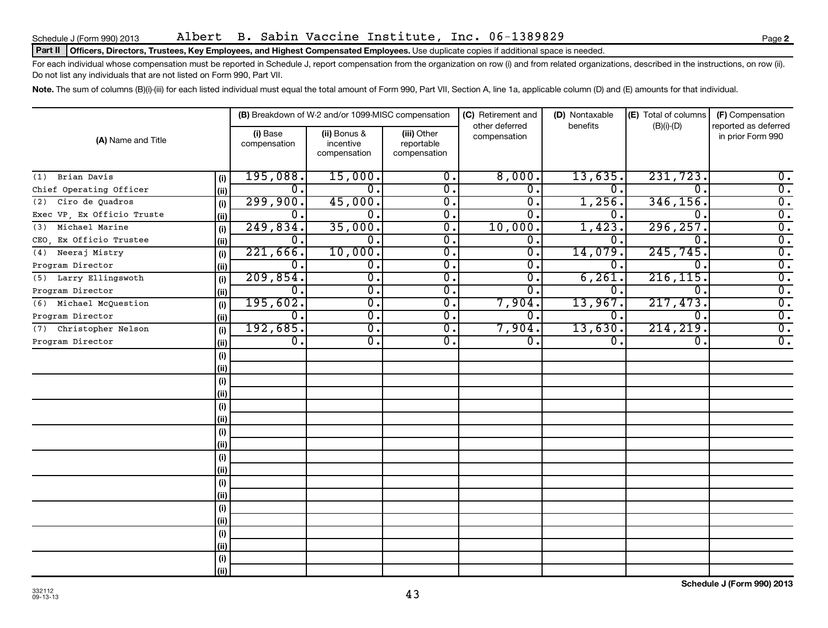Schedule J (Form 990) 2013 Page Albert B. Sabin Vaccine Institute, Inc. 06-1389829

#### Part II | Officers, Directors, Trustees, Key Employees, and Highest Compensated Employees. Use duplicate copies if additional space is needed.

For each individual whose compensation must be reported in Schedule J, report compensation from the organization on row (i) and from related organizations, described in the instructions, on row (ii). Do not list any individuals that are not listed on Form 990, Part VII.

Note. The sum of columns (B)(i)-(iii) for each listed individual must equal the total amount of Form 990, Part VII, Section A, line 1a, applicable column (D) and (E) amounts for that individual.

|                            |      |                          | (B) Breakdown of W-2 and/or 1099-MISC compensation |                                           | (C) Retirement and<br>other deferred | (D) Nontaxable<br>benefits | (E) Total of columns | (F) Compensation<br>reported as deferred |  |
|----------------------------|------|--------------------------|----------------------------------------------------|-------------------------------------------|--------------------------------------|----------------------------|----------------------|------------------------------------------|--|
| (A) Name and Title         |      | (i) Base<br>compensation | (ii) Bonus &<br>incentive<br>compensation          | (iii) Other<br>reportable<br>compensation | compensation                         |                            | $(B)(i)-(D)$         | in prior Form 990                        |  |
| Brian Davis<br>(1)         | (i)  | 195,088.                 | 15,000.                                            | 0.                                        | 8,000.                               | 13,635.                    | 231,723.             | 0.                                       |  |
| Chief Operating Officer    | (ii) | 0.                       | 0.                                                 | $\overline{0}$ .                          | $\mathbf 0$ .                        | 0.                         | $\Omega$             | $\overline{0}$ .                         |  |
| Ciro de Quadros<br>(2)     | (i)  | 299,900.                 | 45,000.                                            | $\overline{0}$ .                          | $\overline{0}$ .                     | 1,256.                     | 346, 156.            | $\overline{0}$ .                         |  |
| Exec VP, Ex Officio Truste | (ii) | $\mathbf 0$ .            | $\mathbf 0$ .                                      | $\overline{0}$ .                          | $\Omega$ .                           | 0.                         | $\Omega$             | $\overline{0}$ .                         |  |
| Michael Marine<br>(3)      | (i)  | 249,834.                 | 35,000.                                            | $\overline{0}$ .                          | 10,000.                              | 1,423.                     | 296, 257.            | $\overline{0}$ .                         |  |
| CEO, Ex Officio Trustee    | (i)  | $\mathbf 0$ .            | $0$ .                                              | $\overline{0}$ .                          | $\mathbf 0$ .                        | 0.                         | $\Omega$             | $\overline{0}$ .                         |  |
| Neeraj Mistry<br>(4)       | (i)  | 221,666.                 | 10,000.                                            | $\overline{0}$ .                          | $0$ .                                | 14,079.                    | 245,745.             | $\overline{0}$ .                         |  |
| Program Director           | (ii) | $\mathbf{0}$ .           | 0.                                                 | 0.                                        | 0.                                   | 0.                         | $\Omega$ .           | $\overline{0}$ .                         |  |
| (5) Larry Ellingswoth      | (i)  | 209,854.                 | $\overline{0}$ .                                   | $\overline{0}$ .                          | $\overline{0}$ .                     | 6, 261.                    | 216, 115.            | $\overline{0}$ .                         |  |
| Program Director           | (ii) | $\mathbf 0$ .            | $\overline{0}$ .                                   | $\overline{0}$ .                          | $\mathbf{0}$ .                       | 0.                         | $\Omega$ .           | $\overline{0}$ .                         |  |
| Michael McQuestion<br>(6)  | (i)  | 195,602.                 | $\overline{0}$ .                                   | $\overline{0}$ .                          | 7,904.                               | 13,967.                    | 217,473.             | $\overline{0}$ .                         |  |
| Program Director           | (ii) | 0.                       | $\overline{0}$ .                                   | $\overline{0}$ .                          | $\Omega$ .                           | 0.                         | $\Omega$ .           | $\overline{0}$ .                         |  |
| Christopher Nelson<br>(7)  | (i)  | 192,685.                 | $\overline{0}$ .                                   | $\overline{0}$ .                          | 7,904.                               | 13,630.                    | 214, 219.            | $\overline{0}$ .                         |  |
| Program Director           | (ii) | $\overline{0}$ .         | 0.                                                 | 0.                                        | 0.                                   | 0.                         | $\mathbf 0$ .        | $\overline{0}$ .                         |  |
|                            | (i)  |                          |                                                    |                                           |                                      |                            |                      |                                          |  |
|                            | (ii) |                          |                                                    |                                           |                                      |                            |                      |                                          |  |
|                            | (i)  |                          |                                                    |                                           |                                      |                            |                      |                                          |  |
|                            | (ii) |                          |                                                    |                                           |                                      |                            |                      |                                          |  |
|                            | (i)  |                          |                                                    |                                           |                                      |                            |                      |                                          |  |
|                            | (ii) |                          |                                                    |                                           |                                      |                            |                      |                                          |  |
|                            | (i)  |                          |                                                    |                                           |                                      |                            |                      |                                          |  |
|                            | (ii) |                          |                                                    |                                           |                                      |                            |                      |                                          |  |
|                            | (i)  |                          |                                                    |                                           |                                      |                            |                      |                                          |  |
|                            | (ii) |                          |                                                    |                                           |                                      |                            |                      |                                          |  |
|                            | (i)  |                          |                                                    |                                           |                                      |                            |                      |                                          |  |
|                            | (ii) |                          |                                                    |                                           |                                      |                            |                      |                                          |  |
|                            | (i)  |                          |                                                    |                                           |                                      |                            |                      |                                          |  |
|                            | (ii) |                          |                                                    |                                           |                                      |                            |                      |                                          |  |
|                            | (i)  |                          |                                                    |                                           |                                      |                            |                      |                                          |  |
|                            | (ii) |                          |                                                    |                                           |                                      |                            |                      |                                          |  |
|                            | (i)  |                          |                                                    |                                           |                                      |                            |                      |                                          |  |
|                            | (ii) |                          |                                                    |                                           |                                      |                            |                      |                                          |  |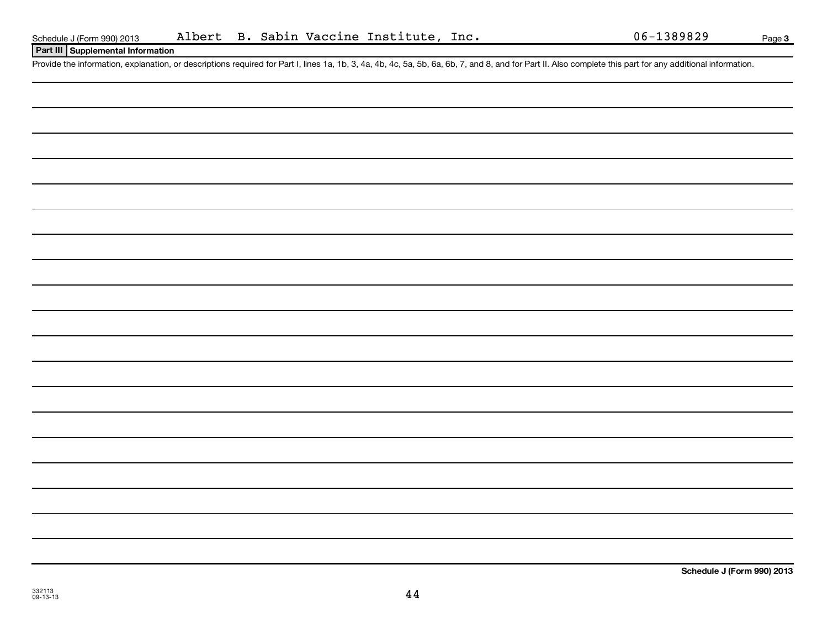**Page 3** 

## **Part III Supplemental Information**

Provide the information, explanation, or descriptions required for Part I, lines 1a, 1b, 3, 4a, 4b, 4c, 5a, 5b, 6a, 6b, 7, and 8, and for Part II. Also complete this part for any additional information.

**Schedule J (Form 990) 2013**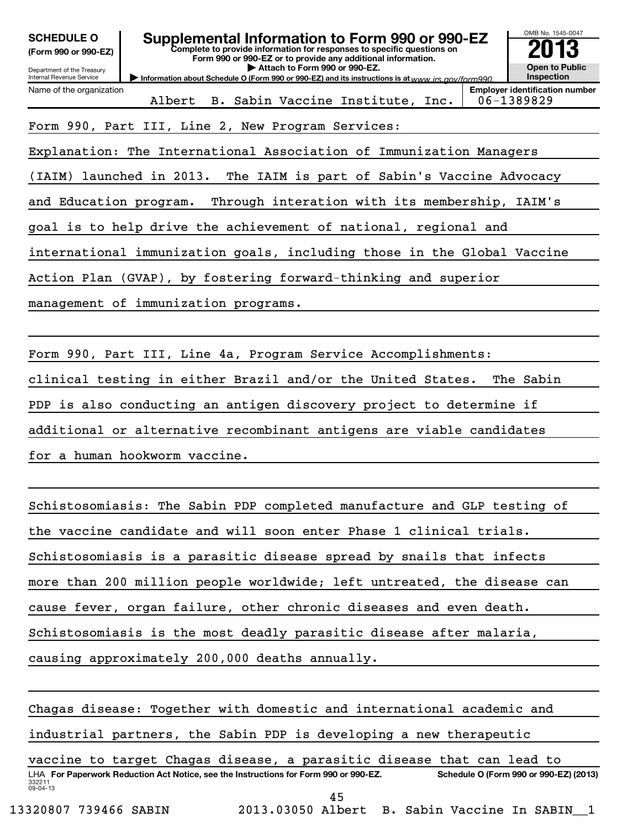| <b>SCHEDULE O</b><br>(Form 990 or 990-EZ)<br>Department of the Treasury<br>Internal Revenue Service                        | OMB No. 1545-0047<br>Supplemental Information to Form 990 or 990-EZ<br>Complete to provide information for responses to specific questions on<br>Form 990 or 990-EZ or to provide any additional information.<br><b>Open to Public</b><br>Attach to Form 990 or 990-EZ.<br>Inspection<br>Information about Schedule O (Form 990 or 990-EZ) and its instructions is at www.irs.cov/form990 |  |  |  |  |  |  |  |  |  |
|----------------------------------------------------------------------------------------------------------------------------|-------------------------------------------------------------------------------------------------------------------------------------------------------------------------------------------------------------------------------------------------------------------------------------------------------------------------------------------------------------------------------------------|--|--|--|--|--|--|--|--|--|
| <b>Employer identification number</b><br>Name of the organization<br>Albert B. Sabin Vaccine Institute, Inc.<br>06-1389829 |                                                                                                                                                                                                                                                                                                                                                                                           |  |  |  |  |  |  |  |  |  |
|                                                                                                                            | Form 990, Part III, Line 2, New Program Services:                                                                                                                                                                                                                                                                                                                                         |  |  |  |  |  |  |  |  |  |
|                                                                                                                            | Explanation: The International Association of Immunization Managers                                                                                                                                                                                                                                                                                                                       |  |  |  |  |  |  |  |  |  |
|                                                                                                                            | (IAIM) launched in 2013. The IAIM is part of Sabin's Vaccine Advocacy                                                                                                                                                                                                                                                                                                                     |  |  |  |  |  |  |  |  |  |
|                                                                                                                            | and Education program. Through interation with its membership, IAIM's                                                                                                                                                                                                                                                                                                                     |  |  |  |  |  |  |  |  |  |
| goal is to help drive the achievement of national, regional and                                                            |                                                                                                                                                                                                                                                                                                                                                                                           |  |  |  |  |  |  |  |  |  |
| international immunization goals, including those in the Global Vaccine                                                    |                                                                                                                                                                                                                                                                                                                                                                                           |  |  |  |  |  |  |  |  |  |
| Action Plan (GVAP), by fostering forward-thinking and superior                                                             |                                                                                                                                                                                                                                                                                                                                                                                           |  |  |  |  |  |  |  |  |  |
| management of immunization programs.                                                                                       |                                                                                                                                                                                                                                                                                                                                                                                           |  |  |  |  |  |  |  |  |  |

Form 990, Part III, Line 4a, Program Service Accomplishments: clinical testing in either Brazil and/or the United States. The Sabin PDP is also conducting an antigen discovery project to determine if additional or alternative recombinant antigens are viable candidates for a human hookworm vaccine.

Schistosomiasis: The Sabin PDP completed manufacture and GLP testing of the vaccine candidate and will soon enter Phase 1 clinical trials. Schistosomiasis is a parasitic disease spread by snails that infects more than 200 million people worldwide; left untreated, the disease can cause fever, organ failure, other chronic diseases and even death. Schistosomiasis is the most deadly parasitic disease after malaria, causing approximately 200,000 deaths annually.

332211 09-04-13 LHA For Paperwork Reduction Act Notice, see the Instructions for Form 990 or 990-EZ. Schedule O (Form 990 or 990-EZ) (2013) Chagas disease: Together with domestic and international academic and industrial partners, the Sabin PDP is developing a new therapeutic vaccine to target Chagas disease, a parasitic disease that can lead to 45

13320807 739466 SABIN 2013.03050 Albert B. Sabin Vaccine In SABIN\_\_1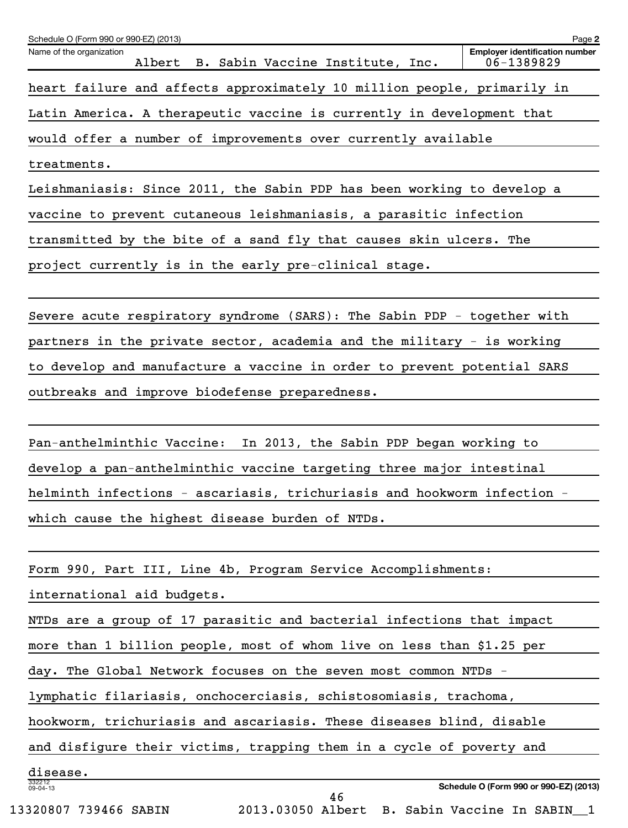| Name of the organization<br>Albert B. Sabin Vaccine Institute, Inc.                                | <b>Employer identification number</b><br>06-1389829 |
|----------------------------------------------------------------------------------------------------|-----------------------------------------------------|
| heart failure and affects approximately 10 million people, primarily in                            |                                                     |
| Latin America. A therapeutic vaccine is currently in development that                              |                                                     |
| would offer a number of improvements over currently available                                      |                                                     |
| treatments.                                                                                        |                                                     |
| Leishmaniasis: Since 2011, the Sabin PDP has been working to develop a                             |                                                     |
| vaccine to prevent cutaneous leishmaniasis, a parasitic infection                                  |                                                     |
| transmitted by the bite of a sand fly that causes skin ulcers. The                                 |                                                     |
| project currently is in the early pre-clinical stage.                                              |                                                     |
|                                                                                                    |                                                     |
| Severe acute respiratory syndrome (SARS): The Sabin PDP - together with                            |                                                     |
| partners in the private sector, academia and the military - is working                             |                                                     |
| to develop and manufacture a vaccine in order to prevent potential SARS                            |                                                     |
| outbreaks and improve biodefense preparedness.                                                     |                                                     |
|                                                                                                    |                                                     |
| Pan-anthelminthic Vaccine: In 2013, the Sabin PDP began working to                                 |                                                     |
| develop a pan-anthelminthic vaccine targeting three major intestinal                               |                                                     |
| helminth infections - ascariasis, trichuriasis and hookworm infection -                            |                                                     |
| which cause the highest disease burden of NTDs.                                                    |                                                     |
|                                                                                                    |                                                     |
| Form 990, Part III, Line 4b, Program Service Accomplishments:                                      |                                                     |
| international aid budgets.                                                                         |                                                     |
| NTDs are a group of 17 parasitic and bacterial infections that impact                              |                                                     |
| more than 1 billion people, most of whom live on less than \$1.25 per                              |                                                     |
| day. The Global Network focuses on the seven most common NTDs -                                    |                                                     |
| lymphatic filariasis, onchocerciasis, schistosomiasis, trachoma,                                   |                                                     |
| hookworm, trichuriasis and ascariasis. These diseases blind, disable                               |                                                     |
| and disfigure their victims, trapping them in a cycle of poverty and                               |                                                     |
| disease.                                                                                           |                                                     |
| 332212<br>09-04-13<br>46<br>2013.03050 Albert B. Sabin Vaccine In SABIN_1<br>13320807 739466 SABIN | Schedule O (Form 990 or 990-EZ) (2013)              |
|                                                                                                    |                                                     |

Schedule O (Form 990 or 990-EZ) (2013)

**2**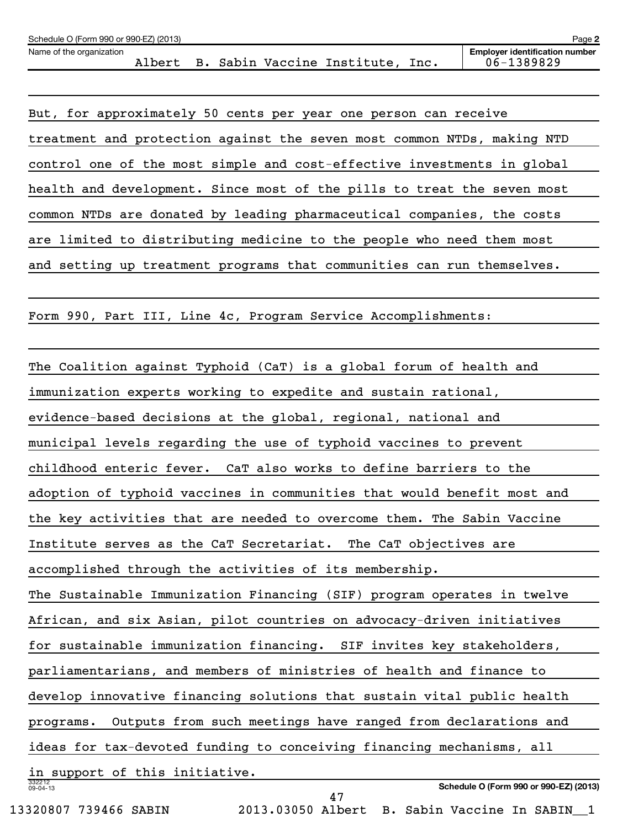| Schedule O (Form 990 or 990-EZ) (2013) |        |  |                          |      | Page 2                                              |
|----------------------------------------|--------|--|--------------------------|------|-----------------------------------------------------|
| Name of the organization               | Albert |  | Sabin Vaccine Institute, | Inc. | <b>Employer identification number</b><br>06-1389829 |
|                                        |        |  |                          |      |                                                     |

But, for approximately 50 cents per year one person can receive treatment and protection against the seven most common NTDs, making NTD control one of the most simple and cost-effective investments in global health and development. Since most of the pills to treat the seven most common NTDs are donated by leading pharmaceutical companies, the costs are limited to distributing medicine to the people who need them most and setting up treatment programs that communities can run themselves.

Form 990, Part III, Line 4c, Program Service Accomplishments:

332212 09-04-13 **Schedule O (Form 990 or 990-EZ) (2013)** The Coalition against Typhoid (CaT) is a global forum of health and immunization experts working to expedite and sustain rational, evidence-based decisions at the global, regional, national and municipal levels regarding the use of typhoid vaccines to prevent childhood enteric fever. CaT also works to define barriers to the adoption of typhoid vaccines in communities that would benefit most and the key activities that are needed to overcome them. The Sabin Vaccine Institute serves as the CaT Secretariat. The CaT objectives are accomplished through the activities of its membership. The Sustainable Immunization Financing (SIF) program operates in twelve African, and six Asian, pilot countries on advocacy-driven initiatives for sustainable immunization financing. SIF invites key stakeholders, parliamentarians, and members of ministries of health and finance to develop innovative financing solutions that sustain vital public health programs. Outputs from such meetings have ranged from declarations and ideas for tax-devoted funding to conceiving financing mechanisms, all in support of this initiative. 47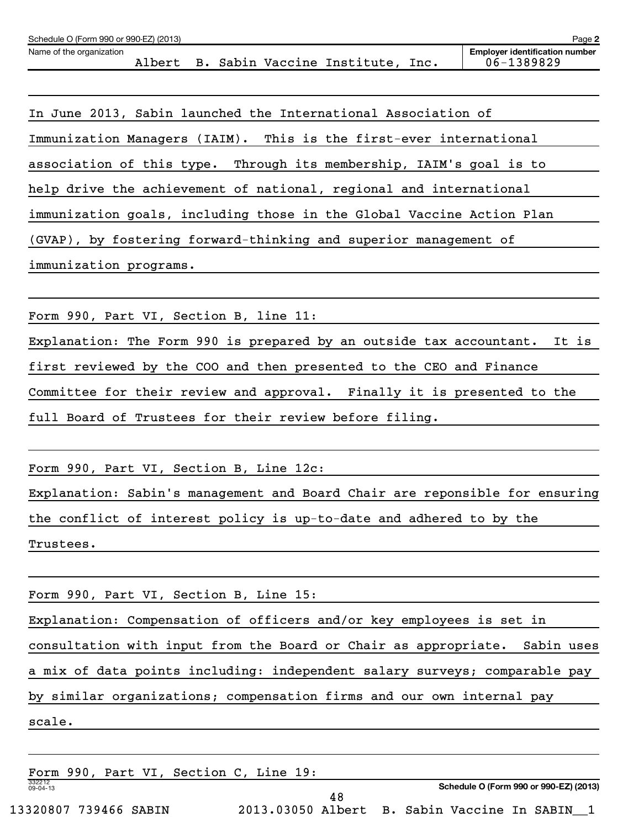| Schedule O (Form 990 or 990-EZ) (2013) |  |  |                                         | Page 2                                |
|----------------------------------------|--|--|-----------------------------------------|---------------------------------------|
| Name of the organization               |  |  |                                         | <b>Employer identification number</b> |
|                                        |  |  | Albert B. Sabin Vaccine Institute, Inc. | 06-1389829                            |
|                                        |  |  |                                         |                                       |

| In June 2013, Sabin launched the International Association of         |
|-----------------------------------------------------------------------|
| Immunization Managers (IAIM). This is the first-ever international    |
| association of this type. Through its membership, IAIM's goal is to   |
| help drive the achievement of national, regional and international    |
| immunization goals, including those in the Global Vaccine Action Plan |
| (GVAP), by fostering forward-thinking and superior management of      |
| immunization programs.                                                |

Form 990, Part VI, Section B, line 11:

Explanation: The Form 990 is prepared by an outside tax accountant. It is first reviewed by the COO and then presented to the CEO and Finance Committee for their review and approval. Finally it is presented to the full Board of Trustees for their review before filing.

Form 990, Part VI, Section B, Line 12c:

Explanation: Sabin's management and Board Chair are reponsible for ensuring the conflict of interest policy is up-to-date and adhered to by the Trustees.

Form 990, Part VI, Section B, Line 15:

Explanation: Compensation of officers and/or key employees is set in consultation with input from the Board or Chair as appropriate. Sabin uses

a mix of data points including: independent salary surveys; comparable pay

by similar organizations; compensation firms and our own internal pay

scale.

|                          |  | Form 990, Part VI, Section C, Line 19: |  |    |  |                                             |  |  |
|--------------------------|--|----------------------------------------|--|----|--|---------------------------------------------|--|--|
| 332212<br>$09 - 04 - 13$ |  |                                        |  |    |  | Schedule O (Form 990 or 990-EZ) (2013)      |  |  |
| 13320807 739466 SABIN    |  |                                        |  | 48 |  | 2013.03050 Albert B. Sabin Vaccine In SABIN |  |  |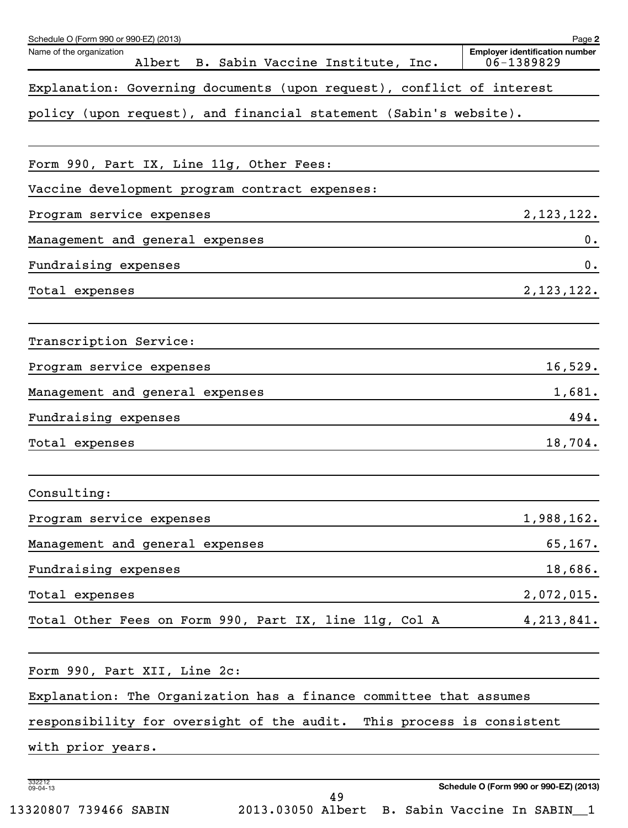| Schedule O (Form 990 or 990-EZ) (2013)                                 | Page 2                                              |
|------------------------------------------------------------------------|-----------------------------------------------------|
| Name of the organization<br>Albert B. Sabin Vaccine Institute, Inc.    | <b>Employer identification number</b><br>06-1389829 |
| Explanation: Governing documents (upon request), conflict of interest  |                                                     |
| policy (upon request), and financial statement (Sabin's website).      |                                                     |
| Form 990, Part IX, Line 11g, Other Fees:                               |                                                     |
| Vaccine development program contract expenses:                         |                                                     |
| Program service expenses                                               | 2, 123, 122.                                        |
| Management and general expenses                                        | 0.                                                  |
| Fundraising expenses                                                   | 0.                                                  |
| Total expenses                                                         | 2,123,122.                                          |
| Transcription Service:                                                 |                                                     |
| Program service expenses                                               | 16,529.                                             |
| Management and general expenses                                        | 1,681.                                              |
| Fundraising expenses                                                   | 494.                                                |
| Total expenses                                                         | 18,704.                                             |
| Consulting:                                                            |                                                     |
| Program service expenses                                               | 1,988,162.                                          |
| Management and general expenses                                        | 65, 167.                                            |
| Fundraising expenses                                                   | 18,686.                                             |
| Total expenses                                                         | 2,072,015.                                          |
| Total Other Fees on Form 990, Part IX, line 11g, Col A                 | 4, 213, 841.                                        |
| Form 990, Part XII, Line 2c:                                           |                                                     |
| Explanation: The Organization has a finance committee that assumes     |                                                     |
| responsibility for oversight of the audit. This process is consistent  |                                                     |
| with prior years.                                                      |                                                     |
| 332212<br>09-04-13<br>49                                               | Schedule O (Form 990 or 990-EZ) (2013)              |
| 2013.03050 Albert B. Sabin Vaccine In SABIN_1<br>13320807 739466 SABIN |                                                     |